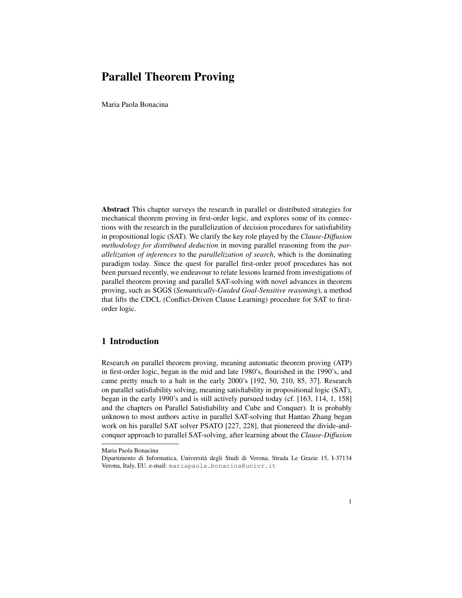Maria Paola Bonacina

Abstract This chapter surveys the research in parallel or distributed strategies for mechanical theorem proving in first-order logic, and explores some of its connections with the research in the parallelization of decision procedures for satisfiability in propositional logic (SAT). We clarify the key role played by the *Clause-Diffusion methodology for distributed deduction* in moving parallel reasoning from the *parallelization of inferences* to the *parallelization of search*, which is the dominating paradigm today. Since the quest for parallel first-order proof procedures has not been pursued recently, we endeavour to relate lessons learned from investigations of parallel theorem proving and parallel SAT-solving with novel advances in theorem proving, such as SGGS (*Semantically-Guided Goal-Sensitive reasoning*), a method that lifts the CDCL (Conflict-Driven Clause Learning) procedure for SAT to firstorder logic.

# 1 Introduction

Research on parallel theorem proving, meaning automatic theorem proving (ATP) in first-order logic, began in the mid and late 1980's, flourished in the 1990's, and came pretty much to a halt in the early 2000's [192, 50, 210, 85, 37]. Research on parallel satisfiability solving, meaning satisfiability in propositional logic (SAT), began in the early 1990's and is still actively pursued today (cf. [163, 114, 1, 158] and the chapters on Parallel Satisfiability and Cube and Conquer). It is probably unknown to most authors active in parallel SAT-solving that Hantao Zhang began work on his parallel SAT solver PSATO [227, 228], that pionereed the divide-andconquer approach to parallel SAT-solving, after learning about the *Clause-Diffusion*

Maria Paola Bonacina

Dipartimento di Informatica, Universita degli Studi di Verona, Strada Le Grazie 15, I-37134 ` Verona, Italy, EU. e-mail: mariapaola.bonacina@univr.it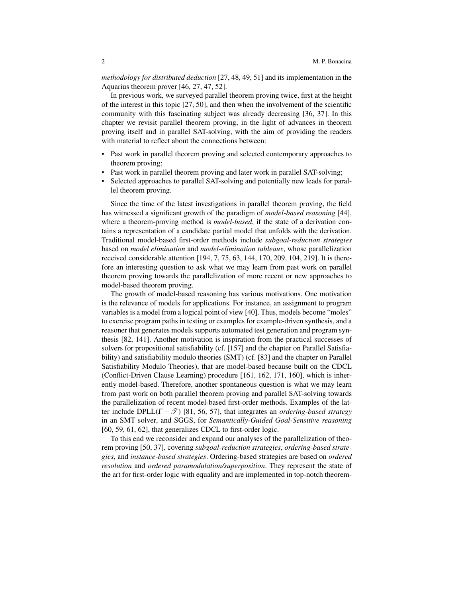*methodology for distributed deduction* [27, 48, 49, 51] and its implementation in the Aquarius theorem prover [46, 27, 47, 52].

In previous work, we surveyed parallel theorem proving twice, first at the height of the interest in this topic [27, 50], and then when the involvement of the scientific community with this fascinating subject was already decreasing [36, 37]. In this chapter we revisit parallel theorem proving, in the light of advances in theorem proving itself and in parallel SAT-solving, with the aim of providing the readers with material to reflect about the connections between:

- Past work in parallel theorem proving and selected contemporary approaches to theorem proving;
- Past work in parallel theorem proving and later work in parallel SAT-solving;
- Selected approaches to parallel SAT-solving and potentially new leads for parallel theorem proving.

Since the time of the latest investigations in parallel theorem proving, the field has witnessed a significant growth of the paradigm of *model-based reasoning* [44], where a theorem-proving method is *model-based*, if the state of a derivation contains a representation of a candidate partial model that unfolds with the derivation. Traditional model-based first-order methods include *subgoal-reduction strategies* based on *model elimination* and *model-elimination tableaux*, whose parallelization received considerable attention [194, 7, 75, 63, 144, 170, 209, 104, 219]. It is therefore an interesting question to ask what we may learn from past work on parallel theorem proving towards the parallelization of more recent or new approaches to model-based theorem proving.

The growth of model-based reasoning has various motivations. One motivation is the relevance of models for applications. For instance, an assignment to program variables is a model from a logical point of view [40]. Thus, models become "moles" to exercise program paths in testing or examples for example-driven synthesis, and a reasoner that generates models supports automated test generation and program synthesis [82, 141]. Another motivation is inspiration from the practical successes of solvers for propositional satisfiability (cf. [157] and the chapter on Parallel Satisfiability) and satisfiability modulo theories (SMT) (cf. [83] and the chapter on Parallel Satisfiability Modulo Theories), that are model-based because built on the CDCL (Conflict-Driven Clause Learning) procedure [161, 162, 171, 160], which is inherently model-based. Therefore, another spontaneous question is what we may learn from past work on both parallel theorem proving and parallel SAT-solving towards the parallelization of recent model-based first-order methods. Examples of the latter include DPLL( $\Gamma + \mathcal{T}$ ) [81, 56, 57], that integrates an *ordering-based strategy* in an SMT solver, and SGGS, for *Semantically-Guided Goal-Sensitive reasoning* [60, 59, 61, 62], that generalizes CDCL to first-order logic.

To this end we reconsider and expand our analyses of the parallelization of theorem proving [50, 37], covering *subgoal-reduction strategies*, *ordering-based strategies*, and *instance-based strategies*. Ordering-based strategies are based on *ordered resolution* and *ordered paramodulation/superposition*. They represent the state of the art for first-order logic with equality and are implemented in top-notch theorem-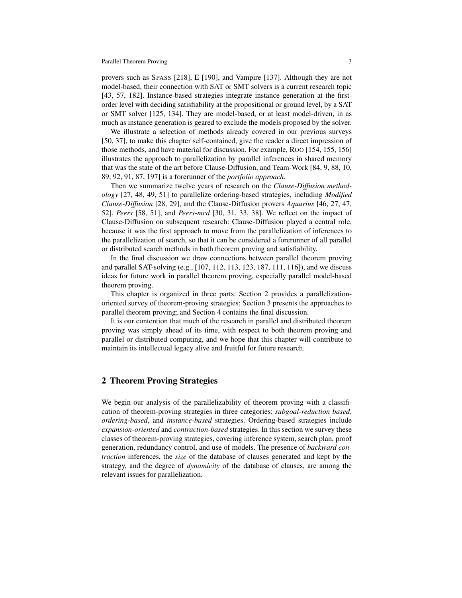provers such as SPASS [218], E [190], and Vampire [137]. Although they are not model-based, their connection with SAT or SMT solvers is a current research topic [43, 57, 182]. Instance-based strategies integrate instance generation at the firstorder level with deciding satisfiability at the propositional or ground level, by a SAT or SMT solver [125, 134]. They are model-based, or at least model-driven, in as much as instance generation is geared to exclude the models proposed by the solver.

We illustrate a selection of methods already covered in our previous surveys [50, 37], to make this chapter self-contained, give the reader a direct impression of those methods, and have material for discussion. For example, ROO [154, 155, 156] illustrates the approach to parallelization by parallel inferences in shared memory that was the state of the art before Clause-Diffusion, and Team-Work [84, 9, 88, 10, 89, 92, 91, 87, 197] is a forerunner of the *portfolio approach*.

Then we summarize twelve years of research on the *Clause-Diffusion methodology* [27, 48, 49, 51] to parallelize ordering-based strategies, including *Modified Clause-Diffusion* [28, 29], and the Clause-Diffusion provers *Aquarius* [46, 27, 47, 52], *Peers* [58, 51], and *Peers-mcd* [30, 31, 33, 38]. We reflect on the impact of Clause-Diffusion on subsequent research: Clause-Diffusion played a central role, because it was the first approach to move from the parallelization of inferences to the parallelization of search, so that it can be considered a forerunner of all parallel or distributed search methods in both theorem proving and satisfiability.

In the final discussion we draw connections between parallel theorem proving and parallel SAT-solving (e.g., [107, 112, 113, 123, 187, 111, 116]), and we discuss ideas for future work in parallel theorem proving, especially parallel model-based theorem proving.

This chapter is organized in three parts: Section 2 provides a parallelizationoriented survey of theorem-proving strategies; Section 3 presents the approaches to parallel theorem proving; and Section 4 contains the final discussion.

It is our contention that much of the research in parallel and distributed theorem proving was simply ahead of its time, with respect to both theorem proving and parallel or distributed computing, and we hope that this chapter will contribute to maintain its intellectual legacy alive and fruitful for future research.

### 2 Theorem Proving Strategies

We begin our analysis of the parallelizability of theorem proving with a classification of theorem-proving strategies in three categories: *subgoal-reduction based*, *ordering-based*, and *instance-based* strategies. Ordering-based strategies include *expansion-oriented* and *contraction-based* strategies. In this section we survey these classes of theorem-proving strategies, covering inference system, search plan, proof generation, redundancy control, and use of models. The presence of *backward contraction* inferences, the *size* of the database of clauses generated and kept by the strategy, and the degree of *dynamicity* of the database of clauses, are among the relevant issues for parallelization.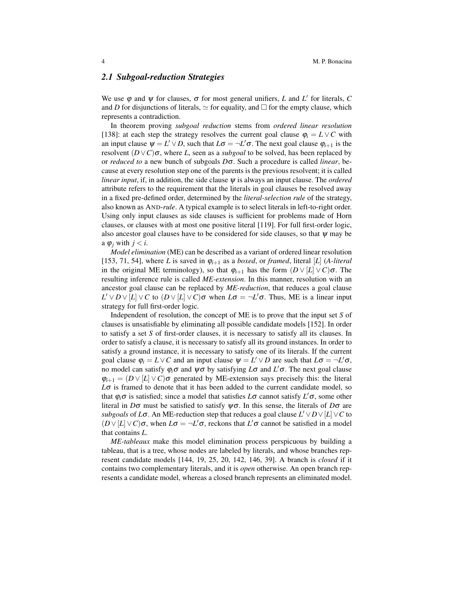# *2.1 Subgoal-reduction Strategies*

We use  $\varphi$  and  $\psi$  for clauses,  $\sigma$  for most general unifiers, *L* and *L'* for literals, *C* and *D* for disjunctions of literals,  $\simeq$  for equality, and  $\square$  for the empty clause, which represents a contradiction.

In theorem proving *subgoal reduction* stems from *ordered linear resolution* [138]: at each step the strategy resolves the current goal clause  $\varphi_i = L \vee C$  with an input clause  $\psi = L' \vee D$ , such that  $L\sigma = \neg L'\sigma$ . The next goal clause  $\varphi_{i+1}$  is the resolvent  $(D \vee C)\sigma$ , where *L*, seen as a *subgoal* to be solved, has been replaced by or *reduced to* a new bunch of subgoals *D*σ. Such a procedure is called *linear*, because at every resolution step one of the parents is the previous resolvent; it is called *linear input*, if, in addition, the side clause ψ is always an input clause. The *ordered* attribute refers to the requirement that the literals in goal clauses be resolved away in a fixed pre-defined order, determined by the *literal-selection rule* of the strategy, also known as AND-*rule*. A typical example is to select literals in left-to-right order. Using only input clauses as side clauses is sufficient for problems made of Horn clauses, or clauses with at most one positive literal [119]. For full first-order logic, also ancestor goal clauses have to be considered for side clauses, so that  $\psi$  may be a  $\varphi_i$  with  $j < i$ .

*Model elimination* (ME) can be described as a variant of ordered linear resolution [153, 71, 54], where *L* is saved in  $\varphi_{i+1}$  as a *boxed*, or *framed*, literal [*L*] (*A-literal* in the original ME terminology), so that  $\varphi_{i+1}$  has the form  $(D \vee [L] \vee C) \sigma$ . The resulting inference rule is called *ME-extension*. In this manner, resolution with an ancestor goal clause can be replaced by *ME-reduction*, that reduces a goal clause  $L' \vee D \vee [L] \vee C$  to  $(D \vee [L] \vee C)$  *o* when  $L \sigma = \neg L' \sigma$ . Thus, ME is a linear input strategy for full first-order logic.

Independent of resolution, the concept of ME is to prove that the input set *S* of clauses is unsatisfiable by eliminating all possible candidate models [152]. In order to satisfy a set *S* of first-order clauses, it is necessary to satisfy all its clauses. In order to satisfy a clause, it is necessary to satisfy all its ground instances. In order to satisfy a ground instance, it is necessary to satisfy one of its literals. If the current goal clause  $\varphi_i = L \vee C$  and an input clause  $\psi = L' \vee D$  are such that  $L\sigma = \neg L'\sigma$ , no model can satisfy ϕ*i*σ and ψσ by satisfying *L*σ and *L* <sup>0</sup>σ. The next goal clause  $\varphi_{i+1} = (D \vee [L] \vee C) \sigma$  generated by ME-extension says precisely this: the literal *L*σ is framed to denote that it has been added to the current candidate model, so that  $\varphi_i \sigma$  is satisfied; since a model that satisfies  $L\sigma$  cannot satisfy  $L' \sigma$ , some other literal in *D*σ must be satisfied to satisfy ψσ. In this sense, the literals of *D*σ are *subgoals* of  $L$ σ. An ME-reduction step that reduces a goal clause  $L' \vee D \vee [L] \vee C$  to  $(D \vee [L] \vee C)$ **σ**, when  $L\sigma = \neg L'\sigma$ , reckons that  $L'\sigma$  cannot be satisfied in a model that contains *L*.

*ME-tableaux* make this model elimination process perspicuous by building a tableau, that is a tree, whose nodes are labeled by literals, and whose branches represent candidate models [144, 19, 25, 20, 142, 146, 39]. A branch is *closed* if it contains two complementary literals, and it is *open* otherwise. An open branch represents a candidate model, whereas a closed branch represents an eliminated model.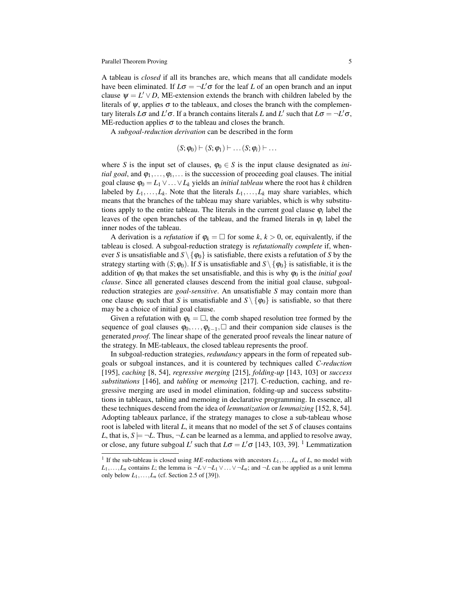A tableau is *closed* if all its branches are, which means that all candidate models have been eliminated. If  $L\sigma = \neg L' \sigma$  for the leaf *L* of an open branch and an input clause  $\psi = L' \vee D$ , ME-extension extends the branch with children labeled by the literals of  $\psi$ , applies  $\sigma$  to the tableaux, and closes the branch with the complementary literals  $L\sigma$  and  $L'\sigma$ . If a branch contains literals *L* and  $L'$  such that  $L\sigma = \neg L'\sigma$ , ME-reduction applies  $\sigma$  to the tableau and closes the branch.

A *subgoal-reduction derivation* can be described in the form

$$
(S; \varphi_0) \vdash (S; \varphi_1) \vdash \dots (S; \varphi_i) \vdash \dots
$$

where *S* is the input set of clauses,  $\varphi_0 \in S$  is the input clause designated as *initial goal*, and  $\varphi_1, \ldots, \varphi_i, \ldots$  is the succession of proceeding goal clauses. The initial goal clause  $\varphi_0 = L_1 \vee \ldots \vee L_k$  yields an *initial tableau* where the root has *k* children labeled by  $L_1, \ldots, L_k$ . Note that the literals  $L_1, \ldots, L_k$  may share variables, which means that the branches of the tableau may share variables, which is why substitutions apply to the entire tableau. The literals in the current goal clause  $\varphi_i$  label the leaves of the open branches of the tableau, and the framed literals in  $\varphi_i$  label the inner nodes of the tableau.

A derivation is a *refutation* if  $\varphi_k = \Box$  for some  $k, k > 0$ , or, equivalently, if the tableau is closed. A subgoal-reduction strategy is *refutationally complete* if, whenever *S* is unsatisfiable and  $S \setminus \{\varphi_0\}$  is satisfiable, there exists a refutation of *S* by the strategy starting with  $(S; \varphi_0)$ . If *S* is unsatisfiable and  $S \setminus {\varphi_0}$  is satisfiable, it is the addition of  $\varphi_0$  that makes the set unsatisfiable, and this is why  $\varphi_0$  is the *initial goal clause*. Since all generated clauses descend from the initial goal clause, subgoalreduction strategies are *goal-sensitive*. An unsatisfiable *S* may contain more than one clause  $\varphi_0$  such that *S* is unsatisfiable and  $S \setminus {\varphi_0}$  is satisfiable, so that there may be a choice of initial goal clause.

Given a refutation with  $\varphi_k = \Box$ , the comb shaped resolution tree formed by the sequence of goal clauses  $\varphi_0, \ldots, \varphi_{k-1}, \square$  and their companion side clauses is the generated *proof*. The linear shape of the generated proof reveals the linear nature of the strategy. In ME-tableaux, the closed tableau represents the proof.

In subgoal-reduction strategies, *redundancy* appears in the form of repeated subgoals or subgoal instances, and it is countered by techniques called *C-reduction* [195], *caching* [8, 54], *regressive merging* [215], *folding-up* [143, 103] or *success substitutions* [146], and *tabling* or *memoing* [217]. C-reduction, caching, and regressive merging are used in model elimination, folding-up and success substitutions in tableaux, tabling and memoing in declarative programming. In essence, all these techniques descend from the idea of *lemmatization* or *lemmaizing* [152, 8, 54]. Adopting tableaux parlance, if the strategy manages to close a sub-tableau whose root is labeled with literal *L*, it means that no model of the set *S* of clauses contains *L*, that is,  $S \models \neg L$ . Thus,  $\neg L$  can be learned as a lemma, and applied to resolve away, or close, any future subgoal *L'* such that  $L\sigma = L'\sigma$  [143, 103, 39]. <sup>1</sup> Lemmatization

<sup>&</sup>lt;sup>1</sup> If the sub-tableau is closed using *ME*-reductions with ancestors  $L_1, \ldots, L_n$  of *L*, no model with *L*<sub>1</sub>,...,*L*<sup>n</sup> contains *L*; the lemma is  $\neg L ∨ \neg L_1 ∨ ... ∨ \neg L_n$ ; and  $\neg L$  can be applied as a unit lemma only below  $L_1$ ,..., $L_n$  (cf. Section 2.5 of [39]).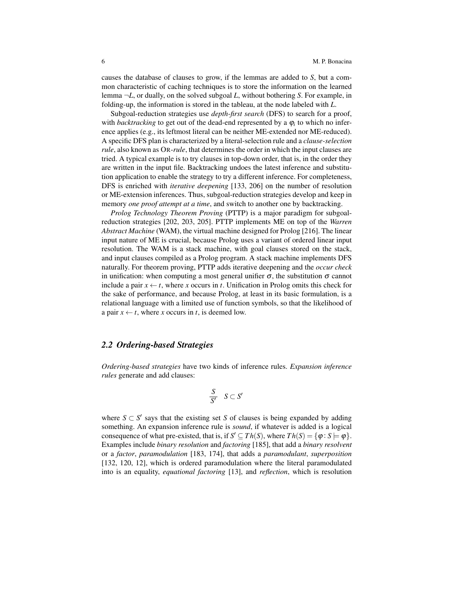causes the database of clauses to grow, if the lemmas are added to *S*, but a common characteristic of caching techniques is to store the information on the learned lemma ¬*L*, or dually, on the solved subgoal *L*, without bothering *S*. For example, in folding-up, the information is stored in the tableau, at the node labeled with *L*.

Subgoal-reduction strategies use *depth-first search* (DFS) to search for a proof, with *backtracking* to get out of the dead-end represented by a  $\varphi_i$  to which no inference applies (e.g., its leftmost literal can be neither ME-extended nor ME-reduced). A specific DFS plan is characterized by a literal-selection rule and a *clause-selection rule*, also known as OR-*rule*, that determines the order in which the input clauses are tried. A typical example is to try clauses in top-down order, that is, in the order they are written in the input file. Backtracking undoes the latest inference and substitution application to enable the strategy to try a different inference. For completeness, DFS is enriched with *iterative deepening* [133, 206] on the number of resolution or ME-extension inferences. Thus, subgoal-reduction strategies develop and keep in memory *one proof attempt at a time*, and switch to another one by backtracking.

*Prolog Technology Theorem Proving* (PTTP) is a major paradigm for subgoalreduction strategies [202, 203, 205]. PTTP implements ME on top of the *Warren Abstract Machine* (WAM), the virtual machine designed for Prolog [216]. The linear input nature of ME is crucial, because Prolog uses a variant of ordered linear input resolution. The WAM is a stack machine, with goal clauses stored on the stack, and input clauses compiled as a Prolog program. A stack machine implements DFS naturally. For theorem proving, PTTP adds iterative deepening and the *occur check* in unification: when computing a most general unifier  $\sigma$ , the substitution  $\sigma$  cannot include a pair  $x \leftarrow t$ , where *x* occurs in *t*. Unification in Prolog omits this check for the sake of performance, and because Prolog, at least in its basic formulation, is a relational language with a limited use of function symbols, so that the likelihood of a pair  $x \leftarrow t$ , where *x* occurs in *t*, is deemed low.

### *2.2 Ordering-based Strategies*

*Ordering-based strategies* have two kinds of inference rules. *Expansion inference rules* generate and add clauses:

$$
\frac{S}{S^{'}}\quad S\subset S^{'}
$$

where  $S \subset S'$  says that the existing set *S* of clauses is being expanded by adding something. An expansion inference rule is *sound*, if whatever is added is a logical consequence of what pre-existed, that is, if  $S' \subseteq Th(S)$ , where  $Th(S) = \{ \varphi : S \models \varphi \}.$ Examples include *binary resolution* and *factoring* [185], that add a *binary resolvent* or a *factor*, *paramodulation* [183, 174], that adds a *paramodulant*, *superposition* [132, 120, 12], which is ordered paramodulation where the literal paramodulated into is an equality, *equational factoring* [13], and *reflection*, which is resolution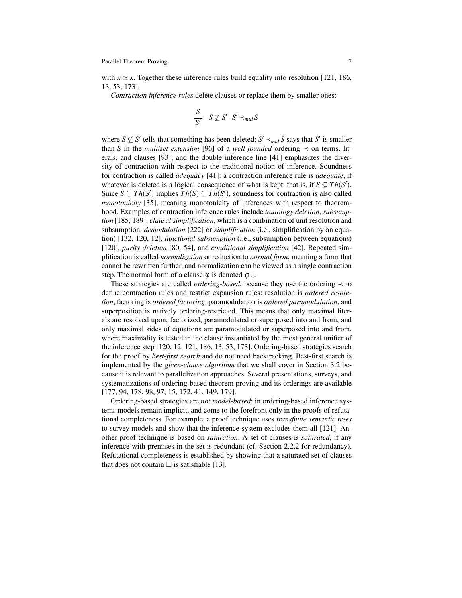with  $x \simeq x$ . Together these inference rules build equality into resolution [121, 186, 13, 53, 173].

*Contraction inference rules* delete clauses or replace them by smaller ones:

$$
\frac{S}{\overline{S'}} \quad S \not\subseteq S' \quad S' \prec_{mul} S
$$

where  $S \nsubseteq S'$  tells that something has been deleted;  $S' \prec_{mul} S$  says that  $S'$  is smaller than *S* in the *multiset extension* [96] of a *well-founded* ordering  $\prec$  on terms, literals, and clauses [93]; and the double inference line [41] emphasizes the diversity of contraction with respect to the traditional notion of inference. Soundness for contraction is called *adequacy* [41]: a contraction inference rule is *adequate*, if whatever is deleted is a logical consequence of what is kept, that is, if  $S \subseteq Th(S')$ . Since  $S \subseteq Th(S')$  implies  $Th(S) \subseteq Th(S')$ , soundness for contraction is also called *monotonicity* [35], meaning monotonicity of inferences with respect to theoremhood. Examples of contraction inference rules include *tautology deletion*, *subsumption* [185, 189], *clausal simplification*, which is a combination of unit resolution and subsumption, *demodulation* [222] or *simplification* (i.e., simplification by an equation) [132, 120, 12], *functional subsumption* (i.e., subsumption between equations) [120], *purity deletion* [80, 54], and *conditional simplification* [42]. Repeated simplification is called *normalization* or reduction to *normal form*, meaning a form that cannot be rewritten further, and normalization can be viewed as a single contraction step. The normal form of a clause  $\varphi$  is denoted  $\varphi \downarrow$ .

These strategies are called *ordering-based*, because they use the ordering  $\prec$  to define contraction rules and restrict expansion rules: resolution is *ordered resolution*, factoring is *ordered factoring*, paramodulation is *ordered paramodulation*, and superposition is natively ordering-restricted. This means that only maximal literals are resolved upon, factorized, paramodulated or superposed into and from, and only maximal sides of equations are paramodulated or superposed into and from, where maximality is tested in the clause instantiated by the most general unifier of the inference step [120, 12, 121, 186, 13, 53, 173]. Ordering-based strategies search for the proof by *best-first search* and do not need backtracking. Best-first search is implemented by the *given-clause algorithm* that we shall cover in Section 3.2 because it is relevant to parallelization approaches. Several presentations, surveys, and systematizations of ordering-based theorem proving and its orderings are available [177, 94, 178, 98, 97, 15, 172, 41, 149, 179].

Ordering-based strategies are *not model-based*: in ordering-based inference systems models remain implicit, and come to the forefront only in the proofs of refutational completeness. For example, a proof technique uses *transfinite semantic trees* to survey models and show that the inference system excludes them all [121]. Another proof technique is based on *saturation*. A set of clauses is *saturated*, if any inference with premises in the set is redundant (cf. Section 2.2.2 for redundancy). Refutational completeness is established by showing that a saturated set of clauses that does not contain  $\Box$  is satisfiable [13].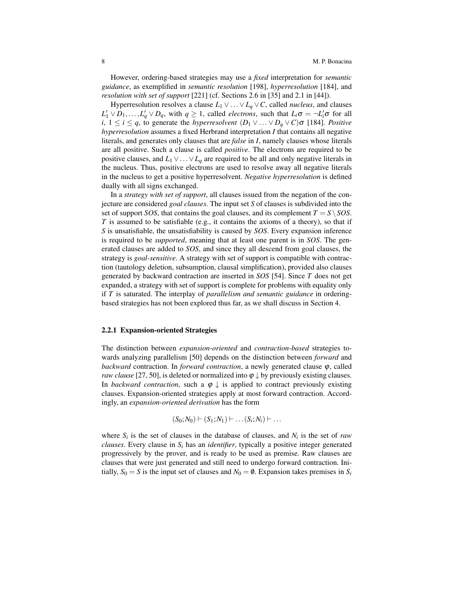However, ordering-based strategies may use a *fixed* interpretation for *semantic guidance*, as exemplified in *semantic resolution* [198], *hyperresolution* [184], and *resolution with set of support* [221] (cf. Sections 2.6 in [35] and 2.1 in [44]).

Hyperresolution resolves a clause  $L_1 \vee \ldots \vee L_q \vee C$ , called *nucleus*, and clauses  $L'_1 \vee D_1, \ldots, L'_q \vee D_q$ , with  $q \ge 1$ , called *electrons*, such that  $L_i \sigma = \neg L'_i \sigma$  for all *i*,  $1 \leq i \leq q$ , to generate the *hyperresolvent*  $(D_1 \vee \ldots \vee D_q \vee C)$   $\sigma$  [184]. *Positive hyperresolution* assumes a fixed Herbrand interpretation *I* that contains all negative literals, and generates only clauses that are *false* in *I*, namely clauses whose literals are all positive. Such a clause is called *positive*. The electrons are required to be positive clauses, and  $L_1 \vee \ldots \vee L_q$  are required to be all and only negative literals in the nucleus. Thus, positive electrons are used to resolve away all negative literals in the nucleus to get a positive hyperresolvent. *Negative hyperresolution* is defined dually with all signs exchanged.

In a *strategy with set of support*, all clauses issued from the negation of the conjecture are considered *goal clauses*. The input set *S* of clauses is subdivided into the set of support *SOS*, that contains the goal clauses, and its complement  $T = S \setminus SOS$ . *T* is assumed to be satisfiable (e.g., it contains the axioms of a theory), so that if *S* is unsatisfiable, the unsatisfiability is caused by *SOS*. Every expansion inference is required to be *supported*, meaning that at least one parent is in *SOS*. The generated clauses are added to *SOS*, and since they all descend from goal clauses, the strategy is *goal-sensitive*. A strategy with set of support is compatible with contraction (tautology deletion, subsumption, clausal simplification), provided also clauses generated by backward contraction are inserted in *SOS* [54]. Since *T* does not get expanded, a strategy with set of support is complete for problems with equality only if *T* is saturated. The interplay of *parallelism and semantic guidance* in orderingbased strategies has not been explored thus far, as we shall discuss in Section 4.

#### 2.2.1 Expansion-oriented Strategies

The distinction between *expansion-oriented* and *contraction-based* strategies towards analyzing parallelism [50] depends on the distinction between *forward* and *backward* contraction. In *forward contraction*, a newly generated clause ϕ, called *raw clause* [27, 50], is deleted or normalized into  $\varphi \downarrow$  by previously existing clauses. In *backward contraction*, such a  $\varphi \downarrow$  is applied to contract previously existing clauses. Expansion-oriented strategies apply at most forward contraction. Accordingly, an *expansion-oriented derivation* has the form

$$
(S_0;N_0)\vdash (S_1;N_1)\vdash \dots (S_i;N_i)\vdash \dots
$$

where  $S_i$  is the set of clauses in the database of clauses, and  $N_i$  is the set of *raw clauses*. Every clause in *S<sup>i</sup>* has an *identifier*, typically a positive integer generated progressively by the prover, and is ready to be used as premise. Raw clauses are clauses that were just generated and still need to undergo forward contraction. Initially,  $S_0 = S$  is the input set of clauses and  $N_0 = \emptyset$ . Expansion takes premises in  $S_i$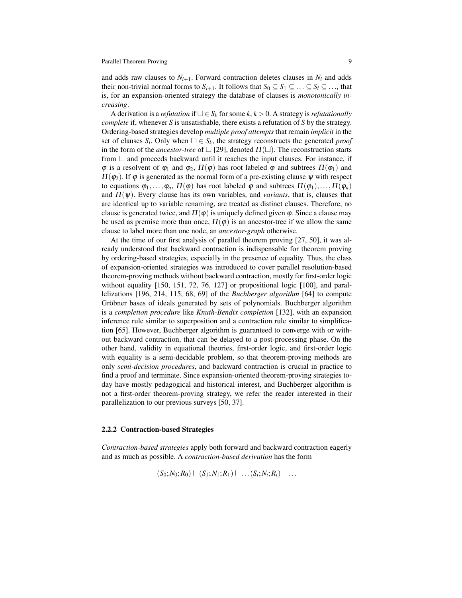and adds raw clauses to  $N_{i+1}$ . Forward contraction deletes clauses in  $N_i$  and adds their non-trivial normal forms to  $S_{i+1}$ . It follows that  $S_0 \subseteq S_1 \subseteq \ldots \subseteq S_i \subseteq \ldots$ , that is, for an expansion-oriented strategy the database of clauses is *monotonically increasing*.

A derivation is a *refutation* if  $\square \in S_k$  for some  $k, k > 0$ . A strategy is *refutationally complete* if, whenever *S* is unsatisfiable, there exists a refutation of *S* by the strategy. Ordering-based strategies develop *multiple proof attempts* that remain *implicit* in the set of clauses  $S_i$ . Only when  $\square \in S_k$ , the strategy reconstructs the generated *proof* in the form of the *ancestor-tree* of  $\Box$  [29], denoted  $\Pi(\Box)$ . The reconstruction starts from  $\Box$  and proceeds backward until it reaches the input clauses. For instance, if  $\varphi$  is a resolvent of  $\varphi_1$  and  $\varphi_2$ ,  $\Pi(\varphi)$  has root labeled  $\varphi$  and subtrees  $\Pi(\varphi_1)$  and  $\Pi(\varphi_2)$ . If  $\varphi$  is generated as the normal form of a pre-existing clause  $\psi$  with respect to equations  $\varphi_1, \ldots, \varphi_n$ ,  $\Pi(\varphi)$  has root labeled  $\varphi$  and subtrees  $\Pi(\varphi_1), \ldots, \Pi(\varphi_n)$ and  $\Pi(\psi)$ . Every clause has its own variables, and *variants*, that is, clauses that are identical up to variable renaming, are treated as distinct clauses. Therefore, no clause is generated twice, and  $\Pi(\varphi)$  is uniquely defined given  $\varphi$ . Since a clause may be used as premise more than once,  $\Pi(\varphi)$  is an ancestor-tree if we allow the same clause to label more than one node, an *ancestor-graph* otherwise.

At the time of our first analysis of parallel theorem proving [27, 50], it was already understood that backward contraction is indispensable for theorem proving by ordering-based strategies, especially in the presence of equality. Thus, the class of expansion-oriented strategies was introduced to cover parallel resolution-based theorem-proving methods without backward contraction, mostly for first-order logic without equality [150, 151, 72, 76, 127] or propositional logic [100], and parallelizations [196, 214, 115, 68, 69] of the *Buchberger algorithm* [64] to compute Gröbner bases of ideals generated by sets of polynomials. Buchberger algorithm is a *completion procedure* like *Knuth-Bendix completion* [132], with an expansion inference rule similar to superposition and a contraction rule similar to simplification [65]. However, Buchberger algorithm is guaranteed to converge with or without backward contraction, that can be delayed to a post-processing phase. On the other hand, validity in equational theories, first-order logic, and first-order logic with equality is a semi-decidable problem, so that theorem-proving methods are only *semi-decision procedures*, and backward contraction is crucial in practice to find a proof and terminate. Since expansion-oriented theorem-proving strategies today have mostly pedagogical and historical interest, and Buchberger algorithm is not a first-order theorem-proving strategy, we refer the reader interested in their parallelization to our previous surveys [50, 37].

#### 2.2.2 Contraction-based Strategies

*Contraction-based strategies* apply both forward and backward contraction eagerly and as much as possible. A *contraction-based derivation* has the form

$$
(S_0; N_0; R_0) \vdash (S_1; N_1; R_1) \vdash \dots (S_i; N_i; R_i) \vdash \dots
$$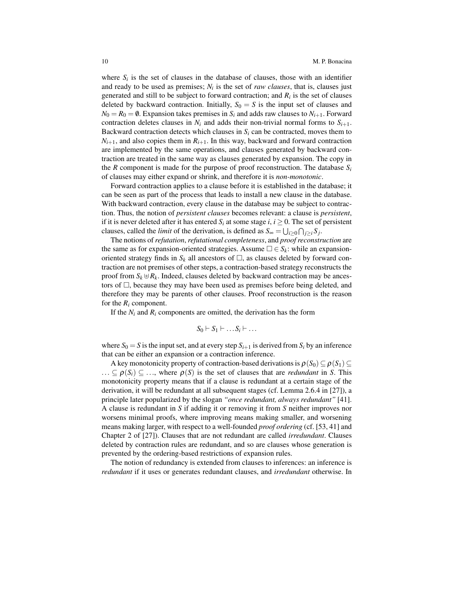where  $S_i$  is the set of clauses in the database of clauses, those with an identifier and ready to be used as premises;  $N_i$  is the set of *raw clauses*, that is, clauses just generated and still to be subject to forward contraction; and  $R_i$  is the set of clauses deleted by backward contraction. Initially,  $S_0 = S$  is the input set of clauses and  $N_0 = R_0 = \emptyset$ . Expansion takes premises in  $S_i$  and adds raw clauses to  $N_{i+1}$ . Forward contraction deletes clauses in  $N_i$  and adds their non-trivial normal forms to  $S_{i+1}$ . Backward contraction detects which clauses in  $S_i$  can be contracted, moves them to  $N_{i+1}$ , and also copies them in  $R_{i+1}$ . In this way, backward and forward contraction are implemented by the same operations, and clauses generated by backward contraction are treated in the same way as clauses generated by expansion. The copy in the *R* component is made for the purpose of proof reconstruction. The database  $S_i$ of clauses may either expand or shrink, and therefore it is *non-monotonic*.

Forward contraction applies to a clause before it is established in the database; it can be seen as part of the process that leads to install a new clause in the database. With backward contraction, every clause in the database may be subject to contraction. Thus, the notion of *persistent clauses* becomes relevant: a clause is *persistent*, if it is never deleted after it has entered  $S_i$  at some stage  $i, i \geq 0$ . The set of persistent clauses, called the *limit* of the derivation, is defined as  $S_{\infty} = \bigcup_{i \geq 0} \bigcap_{j \geq i} S_j$ .

The notions of *refutation*,*refutational completeness*, and *proof reconstruction* are the same as for expansion-oriented strategies. Assume  $\Box \in S_k$ : while an expansionoriented strategy finds in  $S_k$  all ancestors of  $\Box$ , as clauses deleted by forward contraction are not premises of other steps, a contraction-based strategy reconstructs the proof from  $S_k \oplus R_k$ . Indeed, clauses deleted by backward contraction may be ancestors of  $\Box$ , because they may have been used as premises before being deleted, and therefore they may be parents of other clauses. Proof reconstruction is the reason for the  $R_i$  component.

If the  $N_i$  and  $R_i$  components are omitted, the derivation has the form

$$
S_0 \vdash S_1 \vdash \dots S_i \vdash \dots
$$

where  $S_0 = S$  is the input set, and at every step  $S_{i+1}$  is derived from  $S_i$  by an inference that can be either an expansion or a contraction inference.

A key monotonicity property of contraction-based derivations is  $\rho(S_0) \subseteq \rho(S_1) \subseteq$  $\ldots \subseteq \rho(S_i) \subseteq \ldots$ , where  $\rho(S)$  is the set of clauses that are *redundant* in *S*. This monotonicity property means that if a clause is redundant at a certain stage of the derivation, it will be redundant at all subsequent stages (cf. Lemma 2.6.4 in [27]), a principle later popularized by the slogan *"once redundant, always redundant"* [41]. A clause is redundant in *S* if adding it or removing it from *S* neither improves nor worsens minimal proofs, where improving means making smaller, and worsening means making larger, with respect to a well-founded *proof ordering* (cf. [53, 41] and Chapter 2 of [27]). Clauses that are not redundant are called *irredundant*. Clauses deleted by contraction rules are redundant, and so are clauses whose generation is prevented by the ordering-based restrictions of expansion rules.

The notion of redundancy is extended from clauses to inferences: an inference is *redundant* if it uses or generates redundant clauses, and *irredundant* otherwise. In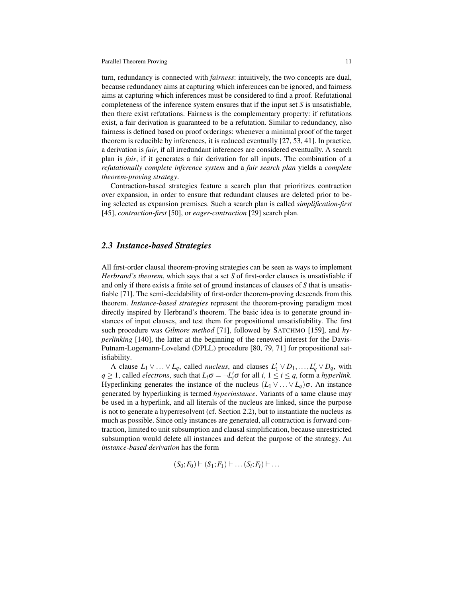turn, redundancy is connected with *fairness*: intuitively, the two concepts are dual, because redundancy aims at capturing which inferences can be ignored, and fairness aims at capturing which inferences must be considered to find a proof. Refutational completeness of the inference system ensures that if the input set *S* is unsatisfiable, then there exist refutations. Fairness is the complementary property: if refutations exist, a fair derivation is guaranteed to be a refutation. Similar to redundancy, also fairness is defined based on proof orderings: whenever a minimal proof of the target theorem is reducible by inferences, it is reduced eventually [27, 53, 41]. In practice, a derivation is *fair*, if all irredundant inferences are considered eventually. A search plan is *fair*, if it generates a fair derivation for all inputs. The combination of a *refutationally complete inference system* and a *fair search plan* yields a *complete theorem-proving strategy*.

Contraction-based strategies feature a search plan that prioritizes contraction over expansion, in order to ensure that redundant clauses are deleted prior to being selected as expansion premises. Such a search plan is called *simplification-first* [45], *contraction-first* [50], or *eager-contraction* [29] search plan.

# *2.3 Instance-based Strategies*

All first-order clausal theorem-proving strategies can be seen as ways to implement *Herbrand's theorem*, which says that a set *S* of first-order clauses is unsatisfiable if and only if there exists a finite set of ground instances of clauses of *S* that is unsatisfiable [71]. The semi-decidability of first-order theorem-proving descends from this theorem. *Instance-based strategies* represent the theorem-proving paradigm most directly inspired by Herbrand's theorem. The basic idea is to generate ground instances of input clauses, and test them for propositional unsatisfiability. The first such procedure was *Gilmore method* [71], followed by SATCHMO [159], and *hyperlinking* [140], the latter at the beginning of the renewed interest for the Davis-Putnam-Logemann-Loveland (DPLL) procedure [80, 79, 71] for propositional satisfiability.

A clause  $L_1 \vee \ldots \vee L_q$ , called *nucleus*, and clauses  $L'_1 \vee D_1, \ldots, L'_q \vee D_q$ , with  $q \ge 1$ , called *electrons*, such that  $L_i \sigma = \neg L'_i \sigma$  for all  $i, 1 \le i \le q$ , form a *hyperlink*. Hyperlinking generates the instance of the nucleus  $(L_1 \vee \ldots \vee L_a)\sigma$ . An instance generated by hyperlinking is termed *hyperinstance*. Variants of a same clause may be used in a hyperlink, and all literals of the nucleus are linked, since the purpose is not to generate a hyperresolvent (cf. Section 2.2), but to instantiate the nucleus as much as possible. Since only instances are generated, all contraction is forward contraction, limited to unit subsumption and clausal simplification, because unrestricted subsumption would delete all instances and defeat the purpose of the strategy. An *instance-based derivation* has the form

$$
(S_0;F_0) \vdash (S_1;F_1) \vdash \dots (S_i;F_i) \vdash \dots
$$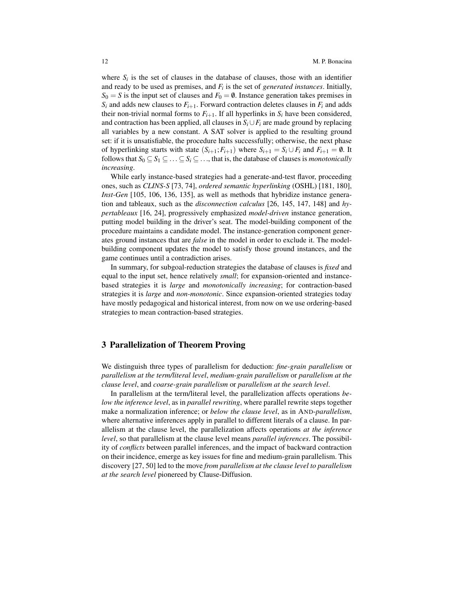where  $S_i$  is the set of clauses in the database of clauses, those with an identifier and ready to be used as premises, and *F<sup>i</sup>* is the set of *generated instances*. Initially,  $S_0 = S$  is the input set of clauses and  $F_0 = \emptyset$ . Instance generation takes premises in  $S_i$  and adds new clauses to  $F_{i+1}$ . Forward contraction deletes clauses in  $F_i$  and adds their non-trivial normal forms to  $F_{i+1}$ . If all hyperlinks in  $S_i$  have been considered, and contraction has been applied, all clauses in  $S_i \cup F_i$  are made ground by replacing all variables by a new constant. A SAT solver is applied to the resulting ground set: if it is unsatisfiable, the procedure halts successfully; otherwise, the next phase of hyperlinking starts with state  $(S_{i+1}; F_{i+1})$  where  $S_{i+1} = S_i \cup F_i$  and  $F_{i+1} = \emptyset$ . It follows that  $S_0 \subseteq S_1 \subseteq \ldots \subseteq S_i \subseteq \ldots$ , that is, the database of clauses is *monotonically increasing*.

While early instance-based strategies had a generate-and-test flavor, proceeding ones, such as *CLINS-S* [73, 74], *ordered semantic hyperlinking* (OSHL) [181, 180], *Inst-Gen* [105, 106, 136, 135], as well as methods that hybridize instance generation and tableaux, such as the *disconnection calculus* [26, 145, 147, 148] and *hypertableaux* [16, 24], progressively emphasized *model-driven* instance generation, putting model building in the driver's seat. The model-building component of the procedure maintains a candidate model. The instance-generation component generates ground instances that are *false* in the model in order to exclude it. The modelbuilding component updates the model to satisfy those ground instances, and the game continues until a contradiction arises.

In summary, for subgoal-reduction strategies the database of clauses is *fixed* and equal to the input set, hence relatively *small*; for expansion-oriented and instancebased strategies it is *large* and *monotonically increasing*; for contraction-based strategies it is *large* and *non-monotonic*. Since expansion-oriented strategies today have mostly pedagogical and historical interest, from now on we use ordering-based strategies to mean contraction-based strategies.

# 3 Parallelization of Theorem Proving

We distinguish three types of parallelism for deduction: *fine-grain parallelism* or *parallelism at the term/literal level*, *medium-grain parallelism* or *parallelism at the clause level*, and *coarse-grain parallelism* or *parallelism at the search level*.

In parallelism at the term/literal level, the parallelization affects operations *below the inference level*, as in *parallel rewriting*, where parallel rewrite steps together make a normalization inference; or *below the clause level*, as in AND-*parallelism*, where alternative inferences apply in parallel to different literals of a clause. In parallelism at the clause level, the parallelization affects operations *at the inference level*, so that parallelism at the clause level means *parallel inferences*. The possibility of *conflicts* between parallel inferences, and the impact of backward contraction on their incidence, emerge as key issues for fine and medium-grain parallelism. This discovery [27, 50] led to the move *from parallelism at the clause level to parallelism at the search level* pionereed by Clause-Diffusion.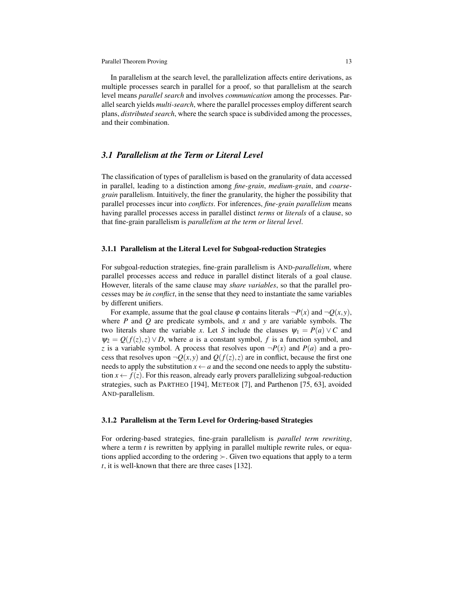In parallelism at the search level, the parallelization affects entire derivations, as multiple processes search in parallel for a proof, so that parallelism at the search level means *parallel search* and involves *communication* among the processes. Parallel search yields *multi-search*, where the parallel processes employ different search plans, *distributed search*, where the search space is subdivided among the processes, and their combination.

# *3.1 Parallelism at the Term or Literal Level*

The classification of types of parallelism is based on the granularity of data accessed in parallel, leading to a distinction among *fine-grain*, *medium-grain*, and *coarsegrain* parallelism. Intuitively, the finer the granularity, the higher the possibility that parallel processes incur into *conflicts*. For inferences, *fine-grain parallelism* means having parallel processes access in parallel distinct *terms* or *literals* of a clause, so that fine-grain parallelism is *parallelism at the term or literal level*.

### 3.1.1 Parallelism at the Literal Level for Subgoal-reduction Strategies

For subgoal-reduction strategies, fine-grain parallelism is AND-*parallelism*, where parallel processes access and reduce in parallel distinct literals of a goal clause. However, literals of the same clause may *share variables*, so that the parallel processes may be *in conflict*, in the sense that they need to instantiate the same variables by different unifiers.

For example, assume that the goal clause  $\varphi$  contains literals  $\neg P(x)$  and  $\neg Q(x, y)$ , where *P* and *Q* are predicate symbols, and *x* and *y* are variable symbols. The two literals share the variable *x*. Let *S* include the clauses  $\psi_1 = P(a) \vee C$  and  $\Psi_2 = Q(f(z), z) \vee D$ , where *a* is a constant symbol, *f* is a function symbol, and *z* is a variable symbol. A process that resolves upon  $\neg P(x)$  and  $P(a)$  and a process that resolves upon  $\neg Q(x, y)$  and  $Q(f(z), z)$  are in conflict, because the first one needs to apply the substitution  $x \leftarrow a$  and the second one needs to apply the substitution  $x \leftarrow f(z)$ . For this reason, already early provers parallelizing subgoal-reduction strategies, such as PARTHEO [194], METEOR [7], and Parthenon [75, 63], avoided AND-parallelism.

### 3.1.2 Parallelism at the Term Level for Ordering-based Strategies

For ordering-based strategies, fine-grain parallelism is *parallel term rewriting*, where a term *t* is rewritten by applying in parallel multiple rewrite rules, or equations applied according to the ordering  $\succ$ . Given two equations that apply to a term *t*, it is well-known that there are three cases [132].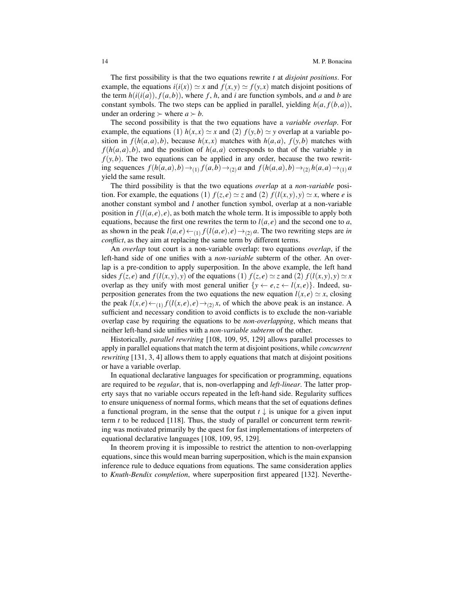The first possibility is that the two equations rewrite *t* at *disjoint positions*. For example, the equations  $i(i(x)) \simeq x$  and  $f(x, y) \simeq f(y, x)$  match disjoint positions of the term  $h(i(i(a)), f(a, b))$ , where f, h, and *i* are function symbols, and *a* and *b* are constant symbols. The two steps can be applied in parallel, yielding  $h(a, f(b, a))$ , under an ordering  $\succ$  where  $a \succ b$ .

The second possibility is that the two equations have a *variable overlap*. For example, the equations (1)  $h(x,x) \simeq x$  and (2)  $f(y,b) \simeq y$  overlap at a variable position in  $f(h(a,a),b)$ , because  $h(x,x)$  matches with  $h(a,a)$ ,  $f(y,b)$  matches with  $f(h(a,a),b)$ , and the position of  $h(a,a)$  corresponds to that of the variable *y* in  $f(y, b)$ . The two equations can be applied in any order, because the two rewriting sequences  $f(h(a, a), b) \to_{(1)} f(a, b) \to_{(2)} a$  and  $f(h(a, a), b) \to_{(2)} h(a, a) \to_{(1)} a$ yield the same result.

The third possibility is that the two equations *overlap* at a *non-variable* position. For example, the equations (1)  $f(z, e) \simeq z$  and (2)  $f(l(x, y), y) \simeq x$ , where *e* is another constant symbol and *l* another function symbol, overlap at a non-variable position in  $f(l(a, e), e)$ , as both match the whole term. It is impossible to apply both equations, because the first one rewrites the term to  $l(a, e)$  and the second one to *a*, as shown in the peak  $l(a, e) \leftarrow_{(1)} f(l(a, e), e) \rightarrow_{(2)} a$ . The two rewriting steps are *in conflict*, as they aim at replacing the same term by different terms.

An *overlap* tout court is a non-variable overlap: two equations *overlap*, if the left-hand side of one unifies with a *non-variable* subterm of the other. An overlap is a pre-condition to apply superposition. In the above example, the left hand sides  $f(z, e)$  and  $f(l(x, y), y)$  of the equations (1)  $f(z, e) \simeq z$  and (2)  $f(l(x, y), y) \simeq x$ overlap as they unify with most general unifier  $\{y \leftarrow e, z \leftarrow l(x, e)\}\$ . Indeed, superposition generates from the two equations the new equation  $l(x, e) \simeq x$ , closing the peak  $l(x, e) \leftarrow_{(1)} f(l(x, e), e) \rightarrow_{(2)} x$ , of which the above peak is an instance. A sufficient and necessary condition to avoid conflicts is to exclude the non-variable overlap case by requiring the equations to be *non-overlapping*, which means that neither left-hand side unifies with a *non-variable subterm* of the other.

Historically, *parallel rewriting* [108, 109, 95, 129] allows parallel processes to apply in parallel equations that match the term at disjoint positions, while *concurrent rewriting* [131, 3, 4] allows them to apply equations that match at disjoint positions or have a variable overlap.

In equational declarative languages for specification or programming, equations are required to be *regular*, that is, non-overlapping and *left-linear*. The latter property says that no variable occurs repeated in the left-hand side. Regularity suffices to ensure uniqueness of normal forms, which means that the set of equations defines a functional program, in the sense that the output  $t \downarrow$  is unique for a given input term *t* to be reduced [118]. Thus, the study of parallel or concurrent term rewriting was motivated primarily by the quest for fast implementations of interpreters of equational declarative languages [108, 109, 95, 129].

In theorem proving it is impossible to restrict the attention to non-overlapping equations, since this would mean barring superposition, which is the main expansion inference rule to deduce equations from equations. The same consideration applies to *Knuth-Bendix completion*, where superposition first appeared [132]. Neverthe-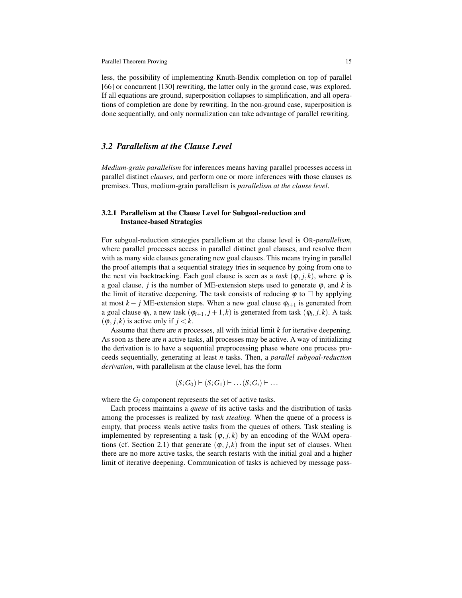less, the possibility of implementing Knuth-Bendix completion on top of parallel [66] or concurrent [130] rewriting, the latter only in the ground case, was explored. If all equations are ground, superposition collapses to simplification, and all operations of completion are done by rewriting. In the non-ground case, superposition is done sequentially, and only normalization can take advantage of parallel rewriting.

# *3.2 Parallelism at the Clause Level*

*Medium-grain parallelism* for inferences means having parallel processes access in parallel distinct *clauses*, and perform one or more inferences with those clauses as premises. Thus, medium-grain parallelism is *parallelism at the clause level*.

### 3.2.1 Parallelism at the Clause Level for Subgoal-reduction and Instance-based Strategies

For subgoal-reduction strategies parallelism at the clause level is OR-*parallelism*, where parallel processes access in parallel distinct goal clauses, and resolve them with as many side clauses generating new goal clauses. This means trying in parallel the proof attempts that a sequential strategy tries in sequence by going from one to the next via backtracking. Each goal clause is seen as a *task* ( $\varphi$ , *j*, *k*), where  $\varphi$  is a goal clause, *j* is the number of ME-extension steps used to generate  $\varphi$ , and *k* is the limit of iterative deepening. The task consists of reducing  $\varphi$  to  $\Box$  by applying at most  $k - j$  ME-extension steps. When a new goal clause  $\varphi_{i+1}$  is generated from a goal clause  $\varphi_i$ , a new task  $(\varphi_{i+1}, j+1, k)$  is generated from task  $(\varphi_i, j, k)$ . A task  $(\varphi, j, k)$  is active only if  $j < k$ .

Assume that there are *n* processes, all with initial limit *k* for iterative deepening. As soon as there are *n* active tasks, all processes may be active. A way of initializing the derivation is to have a sequential preprocessing phase where one process proceeds sequentially, generating at least *n* tasks. Then, a *parallel subgoal-reduction derivation*, with parallelism at the clause level, has the form

 $(S; G_0) \vdash (S; G_1) \vdash \ldots (S; G_i) \vdash \ldots$ 

where the  $G_i$  component represents the set of active tasks.

Each process maintains a *queue* of its active tasks and the distribution of tasks among the processes is realized by *task stealing*. When the queue of a process is empty, that process steals active tasks from the queues of others. Task stealing is implemented by representing a task  $(\varphi, j, k)$  by an encoding of the WAM operations (cf. Section 2.1) that generate  $(\varphi, j, k)$  from the input set of clauses. When there are no more active tasks, the search restarts with the initial goal and a higher limit of iterative deepening. Communication of tasks is achieved by message pass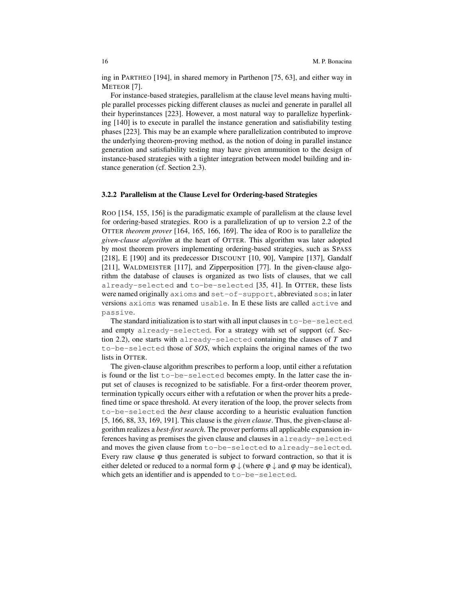ing in PARTHEO [194], in shared memory in Parthenon [75, 63], and either way in METEOR [7].

For instance-based strategies, parallelism at the clause level means having multiple parallel processes picking different clauses as nuclei and generate in parallel all their hyperinstances [223]. However, a most natural way to parallelize hyperlinking [140] is to execute in parallel the instance generation and satisfiability testing phases [223]. This may be an example where parallelization contributed to improve the underlying theorem-proving method, as the notion of doing in parallel instance generation and satisfiability testing may have given ammunition to the design of instance-based strategies with a tighter integration between model building and instance generation (cf. Section 2.3).

### 3.2.2 Parallelism at the Clause Level for Ordering-based Strategies

ROO [154, 155, 156] is the paradigmatic example of parallelism at the clause level for ordering-based strategies. ROO is a parallelization of up to version 2.2 of the OTTER *theorem prover* [164, 165, 166, 169]. The idea of ROO is to parallelize the *given-clause algorithm* at the heart of OTTER. This algorithm was later adopted by most theorem provers implementing ordering-based strategies, such as SPASS [218], E [190] and its predecessor DISCOUNT [10, 90], Vampire [137], Gandalf [211], WALDMEISTER [117], and Zipperposition [77]. In the given-clause algorithm the database of clauses is organized as two lists of clauses, that we call already-selected and to-be-selected [35, 41]. In OTTER, these lists were named originally axioms and set-of-support, abbreviated sos; in later versions axioms was renamed usable. In E these lists are called active and passive.

The standard initialization is to start with all input clauses in to-be-selected and empty already-selected. For a strategy with set of support (cf. Section 2.2), one starts with already-selected containing the clauses of *T* and to-be-selected those of *SOS*, which explains the original names of the two lists in OTTER.

The given-clause algorithm prescribes to perform a loop, until either a refutation is found or the list to-be-selected becomes empty. In the latter case the input set of clauses is recognized to be satisfiable. For a first-order theorem prover, termination typically occurs either with a refutation or when the prover hits a predefined time or space threshold. At every iteration of the loop, the prover selects from to-be-selected the *best* clause according to a heuristic evaluation function [5, 166, 88, 33, 169, 191]. This clause is the *given clause*. Thus, the given-clause algorithm realizes a *best-first search*. The prover performs all applicable expansion inferences having as premises the given clause and clauses in already-selected and moves the given clause from to-be-selected to already-selected. Every raw clause  $\varphi$  thus generated is subject to forward contraction, so that it is either deleted or reduced to a normal form  $\varphi \downarrow$  (where  $\varphi \downarrow$  and  $\varphi$  may be identical), which gets an identifier and is appended to  $to$ -be-selected.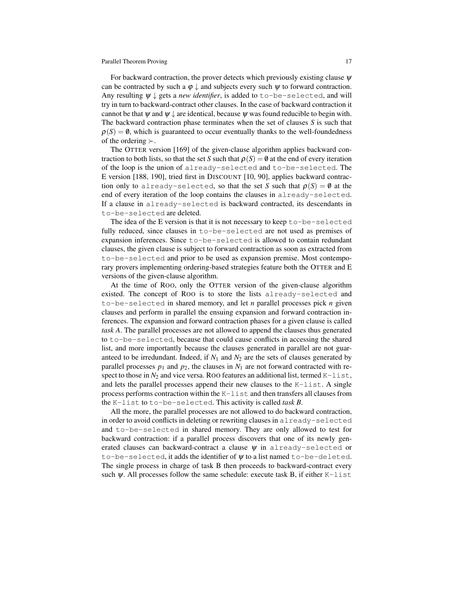For backward contraction, the prover detects which previously existing clause  $\psi$ can be contracted by such a  $\varphi \downarrow$  and subjects every such  $\psi$  to forward contraction. Any resulting  $\psi \downarrow$  gets a *new identifier*, is added to to-be-selected, and will try in turn to backward-contract other clauses. In the case of backward contraction it cannot be that  $\psi$  and  $\psi \downarrow$  are identical, because  $\psi$  was found reducible to begin with. The backward contraction phase terminates when the set of clauses *S* is such that  $\rho(S) = \emptyset$ , which is guaranteed to occur eventually thanks to the well-foundedness of the ordering  $\succ$ .

The OTTER version [169] of the given-clause algorithm applies backward contraction to both lists, so that the set *S* such that  $\rho(S) = \emptyset$  at the end of every iteration of the loop is the union of already-selected and to-be-selected. The E version [188, 190], tried first in DISCOUNT [10, 90], applies backward contraction only to already-selected, so that the set *S* such that  $\rho(S) = \emptyset$  at the end of every iteration of the loop contains the clauses in already-selected. If a clause in already-selected is backward contracted, its descendants in to-be-selected are deleted.

The idea of the E version is that it is not necessary to keep to-be-selected fully reduced, since clauses in to-be-selected are not used as premises of expansion inferences. Since to-be-selected is allowed to contain redundant clauses, the given clause is subject to forward contraction as soon as extracted from to-be-selected and prior to be used as expansion premise. Most contemporary provers implementing ordering-based strategies feature both the OTTER and E versions of the given-clause algorithm.

At the time of ROO, only the OTTER version of the given-clause algorithm existed. The concept of ROO is to store the lists already-selected and to-be-selected in shared memory, and let *n* parallel processes pick *n* given clauses and perform in parallel the ensuing expansion and forward contraction inferences. The expansion and forward contraction phases for a given clause is called *task A*. The parallel processes are not allowed to append the clauses thus generated to to-be-selected, because that could cause conflicts in accessing the shared list, and more importantly because the clauses generated in parallel are not guaranteed to be irredundant. Indeed, if  $N_1$  and  $N_2$  are the sets of clauses generated by parallel processes  $p_1$  and  $p_2$ , the clauses in  $N_1$  are not forward contracted with respect to those in  $N_2$  and vice versa. ROO features an additional list, termed K-list, and lets the parallel processes append their new clauses to the  $K-$ list. A single process performs contraction within the K-list and then transfers all clauses from the K-list to to-be-selected. This activity is called *task B*.

All the more, the parallel processes are not allowed to do backward contraction, in order to avoid conflicts in deleting or rewriting clauses in already-selected and to-be-selected in shared memory. They are only allowed to test for backward contraction: if a parallel process discovers that one of its newly generated clauses can backward-contract a clause  $\psi$  in already-selected or to-be-selected, it adds the identifier of  $\psi$  to a list named to-be-deleted. The single process in charge of task B then proceeds to backward-contract every such  $\psi$ . All processes follow the same schedule: execute task B, if either K-list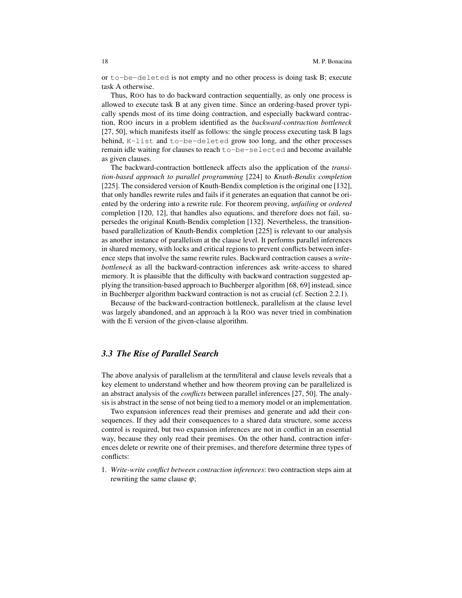or to-be-deleted is not empty and no other process is doing task B; execute task A otherwise.

Thus, ROO has to do backward contraction sequentially, as only one process is allowed to execute task B at any given time. Since an ordering-based prover typically spends most of its time doing contraction, and especially backward contraction, ROO incurs in a problem identified as the *backward-contraction bottleneck* [27, 50], which manifests itself as follows: the single process executing task B lags behind, K-list and to-be-deleted grow too long, and the other processes remain idle waiting for clauses to reach to-be-selected and become available as given clauses.

The backward-contraction bottleneck affects also the application of the *transition-based approach to parallel programming* [224] to *Knuth-Bendix completion* [225]. The considered version of Knuth-Bendix completion is the original one [132], that only handles rewrite rules and fails if it generates an equation that cannot be oriented by the ordering into a rewrite rule. For theorem proving, *unfailing* or *ordered* completion [120, 12], that handles also equations, and therefore does not fail, supersedes the original Knuth-Bendix completion [132]. Nevertheless, the transitionbased parallelization of Knuth-Bendix completion [225] is relevant to our analysis as another instance of parallelism at the clause level. It performs parallel inferences in shared memory, with locks and critical regions to prevent conflicts between inference steps that involve the same rewrite rules. Backward contraction causes a *writebottleneck* as all the backward-contraction inferences ask write-access to shared memory. It is plausible that the difficulty with backward contraction suggested applying the transition-based approach to Buchberger algorithm [68, 69] instead, since in Buchberger algorithm backward contraction is not as crucial (cf. Section 2.2.1).

Because of the backward-contraction bottleneck, parallelism at the clause level was largely abandoned, and an approach à la ROO was never tried in combination with the E version of the given-clause algorithm.

### *3.3 The Rise of Parallel Search*

The above analysis of parallelism at the term/literal and clause levels reveals that a key element to understand whether and how theorem proving can be parallelized is an abstract analysis of the *conflicts* between parallel inferences [27, 50]. The analysis is abstract in the sense of not being tied to a memory model or an implementation.

Two expansion inferences read their premises and generate and add their consequences. If they add their consequences to a shared data structure, some access control is required, but two expansion inferences are not in conflict in an essential way, because they only read their premises. On the other hand, contraction inferences delete or rewrite one of their premises, and therefore determine three types of conflicts:

1. *Write-write conflict between contraction inferences*: two contraction steps aim at rewriting the same clause  $\varphi$ ;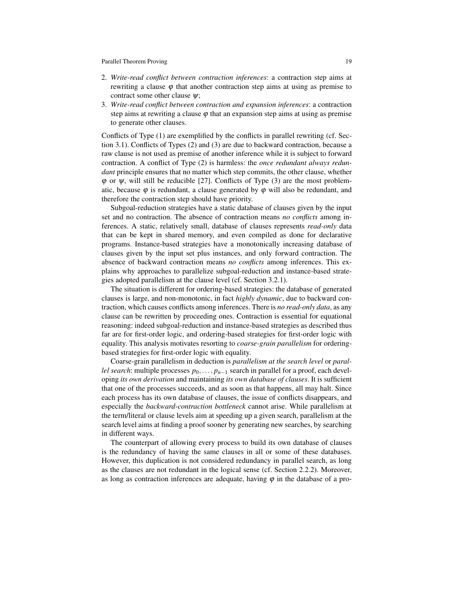- 2. *Write-read conflict between contraction inferences*: a contraction step aims at rewriting a clause  $\varphi$  that another contraction step aims at using as premise to contract some other clause  $\psi$ ;
- 3. *Write-read conflict between contraction and expansion inferences*: a contraction step aims at rewriting a clause  $\varphi$  that an expansion step aims at using as premise to generate other clauses.

Conflicts of Type (1) are exemplified by the conflicts in parallel rewriting (cf. Section 3.1). Conflicts of Types (2) and (3) are due to backward contraction, because a raw clause is not used as premise of another inference while it is subject to forward contraction. A conflict of Type (2) is harmless: the *once redundant always redundant* principle ensures that no matter which step commits, the other clause, whether  $\varphi$  or  $\psi$ , will still be reducible [27]. Conflicts of Type (3) are the most problematic, because  $\varphi$  is redundant, a clause generated by  $\varphi$  will also be redundant, and therefore the contraction step should have priority.

Subgoal-reduction strategies have a static database of clauses given by the input set and no contraction. The absence of contraction means *no conflicts* among inferences. A static, relatively small, database of clauses represents *read-only* data that can be kept in shared memory, and even compiled as done for declarative programs. Instance-based strategies have a monotonically increasing database of clauses given by the input set plus instances, and only forward contraction. The absence of backward contraction means *no conflicts* among inferences. This explains why approaches to parallelize subgoal-reduction and instance-based strategies adopted parallelism at the clause level (cf. Section 3.2.1).

The situation is different for ordering-based strategies: the database of generated clauses is large, and non-monotonic, in fact *highly dynamic*, due to backward contraction, which causes conflicts among inferences. There is *no read-only data*, as any clause can be rewritten by proceeding ones. Contraction is essential for equational reasoning: indeed subgoal-reduction and instance-based strategies as described thus far are for first-order logic, and ordering-based strategies for first-order logic with equality. This analysis motivates resorting to *coarse-grain parallelism* for orderingbased strategies for first-order logic with equality.

Coarse-grain parallelism in deduction is *parallelism at the search level* or *parallel search*: multiple processes  $p_0, \ldots, p_{n-1}$  search in parallel for a proof, each developing *its own derivation* and maintaining *its own database of clauses*. It is sufficient that one of the processes succeeds, and as soon as that happens, all may halt. Since each process has its own database of clauses, the issue of conflicts disappears, and especially the *backward-contraction bottleneck* cannot arise. While parallelism at the term/literal or clause levels aim at speeding up a given search, parallelism at the search level aims at finding a proof sooner by generating new searches, by searching in different ways.

The counterpart of allowing every process to build its own database of clauses is the redundancy of having the same clauses in all or some of these databases. However, this duplication is not considered redundancy in parallel search, as long as the clauses are not redundant in the logical sense (cf. Section 2.2.2). Moreover, as long as contraction inferences are adequate, having  $\varphi$  in the database of a pro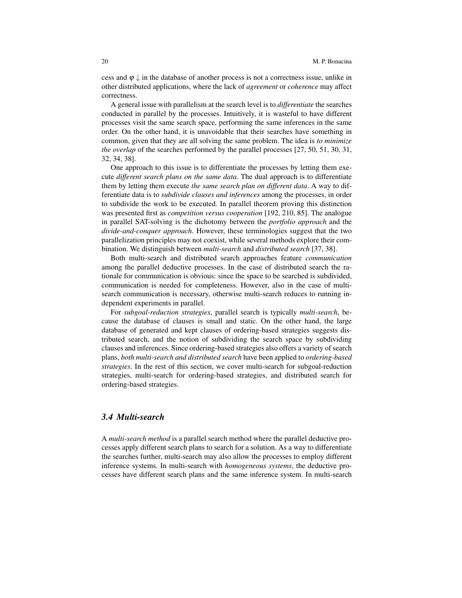cess and  $\varphi \downarrow$  in the database of another process is not a correctness issue, unlike in other distributed applications, where the lack of *agreement* or *coherence* may affect correctness.

A general issue with parallelism at the search level is to *differentiate* the searches conducted in parallel by the processes. Intuitively, it is wasteful to have different processes visit the same search space, performing the same inferences in the same order. On the other hand, it is unavoidable that their searches have something in common, given that they are all solving the same problem. The idea is *to minimize the overlap* of the searches performed by the parallel processes [27, 50, 51, 30, 31, 32, 34, 38].

One approach to this issue is to differentiate the processes by letting them execute *different search plans on the same data*. The dual approach is to differentiate them by letting them execute *the same search plan on different data*. A way to differentiate data is to *subdivide clauses and inferences* among the processes, in order to subdivide the work to be executed. In parallel theorem proving this distinction was presented first as *competition versus cooperation* [192, 210, 85]. The analogue in parallel SAT-solving is the dichotomy between the *portfolio approach* and the *divide-and-conquer approach*. However, these terminologies suggest that the two parallelization principles may not coexist, while several methods explore their combination. We distinguish between *multi-search* and *distributed search* [37, 38].

Both multi-search and distributed search approaches feature *communication* among the parallel deductive processes. In the case of distributed search the rationale for communication is obvious: since the space to be searched is subdivided, communication is needed for completeness. However, also in the case of multisearch communication is necessary, otherwise multi-search reduces to running independent experiments in parallel.

For *subgoal-reduction strategies*, parallel search is typically *multi-search*, because the database of clauses is small and static. On the other hand, the large database of generated and kept clauses of ordering-based strategies suggests distributed search, and the notion of subdividing the search space by subdividing clauses and inferences. Since ordering-based strategies also offers a variety of search plans, *both multi-search and distributed search* have been applied to *ordering-based strategies*. In the rest of this section, we cover multi-search for subgoal-reduction strategies, multi-search for ordering-based strategies, and distributed search for ordering-based strategies.

### *3.4 Multi-search*

A *multi-search method* is a parallel search method where the parallel deductive processes apply different search plans to search for a solution. As a way to differentiate the searches further, multi-search may also allow the processes to employ different inference systems. In multi-search with *homogeneous systems*, the deductive processes have different search plans and the same inference system. In multi-search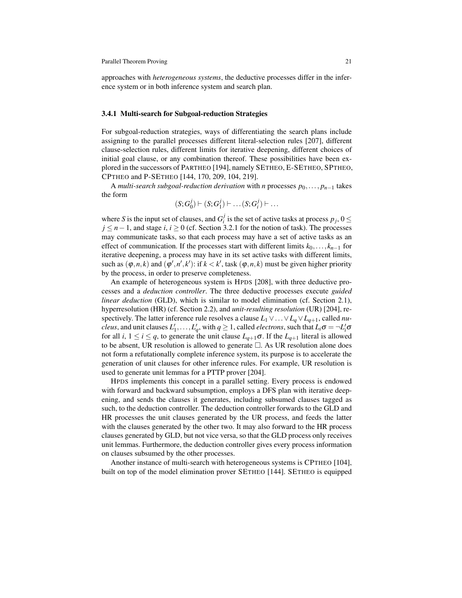approaches with *heterogeneous systems*, the deductive processes differ in the inference system or in both inference system and search plan.

### 3.4.1 Multi-search for Subgoal-reduction Strategies

For subgoal-reduction strategies, ways of differentiating the search plans include assigning to the parallel processes different literal-selection rules [207], different clause-selection rules, different limits for iterative deepening, different choices of initial goal clause, or any combination thereof. These possibilities have been explored in the successors of PARTHEO [194], namely SETHEO, E-SETHEO, SPTHEO, CPTHEO and P-SETHEO [144, 170, 209, 104, 219].

A *multi-search subgoal-reduction derivation* with *n* processes  $p_0, \ldots, p_{n-1}$  takes the form

$$
(S;G_0^j) \vdash (S;G_1^j) \vdash \dots (S;G_i^j) \vdash \dots
$$

where *S* is the input set of clauses, and  $G_i^j$  is the set of active tasks at process  $p_j$ ,  $0 \le$ *j* ≤ *n* − 1, and stage *i*, *i* ≥ 0 (cf. Section 3.2.1 for the notion of task). The processes may communicate tasks, so that each process may have a set of active tasks as an effect of communication. If the processes start with different limits  $k_0, \ldots, k_{n-1}$  for iterative deepening, a process may have in its set active tasks with different limits, such as  $(\varphi, n, k)$  and  $(\varphi', n', k')$ : if  $k < k'$ , task  $(\varphi, n, k)$  must be given higher priority by the process, in order to preserve completeness.

An example of heterogeneous system is HPDS [208], with three deductive processes and a *deduction controller*. The three deductive processes execute *guided linear deduction* (GLD), which is similar to model elimination (cf. Section 2.1), hyperresolution (HR) (cf. Section 2.2), and *unit-resulting resolution* (UR) [204], respectively. The latter inference rule resolves a clause  $L_1 \vee \ldots \vee L_q \vee L_{q+1}$ , called *nucleus*, and unit clauses  $L'_1, \ldots, L'_q$ , with  $q \ge 1$ , called *electrons*, such that  $L_i \sigma = \neg L'_i \sigma$ for all *i*,  $1 \le i \le q$ , to generate the unit clause  $L_{q+1}\sigma$ . If the  $L_{q+1}$  literal is allowed to be absent, UR resolution is allowed to generate  $\Box$ . As UR resolution alone does not form a refutationally complete inference system, its purpose is to accelerate the generation of unit clauses for other inference rules. For example, UR resolution is used to generate unit lemmas for a PTTP prover [204].

HPDS implements this concept in a parallel setting. Every process is endowed with forward and backward subsumption, employs a DFS plan with iterative deepening, and sends the clauses it generates, including subsumed clauses tagged as such, to the deduction controller. The deduction controller forwards to the GLD and HR processes the unit clauses generated by the UR process, and feeds the latter with the clauses generated by the other two. It may also forward to the HR process clauses generated by GLD, but not vice versa, so that the GLD process only receives unit lemmas. Furthermore, the deduction controller gives every process information on clauses subsumed by the other processes.

Another instance of multi-search with heterogeneous systems is CPTHEO [104], built on top of the model elimination prover SETHEO [144]. SETHEO is equipped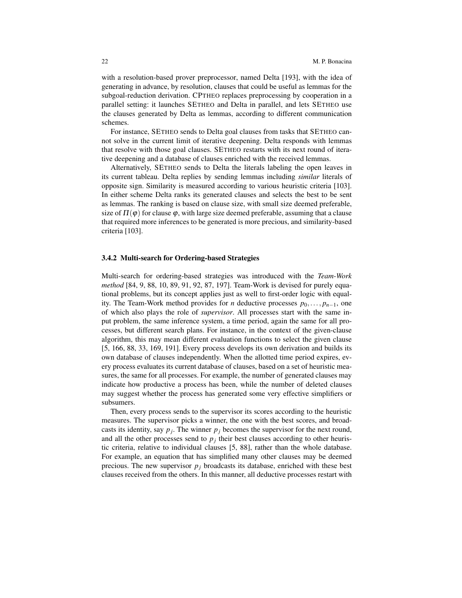with a resolution-based prover preprocessor, named Delta [193], with the idea of generating in advance, by resolution, clauses that could be useful as lemmas for the subgoal-reduction derivation. CPTHEO replaces preprocessing by cooperation in a parallel setting: it launches SETHEO and Delta in parallel, and lets SETHEO use the clauses generated by Delta as lemmas, according to different communication schemes.

For instance, SETHEO sends to Delta goal clauses from tasks that SETHEO cannot solve in the current limit of iterative deepening. Delta responds with lemmas that resolve with those goal clauses. SETHEO restarts with its next round of iterative deepening and a database of clauses enriched with the received lemmas.

Alternatively, SETHEO sends to Delta the literals labeling the open leaves in its current tableau. Delta replies by sending lemmas including *similar* literals of opposite sign. Similarity is measured according to various heuristic criteria [103]. In either scheme Delta ranks its generated clauses and selects the best to be sent as lemmas. The ranking is based on clause size, with small size deemed preferable, size of  $\Pi(\varphi)$  for clause  $\varphi$ , with large size deemed preferable, assuming that a clause that required more inferences to be generated is more precious, and similarity-based criteria [103].

### 3.4.2 Multi-search for Ordering-based Strategies

Multi-search for ordering-based strategies was introduced with the *Team-Work method* [84, 9, 88, 10, 89, 91, 92, 87, 197]. Team-Work is devised for purely equational problems, but its concept applies just as well to first-order logic with equality. The Team-Work method provides for *n* deductive processes  $p_0, \ldots, p_{n-1}$ , one of which also plays the role of *supervisor*. All processes start with the same input problem, the same inference system, a time period, again the same for all processes, but different search plans. For instance, in the context of the given-clause algorithm, this may mean different evaluation functions to select the given clause [5, 166, 88, 33, 169, 191]. Every process develops its own derivation and builds its own database of clauses independently. When the allotted time period expires, every process evaluates its current database of clauses, based on a set of heuristic measures, the same for all processes. For example, the number of generated clauses may indicate how productive a process has been, while the number of deleted clauses may suggest whether the process has generated some very effective simplifiers or subsumers.

Then, every process sends to the supervisor its scores according to the heuristic measures. The supervisor picks a winner, the one with the best scores, and broadcasts its identity, say  $p_j$ . The winner  $p_j$  becomes the supervisor for the next round, and all the other processes send to  $p_j$  their best clauses according to other heuristic criteria, relative to individual clauses [5, 88], rather than the whole database. For example, an equation that has simplified many other clauses may be deemed precious. The new supervisor  $p_j$  broadcasts its database, enriched with these best clauses received from the others. In this manner, all deductive processes restart with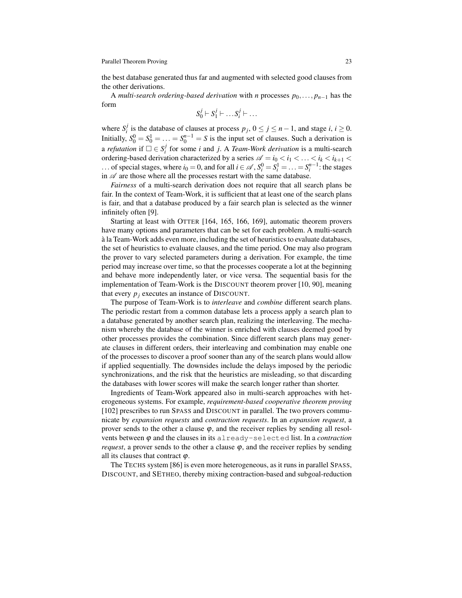the best database generated thus far and augmented with selected good clauses from the other derivations.

A *multi-search ordering-based derivation* with *n* processes *p*0,..., *pn*−<sup>1</sup> has the form

$$
S_0^j \vdash S_1^j \vdash \dots S_i^j \vdash \dots
$$

where  $S_i^j$  is the database of clauses at process  $p_j$ ,  $0 \le j \le n-1$ , and stage *i*, *i* ≥ 0. Initially,  $S_0^0 = S_0^1 = \ldots = S_0^{n-1} = S$  is the input set of clauses. Such a derivation is a *refutation* if  $\square \in S_i^j$  for some *i* and *j*. A *Team-Work derivation* is a multi-search ordering-based derivation characterized by a series  $\mathscr{A} = i_0 < i_1 < \ldots < i_k < i_{k+1} <$ ... of special stages, where  $i_0 = 0$ , and for all  $i \in \mathcal{A}$ ,  $S_i^0 = S_i^1 = \ldots = S_i^{n-1}$ : the stages in  $\mathscr A$  are those where all the processes restart with the same database.

*Fairness* of a multi-search derivation does not require that all search plans be fair. In the context of Team-Work, it is sufficient that at least one of the search plans is fair, and that a database produced by a fair search plan is selected as the winner infinitely often [9].

Starting at least with OTTER [164, 165, 166, 169], automatic theorem provers have many options and parameters that can be set for each problem. A multi-search a la Team-Work adds even more, including the set of heuristics to evaluate databases, ` the set of heuristics to evaluate clauses, and the time period. One may also program the prover to vary selected parameters during a derivation. For example, the time period may increase over time, so that the processes cooperate a lot at the beginning and behave more independently later, or vice versa. The sequential basis for the implementation of Team-Work is the DISCOUNT theorem prover [10, 90], meaning that every  $p_i$  executes an instance of DISCOUNT.

The purpose of Team-Work is to *interleave* and *combine* different search plans. The periodic restart from a common database lets a process apply a search plan to a database generated by another search plan, realizing the interleaving. The mechanism whereby the database of the winner is enriched with clauses deemed good by other processes provides the combination. Since different search plans may generate clauses in different orders, their interleaving and combination may enable one of the processes to discover a proof sooner than any of the search plans would allow if applied sequentially. The downsides include the delays imposed by the periodic synchronizations, and the risk that the heuristics are misleading, so that discarding the databases with lower scores will make the search longer rather than shorter.

Ingredients of Team-Work appeared also in multi-search approaches with heterogeneous systems. For example, *requirement-based cooperative theorem proving* [102] prescribes to run SPASS and DISCOUNT in parallel. The two provers communicate by *expansion requests* and *contraction requests*. In an *expansion request*, a prover sends to the other a clause  $\varphi$ , and the receiver replies by sending all resolvents between ϕ and the clauses in its already-selected list. In a *contraction request*, a prover sends to the other a clause  $\varphi$ , and the receiver replies by sending all its clauses that contract  $\varphi$ .

The TECHS system [86] is even more heterogeneous, as it runs in parallel SPASS, DISCOUNT, and SETHEO, thereby mixing contraction-based and subgoal-reduction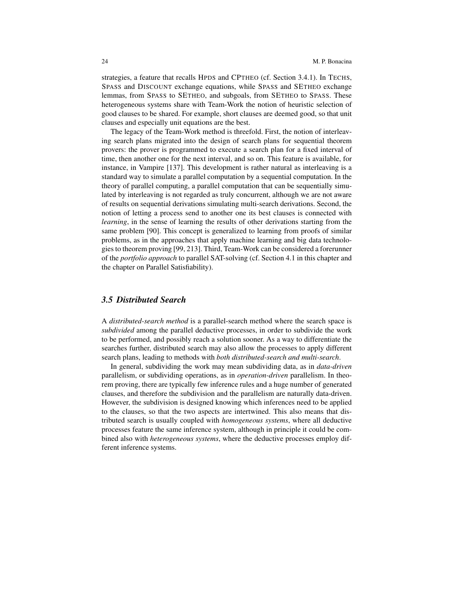strategies, a feature that recalls HPDS and CPTHEO (cf. Section 3.4.1). In TECHS, SPASS and DISCOUNT exchange equations, while SPASS and SETHEO exchange lemmas, from SPASS to SETHEO, and subgoals, from SETHEO to SPASS. These heterogeneous systems share with Team-Work the notion of heuristic selection of good clauses to be shared. For example, short clauses are deemed good, so that unit clauses and especially unit equations are the best.

The legacy of the Team-Work method is threefold. First, the notion of interleaving search plans migrated into the design of search plans for sequential theorem provers: the prover is programmed to execute a search plan for a fixed interval of time, then another one for the next interval, and so on. This feature is available, for instance, in Vampire [137]. This development is rather natural as interleaving is a standard way to simulate a parallel computation by a sequential computation. In the theory of parallel computing, a parallel computation that can be sequentially simulated by interleaving is not regarded as truly concurrent, although we are not aware of results on sequential derivations simulating multi-search derivations. Second, the notion of letting a process send to another one its best clauses is connected with *learning*, in the sense of learning the results of other derivations starting from the same problem [90]. This concept is generalized to learning from proofs of similar problems, as in the approaches that apply machine learning and big data technologies to theorem proving [99, 213]. Third, Team-Work can be considered a forerunner of the *portfolio approach* to parallel SAT-solving (cf. Section 4.1 in this chapter and the chapter on Parallel Satisfiability).

# *3.5 Distributed Search*

A *distributed-search method* is a parallel-search method where the search space is *subdivided* among the parallel deductive processes, in order to subdivide the work to be performed, and possibly reach a solution sooner. As a way to differentiate the searches further, distributed search may also allow the processes to apply different search plans, leading to methods with *both distributed-search and multi-search*.

In general, subdividing the work may mean subdividing data, as in *data-driven* parallelism, or subdividing operations, as in *operation-driven* parallelism. In theorem proving, there are typically few inference rules and a huge number of generated clauses, and therefore the subdivision and the parallelism are naturally data-driven. However, the subdivision is designed knowing which inferences need to be applied to the clauses, so that the two aspects are intertwined. This also means that distributed search is usually coupled with *homogeneous systems*, where all deductive processes feature the same inference system, although in principle it could be combined also with *heterogeneous systems*, where the deductive processes employ different inference systems.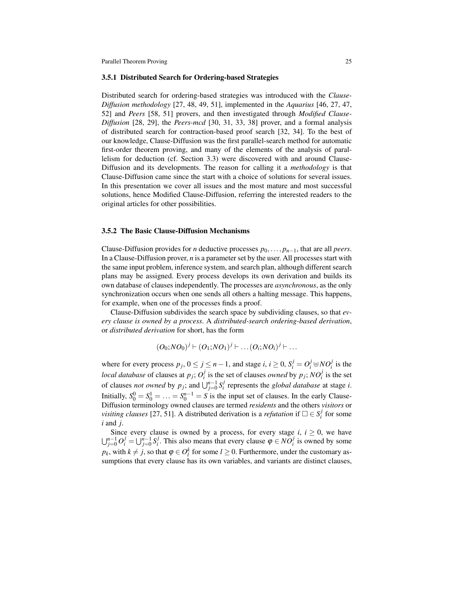#### 3.5.1 Distributed Search for Ordering-based Strategies

Distributed search for ordering-based strategies was introduced with the *Clause-Diffusion methodology* [27, 48, 49, 51], implemented in the *Aquarius* [46, 27, 47, 52] and *Peers* [58, 51] provers, and then investigated through *Modified Clause-Diffusion* [28, 29], the *Peers-mcd* [30, 31, 33, 38] prover, and a formal analysis of distributed search for contraction-based proof search [32, 34]. To the best of our knowledge, Clause-Diffusion was the first parallel-search method for automatic first-order theorem proving, and many of the elements of the analysis of parallelism for deduction (cf. Section 3.3) were discovered with and around Clause-Diffusion and its developments. The reason for calling it a *methodology* is that Clause-Diffusion came since the start with a choice of solutions for several issues. In this presentation we cover all issues and the most mature and most successful solutions, hence Modified Clause-Diffusion, referring the interested readers to the original articles for other possibilities.

#### 3.5.2 The Basic Clause-Diffusion Mechanisms

Clause-Diffusion provides for *n* deductive processes  $p_0, \ldots, p_{n-1}$ , that are all *peers*. In a Clause-Diffusion prover, *n* is a parameter set by the user. All processes start with the same input problem, inference system, and search plan, although different search plans may be assigned. Every process develops its own derivation and builds its own database of clauses independently. The processes are *asynchronous*, as the only synchronization occurs when one sends all others a halting message. This happens, for example, when one of the processes finds a proof.

Clause-Diffusion subdivides the search space by subdividing clauses, so that *every clause is owned by a process*. A *distributed-search ordering-based derivation*, or *distributed derivation* for short, has the form

$$
(O_0;NO_0)^j \vdash (O_1;NO_1)^j \vdash \dots (O_i;NO_i)^j \vdash \dots
$$

where for every process  $p_j$ ,  $0 \le j \le n-1$ , and stage *i*,  $i \ge 0$ ,  $S_i^j = O_i^j \cup NO_i^j$  is the *local database* of clauses at  $p_j$ ;  $O_i^j$  is the set of clauses *owned* by  $p_j$ ;  $NO_i^j$  is the set of clauses *not owned* by  $p_j$ ; and  $\bigcup_{j=0}^{n-1} S_j^j$  represents the *global database* at stage *i*. Initially,  $S_0^0 = S_0^1 = \ldots = S_0^{n-1} = S$  is the input set of clauses. In the early Clause-Diffusion terminology owned clauses are termed *residents* and the others *visitors* or *visiting clauses* [27, 51]. A distributed derivation is a *refutation* if  $\Box \in S_i^j$  for some *i* and *j*.

Since every clause is owned by a process, for every stage  $i, i \geq 0$ , we have  $\bigcup_{j=0}^{n-1} O_i^j = \bigcup_{j=0}^{n-1} S_i^j$ . This also means that every clause  $\varphi \in NO_i^j$  is owned by some  $p_k$ , with  $k \neq j$ , so that  $\varphi \in O_l^k$  for some  $l \geq 0$ . Furthermore, under the customary assumptions that every clause has its own variables, and variants are distinct clauses,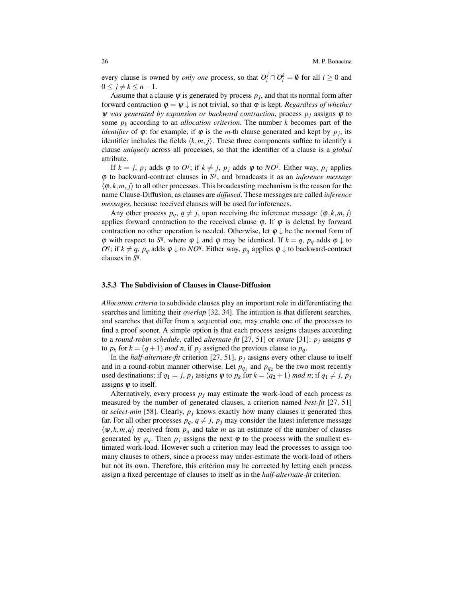every clause is owned by *only one* process, so that  $O_i^j \cap O_i^k = \emptyset$  for all  $i \geq 0$  and  $0 \leq j \neq k \leq n-1$ .

Assume that a clause  $\psi$  is generated by process  $p_j$ , and that its normal form after forward contraction  $\varphi = \psi \downarrow$  is not trivial, so that  $\varphi$  is kept. *Regardless of whether*  $\psi$  was generated by expansion or backward contraction, process  $p_j$  assigns  $\varphi$  to some  $p_k$  according to an *allocation criterion*. The number  $k$  becomes part of the *identifier* of  $\varphi$ : for example, if  $\varphi$  is the *m*-th clause generated and kept by  $p_j$ , its identifier includes the fields  $\langle k,m, j \rangle$ . These three components suffice to identify a clause *uniquely* across all processes, so that the identifier of a clause is a *global* attribute.

If  $k = j$ ,  $p_j$  adds  $\varphi$  to  $O^j$ ; if  $k \neq j$ ,  $p_j$  adds  $\varphi$  to  $NO^j$ . Either way,  $p_j$  applies  $\varphi$  to backward-contract clauses in  $S^j$ , and broadcasts it as an *inference message*  $\langle \varphi, k, m, j \rangle$  to all other processes. This broadcasting mechanism is the reason for the name Clause-Diffusion, as clauses are *diffused*. These messages are called *inference messages*, because received clauses will be used for inferences.

Any other process  $p_q$ ,  $q \neq j$ , upon receiving the inference message  $\langle \varphi, k, m, j \rangle$ applies forward contraction to the received clause  $\varphi$ . If  $\varphi$  is deleted by forward contraction no other operation is needed. Otherwise, let  $\varphi \downarrow$  be the normal form of  $\varphi$  with respect to  $S^q$ , where  $\varphi \downarrow$  and  $\varphi$  may be identical. If  $k = q$ ,  $p_q$  adds  $\varphi \downarrow$  to *O*<sup>*q*</sup>; if *k* ≠ *q*, *p*<sub>*q*</sub> adds  $φ$  ↓ to *NO<sup><i>q*</sup>. Either way, *p<sub>q</sub>* applies  $φ$  ↓ to backward-contract clauses in *S q* .

### 3.5.3 The Subdivision of Clauses in Clause-Diffusion

*Allocation criteria* to subdivide clauses play an important role in differentiating the searches and limiting their *overlap* [32, 34]. The intuition is that different searches, and searches that differ from a sequential one, may enable one of the processes to find a proof sooner. A simple option is that each process assigns clauses according to a *round-robin schedule*, called *alternate-fit* [27, 51] or *rotate* [31]: *p<sup>j</sup>* assigns ϕ to  $p_k$  for  $k = (q+1) \mod n$ , if  $p_j$  assigned the previous clause to  $p_q$ .

In the *half-alternate-fit* criterion [27, 51],  $p_j$  assigns every other clause to itself and in a round-robin manner otherwise. Let  $p_{q_1}$  and  $p_{q_2}$  be the two most recently used destinations; if  $q_1 = j$ ,  $p_j$  assigns  $\varphi$  to  $p_k$  for  $k = (q_2 + 1) \mod n$ ; if  $q_1 \neq j$ ,  $p_j$ assigns  $\varphi$  to itself.

Alternatively, every process  $p_j$  may estimate the work-load of each process as measured by the number of generated clauses, a criterion named *best-fit* [27, 51] or *select-min* [58]. Clearly,  $p_j$  knows exactly how many clauses it generated thus far. For all other processes  $p_q$ ,  $q \neq j$ ,  $p_j$  may consider the latest inference message  $\langle \psi, k, m, q \rangle$  received from  $p_q$  and take *m* as an estimate of the number of clauses generated by  $p_q$ . Then  $p_j$  assigns the next  $\varphi$  to the process with the smallest estimated work-load. However such a criterion may lead the processes to assign too many clauses to others, since a process may under-estimate the work-load of others but not its own. Therefore, this criterion may be corrected by letting each process assign a fixed percentage of clauses to itself as in the *half-alternate-fit* criterion.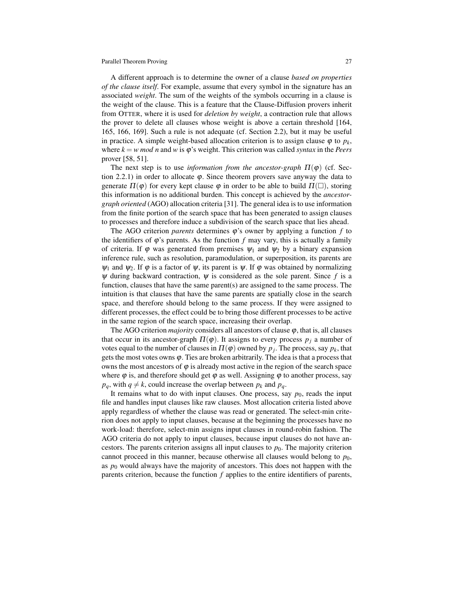A different approach is to determine the owner of a clause *based on properties of the clause itself*. For example, assume that every symbol in the signature has an associated *weight*. The sum of the weights of the symbols occurring in a clause is the weight of the clause. This is a feature that the Clause-Diffusion provers inherit from OTTER, where it is used for *deletion by weight*, a contraction rule that allows the prover to delete all clauses whose weight is above a certain threshold [164, 165, 166, 169]. Such a rule is not adequate (cf. Section 2.2), but it may be useful in practice. A simple weight-based allocation criterion is to assign clause  $\varphi$  to  $p_k$ , where  $k = w \mod n$  and  $w$  is  $\varphi$ 's weight. This criterion was called *syntax* in the *Peers* prover [58, 51].

The next step is to use *information from the ancestor-graph*  $\Pi(\varphi)$  (cf. Section 2.2.1) in order to allocate  $\varphi$ . Since theorem provers save anyway the data to generate  $\Pi(\varphi)$  for every kept clause  $\varphi$  in order to be able to build  $\Pi(\Box)$ , storing this information is no additional burden. This concept is achieved by the *ancestorgraph oriented* (AGO) allocation criteria [31]. The general idea is to use information from the finite portion of the search space that has been generated to assign clauses to processes and therefore induce a subdivision of the search space that lies ahead.

The AGO criterion *parents* determines  $\varphi$ 's owner by applying a function f to the identifiers of  $\varphi$ 's parents. As the function  $f$  may vary, this is actually a family of criteria. If  $\varphi$  was generated from premises  $\psi_1$  and  $\psi_2$  by a binary expansion inference rule, such as resolution, paramodulation, or superposition, its parents are  $\psi_1$  and  $\psi_2$ . If  $\varphi$  is a factor of  $\psi$ , its parent is  $\psi$ . If  $\varphi$  was obtained by normalizing  $\psi$  during backward contraction,  $\psi$  is considered as the sole parent. Since f is a function, clauses that have the same parent(s) are assigned to the same process. The intuition is that clauses that have the same parents are spatially close in the search space, and therefore should belong to the same process. If they were assigned to different processes, the effect could be to bring those different processes to be active in the same region of the search space, increasing their overlap.

The AGO criterion *majority* considers all ancestors of clause  $\varphi$ , that is, all clauses that occur in its ancestor-graph  $\Pi(\varphi)$ . It assigns to every process  $p_j$  a number of votes equal to the number of clauses in  $\Pi(\varphi)$  owned by  $p_j$ . The process, say  $p_k$ , that gets the most votes owns  $\varphi$ . Ties are broken arbitrarily. The idea is that a process that owns the most ancestors of  $\varphi$  is already most active in the region of the search space where  $\varphi$  is, and therefore should get  $\varphi$  as well. Assigning  $\varphi$  to another process, say  $p_q$ , with  $q \neq k$ , could increase the overlap between  $p_k$  and  $p_q$ .

It remains what to do with input clauses. One process, say  $p_0$ , reads the input file and handles input clauses like raw clauses. Most allocation criteria listed above apply regardless of whether the clause was read or generated. The select-min criterion does not apply to input clauses, because at the beginning the processes have no work-load: therefore, select-min assigns input clauses in round-robin fashion. The AGO criteria do not apply to input clauses, because input clauses do not have ancestors. The parents criterion assigns all input clauses to *p*0. The majority criterion cannot proceed in this manner, because otherwise all clauses would belong to  $p_0$ , as *p*<sup>0</sup> would always have the majority of ancestors. This does not happen with the parents criterion, because the function *f* applies to the entire identifiers of parents,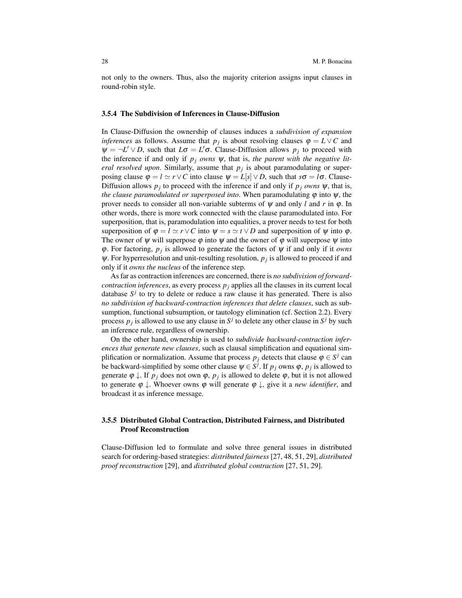not only to the owners. Thus, also the majority criterion assigns input clauses in round-robin style.

### 3.5.4 The Subdivision of Inferences in Clause-Diffusion

In Clause-Diffusion the ownership of clauses induces a *subdivision of expansion inferences* as follows. Assume that  $p_j$  is about resolving clauses  $\varphi = L \vee C$  and  $\Psi = \neg L' \lor D$ , such that  $L\sigma = L'\sigma$ . Clause-Diffusion allows  $p_j$  to proceed with the inference if and only if  $p_j$  *owns*  $\psi$ , that is, the parent with the negative lit*eral resolved upon*. Similarly, assume that *p<sup>j</sup>* is about paramodulating or superposing clause  $\varphi = l \simeq r \vee C$  into clause  $\psi = L[s] \vee D$ , such that  $s\sigma = l\sigma$ . Clause-Diffusion allows  $p_j$  to proceed with the inference if and only if  $p_j$  *owns*  $\psi$ , that is, *the clause paramodulated or superposed into.* When paramodulating  $\varphi$  into  $\psi$ , the prover needs to consider all non-variable subterms of ψ and only *l* and *r* in ϕ. In other words, there is more work connected with the clause paramodulated into. For superposition, that is, paramodulation into equalities, a prover needs to test for both superposition of  $\varphi = l \simeq r \vee C$  into  $\psi = s \simeq t \vee D$  and superposition of  $\psi$  into  $\varphi$ . The owner of  $\psi$  will superpose  $\varphi$  into  $\psi$  and the owner of  $\varphi$  will superpose  $\psi$  into  $\varphi$ . For factoring,  $p_j$  is allowed to generate the factors of  $\psi$  if and only if it *owns*  $\psi$ . For hyperresolution and unit-resulting resolution,  $p_j$  is allowed to proceed if and only if it *owns the nucleus* of the inference step.

As far as contraction inferences are concerned, there is *no subdivision of forwardcontraction inferences*, as every process  $p_j$  applies all the clauses in its current local database S<sup>j</sup> to try to delete or reduce a raw clause it has generated. There is also *no subdivision of backward-contraction inferences that delete clauses*, such as subsumption, functional subsumption, or tautology elimination (cf. Section 2.2). Every process  $p_j$  is allowed to use any clause in  $S^j$  to delete any other clause in  $S^j$  by such an inference rule, regardless of ownership.

On the other hand, ownership is used to *subdivide backward-contraction inferences that generate new clauses*, such as clausal simplification and equational simplification or normalization. Assume that process  $p_j$  detects that clause  $\varphi \in S^j$  can be backward-simplified by some other clause  $\psi \in S^{\tilde{J}}$ . If  $p_j$  owns  $\varphi$ ,  $p_j$  is allowed to generate  $\varphi \downarrow$ . If  $p_j$  does not own  $\varphi$ ,  $p_j$  is allowed to delete  $\varphi$ , but it is not allowed to generate  $\varphi \downarrow$ . Whoever owns  $\varphi$  will generate  $\varphi \downarrow$ , give it a *new identifier*, and broadcast it as inference message.

# 3.5.5 Distributed Global Contraction, Distributed Fairness, and Distributed Proof Reconstruction

Clause-Diffusion led to formulate and solve three general issues in distributed search for ordering-based strategies: *distributed fairness* [27, 48, 51, 29], *distributed proof reconstruction* [29], and *distributed global contraction* [27, 51, 29].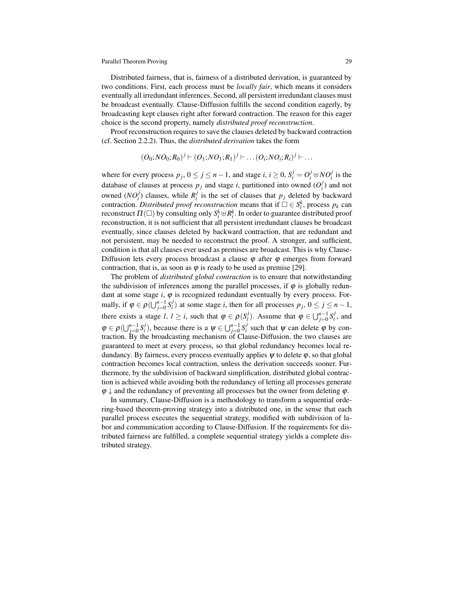Distributed fairness, that is, fairness of a distributed derivation, is guaranteed by two conditions. First, each process must be *locally fair*, which means it considers eventually all irredundant inferences. Second, all persistent irredundant clauses must be broadcast eventually. Clause-Diffusion fulfills the second condition eagerly, by broadcasting kept clauses right after forward contraction. The reason for this eager choice is the second property, namely *distributed proof reconstruction*.

Proof reconstruction requires to save the clauses deleted by backward contraction (cf. Section 2.2.2). Thus, the *distributed derivation* takes the form

$$
(O_0;NO_0;R_0)^j \vdash (O_1;NO_1;R_1)^j \vdash \dots (O_i;NO_i;R_i)^j \vdash \dots
$$

where for every process  $p_j$ ,  $0 \le j \le n-1$ , and stage *i*,  $i \ge 0$ ,  $S_i^j = O_i^j \cup NO_i^j$  is the database of clauses at process  $p_j$  and stage *i*, partitioned into owned  $(O_i^j)$  and not owned  $(NO_i^j)$  clauses, while  $R_i^j$  is the set of clauses that  $p_j$  deleted by backward contraction. *Distributed proof reconstruction* means that if  $\Box \in S_i^k$ , process  $p_k$  can reconstruct  $\Pi(\Box)$  by consulting only  $S_i^k \cup R_i^k$ . In order to guarantee distributed proof reconstruction, it is not sufficient that all persistent irredundant clauses be broadcast eventually, since clauses deleted by backward contraction, that are redundant and not persistent, may be needed to reconstruct the proof. A stronger, and sufficient, condition is that all clauses ever used as premises are broadcast. This is why Clause-Diffusion lets every process broadcast a clause  $\varphi$  after  $\varphi$  emerges from forward contraction, that is, as soon as  $\varphi$  is ready to be used as premise [29].

The problem of *distributed global contraction* is to ensure that notwithstanding the subdivision of inferences among the parallel processes, if  $\varphi$  is globally redundant at some stage  $i$ ,  $\varphi$  is recognized redundant eventually by every process. Formally, if  $\varphi \in \rho(\bigcup_{j=0}^{n-1} S_i^j)$  at some stage *i*, then for all processes  $p_j$ ,  $0 \le j \le n-1$ , there exists a stage *l*,  $l \ge i$ , such that  $\varphi \in \rho(S_l^j)$ *l*<sup>*j*</sup>
<sub>*l*</sub>. Assume that  $\varphi \in \bigcup_{j=0}^{n-1} S_i^j$ , and  $\varphi \in \rho(\bigcup_{j=0}^{n-1} S_j^j)$ , because there is a  $\psi \in \bigcup_{j=0}^{n-1} S_j^j$  such that  $\psi$  can delete  $\varphi$  by contraction. By the broadcasting mechanism of Clause-Diffusion, the two clauses are guaranteed to meet at every process, so that global redundancy becomes local redundancy. By fairness, every process eventually applies  $\psi$  to delete  $\varphi$ , so that global contraction becomes local contraction, unless the derivation succeeds sooner. Furthermore, by the subdivision of backward simplification, distributed global contraction is achieved while avoiding both the redundancy of letting all processes generate  $\varphi \downarrow$  and the redundancy of preventing all processes but the owner from deleting  $\varphi$ .

In summary, Clause-Diffusion is a methodology to transform a sequential ordering-based theorem-proving strategy into a distributed one, in the sense that each parallel process executes the sequential strategy, modified with subdivision of labor and communication according to Clause-Diffusion. If the requirements for distributed fairness are fulfilled, a complete sequential strategy yields a complete distributed strategy.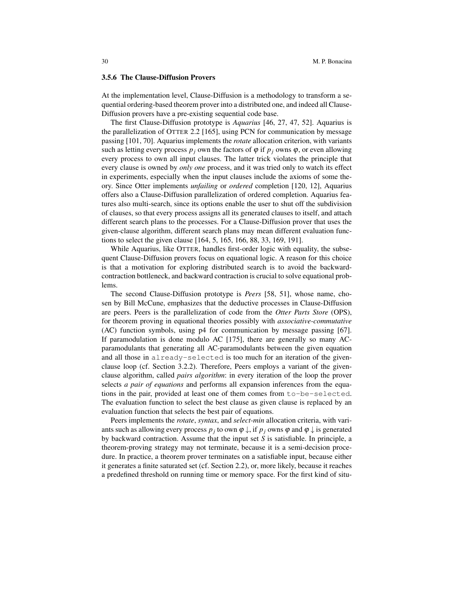#### 3.5.6 The Clause-Diffusion Provers

At the implementation level, Clause-Diffusion is a methodology to transform a sequential ordering-based theorem prover into a distributed one, and indeed all Clause-Diffusion provers have a pre-existing sequential code base.

The first Clause-Diffusion prototype is *Aquarius* [46, 27, 47, 52]. Aquarius is the parallelization of OTTER 2.2 [165], using PCN for communication by message passing [101, 70]. Aquarius implements the *rotate* allocation criterion, with variants such as letting every process  $p_j$  own the factors of  $\varphi$  if  $p_j$  owns  $\varphi$ , or even allowing every process to own all input clauses. The latter trick violates the principle that every clause is owned by *only one* process, and it was tried only to watch its effect in experiments, especially when the input clauses include the axioms of some theory. Since Otter implements *unfailing* or *ordered* completion [120, 12], Aquarius offers also a Clause-Diffusion parallelization of ordered completion. Aquarius features also multi-search, since its options enable the user to shut off the subdivision of clauses, so that every process assigns all its generated clauses to itself, and attach different search plans to the processes. For a Clause-Diffusion prover that uses the given-clause algorithm, different search plans may mean different evaluation functions to select the given clause [164, 5, 165, 166, 88, 33, 169, 191].

While Aquarius, like OTTER, handles first-order logic with equality, the subsequent Clause-Diffusion provers focus on equational logic. A reason for this choice is that a motivation for exploring distributed search is to avoid the backwardcontraction bottleneck, and backward contraction is crucial to solve equational problems.

The second Clause-Diffusion prototype is *Peers* [58, 51], whose name, chosen by Bill McCune, emphasizes that the deductive processes in Clause-Diffusion are peers. Peers is the parallelization of code from the *Otter Parts Store* (OPS), for theorem proving in equational theories possibly with *associative-commutative* (AC) function symbols, using p4 for communication by message passing [67]. If paramodulation is done modulo AC [175], there are generally so many ACparamodulants that generating all AC-paramodulants between the given equation and all those in already-selected is too much for an iteration of the givenclause loop (cf. Section 3.2.2). Therefore, Peers employs a variant of the givenclause algorithm, called *pairs algorithm*: in every iteration of the loop the prover selects *a pair of equations* and performs all expansion inferences from the equations in the pair, provided at least one of them comes from to-be-selected. The evaluation function to select the best clause as given clause is replaced by an evaluation function that selects the best pair of equations.

Peers implements the *rotate*, *syntax*, and *select-min* allocation criteria, with variants such as allowing every process  $p_j$  to own  $\varphi \downarrow$ , if  $p_j$  owns  $\varphi$  and  $\varphi \downarrow$  is generated by backward contraction. Assume that the input set *S* is satisfiable. In principle, a theorem-proving strategy may not terminate, because it is a semi-decision procedure. In practice, a theorem prover terminates on a satisfiable input, because either it generates a finite saturated set (cf. Section 2.2), or, more likely, because it reaches a predefined threshold on running time or memory space. For the first kind of situ-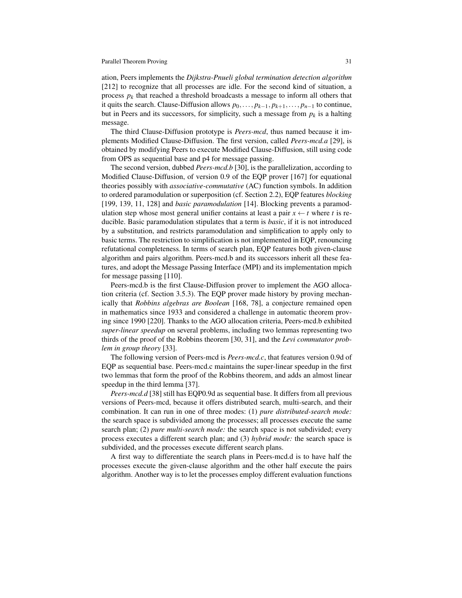ation, Peers implements the *Dijkstra-Pnueli global termination detection algorithm* [212] to recognize that all processes are idle. For the second kind of situation, a process  $p_k$  that reached a threshold broadcasts a message to inform all others that it quits the search. Clause-Diffusion allows  $p_0, \ldots, p_{k-1}, p_{k+1}, \ldots, p_{n-1}$  to continue, but in Peers and its successors, for simplicity, such a message from  $p_k$  is a halting message.

The third Clause-Diffusion prototype is *Peers-mcd*, thus named because it implements Modified Clause-Diffusion. The first version, called *Peers-mcd.a* [29], is obtained by modifying Peers to execute Modified Clause-Diffusion, still using code from OPS as sequential base and p4 for message passing.

The second version, dubbed *Peers-mcd.b* [30], is the parallelization, according to Modified Clause-Diffusion, of version 0.9 of the EQP prover [167] for equational theories possibly with *associative-commutative* (AC) function symbols. In addition to ordered paramodulation or superposition (cf. Section 2.2), EQP features *blocking* [199, 139, 11, 128] and *basic paramodulation* [14]. Blocking prevents a paramodulation step whose most general unifier contains at least a pair  $x \leftarrow t$  where t is reducible. Basic paramodulation stipulates that a term is *basic*, if it is not introduced by a substitution, and restricts paramodulation and simplification to apply only to basic terms. The restriction to simplification is not implemented in EQP, renouncing refutational completeness. In terms of search plan, EQP features both given-clause algorithm and pairs algorithm. Peers-mcd.b and its successors inherit all these features, and adopt the Message Passing Interface (MPI) and its implementation mpich for message passing [110].

Peers-mcd.b is the first Clause-Diffusion prover to implement the AGO allocation criteria (cf. Section 3.5.3). The EQP prover made history by proving mechanically that *Robbins algebras are Boolean* [168, 78], a conjecture remained open in mathematics since 1933 and considered a challenge in automatic theorem proving since 1990 [220]. Thanks to the AGO allocation criteria, Peers-mcd.b exhibited *super-linear speedup* on several problems, including two lemmas representing two thirds of the proof of the Robbins theorem [30, 31], and the *Levi commutator problem in group theory* [33].

The following version of Peers-mcd is *Peers-mcd.c*, that features version 0.9d of EQP as sequential base. Peers-mcd.c maintains the super-linear speedup in the first two lemmas that form the proof of the Robbins theorem, and adds an almost linear speedup in the third lemma [37].

*Peers-mcd.d* [38] still has EQP0.9d as sequential base. It differs from all previous versions of Peers-mcd, because it offers distributed search, multi-search, and their combination. It can run in one of three modes: (1) *pure distributed-search mode:* the search space is subdivided among the processes; all processes execute the same search plan; (2) *pure multi-search mode:* the search space is not subdivided; every process executes a different search plan; and (3) *hybrid mode:* the search space is subdivided, and the processes execute different search plans.

A first way to differentiate the search plans in Peers-mcd.d is to have half the processes execute the given-clause algorithm and the other half execute the pairs algorithm. Another way is to let the processes employ different evaluation functions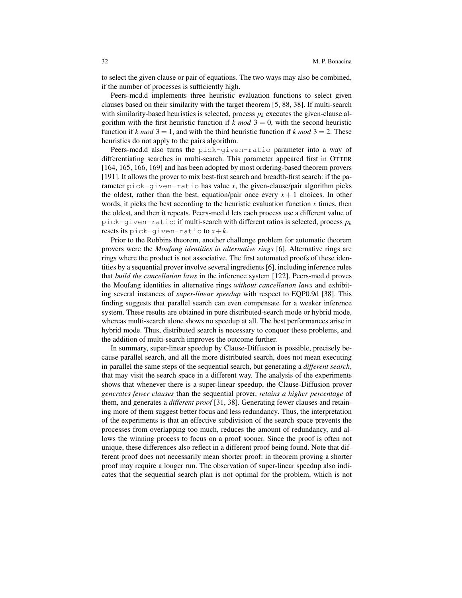to select the given clause or pair of equations. The two ways may also be combined, if the number of processes is sufficiently high.

Peers-mcd.d implements three heuristic evaluation functions to select given clauses based on their similarity with the target theorem [5, 88, 38]. If multi-search with similarity-based heuristics is selected, process  $p_k$  executes the given-clause algorithm with the first heuristic function if  $k \mod 3 = 0$ , with the second heuristic function if *k* mod  $3 = 1$ , and with the third heuristic function if *k* mod  $3 = 2$ . These heuristics do not apply to the pairs algorithm.

Peers-mcd.d also turns the pick-given-ratio parameter into a way of differentiating searches in multi-search. This parameter appeared first in OTTER [164, 165, 166, 169] and has been adopted by most ordering-based theorem provers [191]. It allows the prover to mix best-first search and breadth-first search: if the parameter pick-given-ratio has value *x*, the given-clause/pair algorithm picks the oldest, rather than the best, equation/pair once every  $x + 1$  choices. In other words, it picks the best according to the heuristic evaluation function  $x$  times, then the oldest, and then it repeats. Peers-mcd.d lets each process use a different value of pick-given-ratio: if multi-search with different ratios is selected, process  $p_k$ resets its pick-qiven-ratio to  $x+k$ .

Prior to the Robbins theorem, another challenge problem for automatic theorem provers were the *Moufang identities in alternative rings* [6]. Alternative rings are rings where the product is not associative. The first automated proofs of these identities by a sequential prover involve several ingredients [6], including inference rules that *build the cancellation laws* in the inference system [122]. Peers-mcd.d proves the Moufang identities in alternative rings *without cancellation laws* and exhibiting several instances of *super-linear speedup* with respect to EQP0.9d [38]. This finding suggests that parallel search can even compensate for a weaker inference system. These results are obtained in pure distributed-search mode or hybrid mode, whereas multi-search alone shows no speedup at all. The best performances arise in hybrid mode. Thus, distributed search is necessary to conquer these problems, and the addition of multi-search improves the outcome further.

In summary, super-linear speedup by Clause-Diffusion is possible, precisely because parallel search, and all the more distributed search, does not mean executing in parallel the same steps of the sequential search, but generating a *different search*, that may visit the search space in a different way. The analysis of the experiments shows that whenever there is a super-linear speedup, the Clause-Diffusion prover *generates fewer clauses* than the sequential prover, *retains a higher percentage* of them, and generates a *different proof* [31, 38]. Generating fewer clauses and retaining more of them suggest better focus and less redundancy. Thus, the interpretation of the experiments is that an effective subdivision of the search space prevents the processes from overlapping too much, reduces the amount of redundancy, and allows the winning process to focus on a proof sooner. Since the proof is often not unique, these differences also reflect in a different proof being found. Note that different proof does not necessarily mean shorter proof: in theorem proving a shorter proof may require a longer run. The observation of super-linear speedup also indicates that the sequential search plan is not optimal for the problem, which is not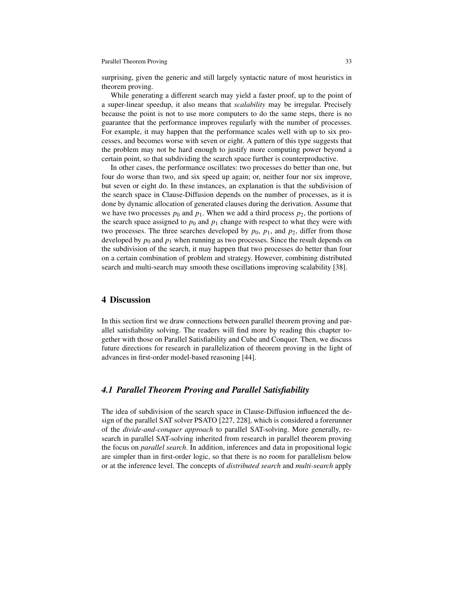surprising, given the generic and still largely syntactic nature of most heuristics in theorem proving.

While generating a different search may yield a faster proof, up to the point of a super-linear speedup, it also means that *scalability* may be irregular. Precisely because the point is not to use more computers to do the same steps, there is no guarantee that the performance improves regularly with the number of processes. For example, it may happen that the performance scales well with up to six processes, and becomes worse with seven or eight. A pattern of this type suggests that the problem may not be hard enough to justify more computing power beyond a certain point, so that subdividing the search space further is counterproductive.

In other cases, the performance oscillates: two processes do better than one, but four do worse than two, and six speed up again; or, neither four nor six improve, but seven or eight do. In these instances, an explanation is that the subdivision of the search space in Clause-Diffusion depends on the number of processes, as it is done by dynamic allocation of generated clauses during the derivation. Assume that we have two processes  $p_0$  and  $p_1$ . When we add a third process  $p_2$ , the portions of the search space assigned to  $p_0$  and  $p_1$  change with respect to what they were with two processes. The three searches developed by  $p_0$ ,  $p_1$ , and  $p_2$ , differ from those developed by  $p_0$  and  $p_1$  when running as two processes. Since the result depends on the subdivision of the search, it may happen that two processes do better than four on a certain combination of problem and strategy. However, combining distributed search and multi-search may smooth these oscillations improving scalability [38].

# 4 Discussion

In this section first we draw connections between parallel theorem proving and parallel satisfiability solving. The readers will find more by reading this chapter together with those on Parallel Satisfiability and Cube and Conquer. Then, we discuss future directions for research in parallelization of theorem proving in the light of advances in first-order model-based reasoning [44].

# *4.1 Parallel Theorem Proving and Parallel Satisfiability*

The idea of subdivision of the search space in Clause-Diffusion influenced the design of the parallel SAT solver PSATO [227, 228], which is considered a forerunner of the *divide-and-conquer approach* to parallel SAT-solving. More generally, research in parallel SAT-solving inherited from research in parallel theorem proving the focus on *parallel search*. In addition, inferences and data in propositional logic are simpler than in first-order logic, so that there is no room for parallelism below or at the inference level. The concepts of *distributed search* and *multi-search* apply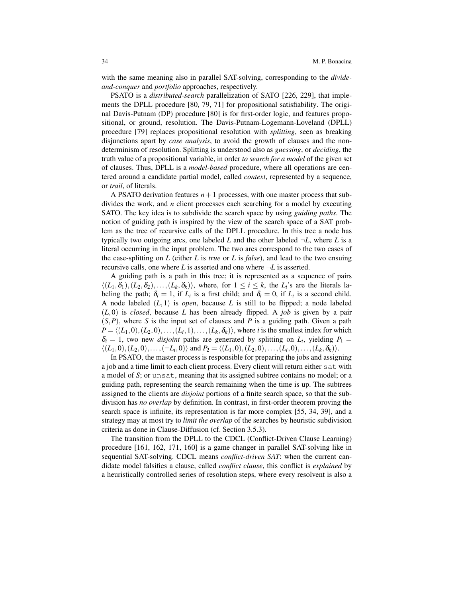with the same meaning also in parallel SAT-solving, corresponding to the *divideand-conquer* and *portfolio* approaches, respectively.

PSATO is a *distributed-search* parallelization of SATO [226, 229], that implements the DPLL procedure [80, 79, 71] for propositional satisfiability. The original Davis-Putnam (DP) procedure [80] is for first-order logic, and features propositional, or ground, resolution. The Davis-Putnam-Logemann-Loveland (DPLL) procedure [79] replaces propositional resolution with *splitting*, seen as breaking disjunctions apart by *case analysis*, to avoid the growth of clauses and the nondeterminism of resolution. Splitting is understood also as *guessing*, or *deciding*, the truth value of a propositional variable, in order *to search for a model* of the given set of clauses. Thus, DPLL is a *model-based* procedure, where all operations are centered around a candidate partial model, called *context*, represented by a sequence, or *trail*, of literals.

A PSATO derivation features  $n+1$  processes, with one master process that subdivides the work, and *n* client processes each searching for a model by executing SATO. The key idea is to subdivide the search space by using *guiding paths*. The notion of guiding path is inspired by the view of the search space of a SAT problem as the tree of recursive calls of the DPLL procedure. In this tree a node has typically two outgoing arcs, one labeled  $L$  and the other labeled  $\neg L$ , where  $L$  is a literal occurring in the input problem. The two arcs correspond to the two cases of the case-splitting on *L* (either *L* is *true* or *L* is *false*), and lead to the two ensuing recursive calls, one where  $L$  is asserted and one where  $\neg L$  is asserted.

A guiding path is a path in this tree; it is represented as a sequence of pairs  $\langle (L_1, \delta_1), (L_2, \delta_2), \ldots, (L_k, \delta_k) \rangle$ , where, for  $1 \le i \le k$ , the  $L_i$ 's are the literals labeling the path;  $\delta_i = 1$ , if  $L_i$  is a first child; and  $\delta_i = 0$ , if  $L_i$  is a second child. A node labeled (*L*,1) is *open*, because *L* is still to be flipped; a node labeled (*L*,0) is *closed*, because *L* has been already flipped. A *job* is given by a pair (*S*,*P*), where *S* is the input set of clauses and *P* is a guiding path. Given a path  $P = \langle (L_1,0), (L_2,0), \ldots, (L_i,1), \ldots, (L_k,\delta_k) \rangle$ , where *i* is the smallest index for which  $\delta_i = 1$ , two new *disjoint* paths are generated by splitting on  $L_i$ , yielding  $P_1 =$  $\langle (L_1,0), (L_2,0), \ldots, (\neg L_i,0) \rangle$  and  $P_2 = \langle (L_1,0), (L_2,0), \ldots, (L_i,0), \ldots, (L_k, \delta_k) \rangle$ .

In PSATO, the master process is responsible for preparing the jobs and assigning a job and a time limit to each client process. Every client will return either sat with a model of *S*; or unsat, meaning that its assigned subtree contains no model; or a guiding path, representing the search remaining when the time is up. The subtrees assigned to the clients are *disjoint* portions of a finite search space, so that the subdivision has *no overlap* by definition. In contrast, in first-order theorem proving the search space is infinite, its representation is far more complex [55, 34, 39], and a strategy may at most try to *limit the overlap* of the searches by heuristic subdivision criteria as done in Clause-Diffusion (cf. Section 3.5.3).

The transition from the DPLL to the CDCL (Conflict-Driven Clause Learning) procedure [161, 162, 171, 160] is a game changer in parallel SAT-solving like in sequential SAT-solving. CDCL means *conflict-driven SAT*: when the current candidate model falsifies a clause, called *conflict clause*, this conflict is *explained* by a heuristically controlled series of resolution steps, where every resolvent is also a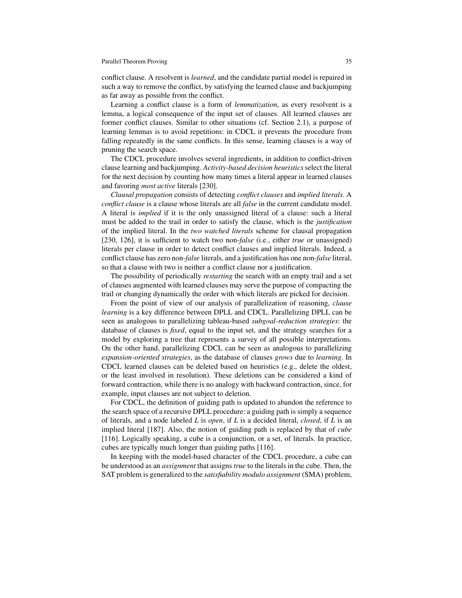conflict clause. A resolvent is *learned*, and the candidate partial model is repaired in such a way to remove the conflict, by satisfying the learned clause and backjumping as far away as possible from the conflict.

Learning a conflict clause is a form of *lemmatization*, as every resolvent is a lemma, a logical consequence of the input set of clauses. All learned clauses are former conflict clauses. Similar to other situations (cf. Section 2.1), a purpose of learning lemmas is to avoid repetitions: in CDCL it prevents the procedure from falling repeatedly in the same conflicts. In this sense, learning clauses is a way of pruning the search space.

The CDCL procedure involves several ingredients, in addition to conflict-driven clause learning and backjumping. *Activity-based decision heuristics* select the literal for the next decision by counting how many times a literal appear in learned clauses and favoring *most active* literals [230].

*Clausal propagation* consists of detecting *conflict clauses* and *implied literals*. A *conflict clause* is a clause whose literals are all *false* in the current candidate model. A literal is *implied* if it is the only unassigned literal of a clause: such a literal must be added to the trail in order to satisfy the clause, which is the *justification* of the implied literal. In the *two watched literals* scheme for clausal propagation [230, 126], it is sufficient to watch two non-*false* (i.e., either *true* or unassigned) literals per clause in order to detect conflict clauses and implied literals. Indeed, a conflict clause has zero non-*false* literals, and a justification has one non-*false* literal, so that a clause with two is neither a conflict clause nor a justification.

The possibility of periodically *restarting* the search with an empty trail and a set of clauses augmented with learned clauses may serve the purpose of compacting the trail or changing dynamically the order with which literals are picked for decision.

From the point of view of our analysis of parallelization of reasoning, *clause learning* is a key difference between DPLL and CDCL. Parallelizing DPLL can be seen as analogous to parallelizing tableau-based *subgoal-reduction strategies*: the database of clauses is *fixed*, equal to the input set, and the strategy searches for a model by exploring a tree that represents a survey of all possible interpretations. On the other hand, parallelizing CDCL can be seen as analogous to parallelizing *expansion-oriented strategies*, as the database of clauses *grows* due to *learning*. In CDCL learned clauses can be deleted based on heuristics (e.g., delete the oldest, or the least involved in resolution). These deletions can be considered a kind of forward contraction, while there is no analogy with backward contraction, since, for example, input clauses are not subject to deletion.

For CDCL, the definition of guiding path is updated to abandon the reference to the search space of a recursive DPLL procedure: a guiding path is simply a sequence of literals, and a node labeled *L* is *open*, if *L* is a decided literal, *closed*, if *L* is an implied literal [187]. Also, the notion of guiding path is replaced by that of *cube* [116]. Logically speaking, a cube is a conjunction, or a set, of literals. In practice, cubes are typically much longer than guiding paths [116].

In keeping with the model-based character of the CDCL procedure, a cube can be understood as an *assignment* that assigns *true* to the literals in the cube. Then, the SAT problem is generalized to the *satisfiability modulo assignment* (SMA) problem,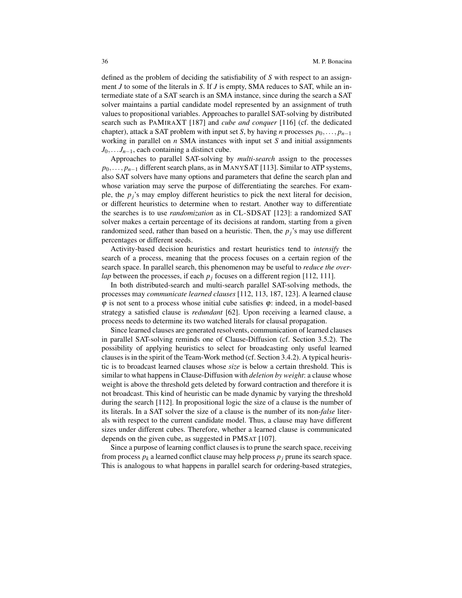defined as the problem of deciding the satisfiability of *S* with respect to an assignment *J* to some of the literals in *S*. If *J* is empty, SMA reduces to SAT, while an intermediate state of a SAT search is an SMA instance, since during the search a SAT solver maintains a partial candidate model represented by an assignment of truth values to propositional variables. Approaches to parallel SAT-solving by distributed search such as PAMIRAXT [187] and *cube and conquer* [116] (cf. the dedicated chapter), attack a SAT problem with input set *S*, by having *n* processes  $p_0, \ldots, p_{n-1}$ working in parallel on *n* SMA instances with input set *S* and initial assignments  $J_0$ ,... $J_{n-1}$ , each containing a distinct cube.

Approaches to parallel SAT-solving by *multi-search* assign to the processes *p*<sub>0</sub>,..., *p*<sub>*n*−1</sub> different search plans, as in MANYSAT [113]. Similar to ATP systems, also SAT solvers have many options and parameters that define the search plan and whose variation may serve the purpose of differentiating the searches. For example, the *pj*'s may employ different heuristics to pick the next literal for decision, or different heuristics to determine when to restart. Another way to differentiate the searches is to use *randomization* as in CL-SDSAT [123]: a randomized SAT solver makes a certain percentage of its decisions at random, starting from a given randomized seed, rather than based on a heuristic. Then, the  $p_j$ 's may use different percentages or different seeds.

Activity-based decision heuristics and restart heuristics tend to *intensify* the search of a process, meaning that the process focuses on a certain region of the search space. In parallel search, this phenomenon may be useful to *reduce the overlap* between the processes, if each  $p_j$  focuses on a different region [112, 111].

In both distributed-search and multi-search parallel SAT-solving methods, the processes may *communicate learned clauses* [112, 113, 187, 123]. A learned clause  $\varphi$  is not sent to a process whose initial cube satisfies  $\varphi$ : indeed, in a model-based strategy a satisfied clause is *redundant* [62]. Upon receiving a learned clause, a process needs to determine its two watched literals for clausal propagation.

Since learned clauses are generated resolvents, communication of learned clauses in parallel SAT-solving reminds one of Clause-Diffusion (cf. Section 3.5.2). The possibility of applying heuristics to select for broadcasting only useful learned clauses is in the spirit of the Team-Work method (cf. Section 3.4.2). A typical heuristic is to broadcast learned clauses whose *size* is below a certain threshold. This is similar to what happens in Clause-Diffusion with *deletion by weight*: a clause whose weight is above the threshold gets deleted by forward contraction and therefore it is not broadcast. This kind of heuristic can be made dynamic by varying the threshold during the search [112]. In propositional logic the size of a clause is the number of its literals. In a SAT solver the size of a clause is the number of its non-*false* literals with respect to the current candidate model. Thus, a clause may have different sizes under different cubes. Therefore, whether a learned clause is communicated depends on the given cube, as suggested in PMSAT [107].

Since a purpose of learning conflict clauses is to prune the search space, receiving from process  $p_k$  a learned conflict clause may help process  $p_j$  prune its search space. This is analogous to what happens in parallel search for ordering-based strategies,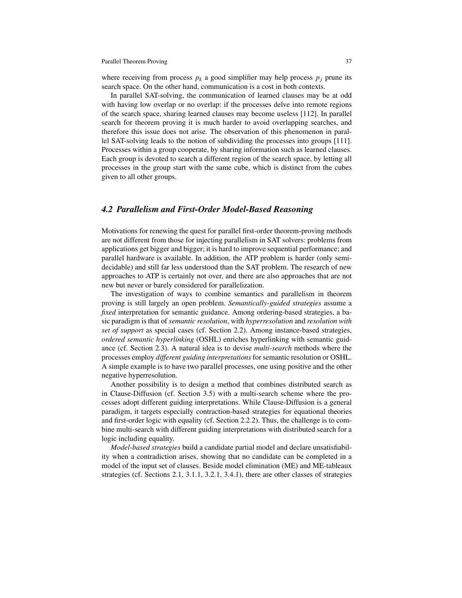where receiving from process  $p_k$  a good simplifier may help process  $p_j$  prune its search space. On the other hand, communication is a cost in both contexts.

In parallel SAT-solving, the communication of learned clauses may be at odd with having low overlap or no overlap: if the processes delve into remote regions of the search space, sharing learned clauses may become useless [112]. In parallel search for theorem proving it is much harder to avoid overlapping searches, and therefore this issue does not arise. The observation of this phenomenon in parallel SAT-solving leads to the notion of subdividing the processes into groups [111]. Processes within a group cooperate, by sharing information such as learned clauses. Each group is devoted to search a different region of the search space, by letting all processes in the group start with the same cube, which is distinct from the cubes given to all other groups.

# *4.2 Parallelism and First-Order Model-Based Reasoning*

Motivations for renewing the quest for parallel first-order theorem-proving methods are not different from those for injecting parallelism in SAT solvers: problems from applications get bigger and bigger; it is hard to improve sequential performance; and parallel hardware is available. In addition, the ATP problem is harder (only semidecidable) and still far less understood than the SAT problem. The research of new approaches to ATP is certainly not over, and there are also approaches that are not new but never or barely considered for parallelization.

The investigation of ways to combine semantics and parallelism in theorem proving is still largely an open problem. *Semantically-guided strategies* assume a *fixed* interpretation for semantic guidance. Among ordering-based strategies, a basic paradigm is that of *semantic resolution*, with *hyperresolution* and *resolution with set of support* as special cases (cf. Section 2.2). Among instance-based strategies, *ordered semantic hyperlinking* (OSHL) enriches hyperlinking with semantic guidance (cf. Section 2.3). A natural idea is to devise *multi-search* methods where the processes employ *different guiding interpretations* for semantic resolution or OSHL. A simple example is to have two parallel processes, one using positive and the other negative hyperresolution.

Another possibility is to design a method that combines distributed search as in Clause-Diffusion (cf. Section 3.5) with a multi-search scheme where the processes adopt different guiding interpretations. While Clause-Diffusion is a general paradigm, it targets especially contraction-based strategies for equational theories and first-order logic with equality (cf. Section 2.2.2). Thus, the challenge is to combine multi-search with different guiding interpretations with distributed search for a logic including equality.

*Model-based strategies* build a candidate partial model and declare unsatisfiability when a contradiction arises, showing that no candidate can be completed in a model of the input set of clauses. Beside model elimination (ME) and ME-tableaux strategies (cf. Sections 2.1, 3.1.1, 3.2.1, 3.4.1), there are other classes of strategies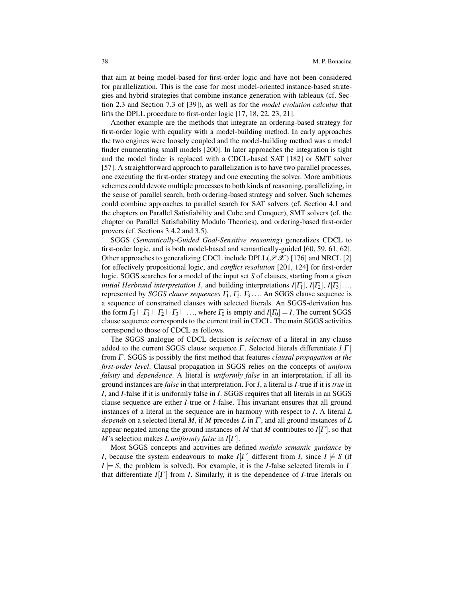that aim at being model-based for first-order logic and have not been considered for parallelization. This is the case for most model-oriented instance-based strategies and hybrid strategies that combine instance generation with tableaux (cf. Section 2.3 and Section 7.3 of [39]), as well as for the *model evolution calculus* that lifts the DPLL procedure to first-order logic [17, 18, 22, 23, 21].

Another example are the methods that integrate an ordering-based strategy for first-order logic with equality with a model-building method. In early approaches the two engines were loosely coupled and the model-building method was a model finder enumerating small models [200]. In later approaches the integration is tight and the model finder is replaced with a CDCL-based SAT [182] or SMT solver [57]. A straightforward approach to parallelization is to have two parallel processes, one executing the first-order strategy and one executing the solver. More ambitious schemes could devote multiple processes to both kinds of reasoning, parallelizing, in the sense of parallel search, both ordering-based strategy and solver. Such schemes could combine approaches to parallel search for SAT solvers (cf. Section 4.1 and the chapters on Parallel Satisfiability and Cube and Conquer), SMT solvers (cf. the chapter on Parallel Satisfiability Modulo Theories), and ordering-based first-order provers (cf. Sections 3.4.2 and 3.5).

SGGS (*Semantically-Guided Goal-Sensitive reasoning*) generalizes CDCL to first-order logic, and is both model-based and semantically-guided [60, 59, 61, 62]. Other approaches to generalizing CDCL include DPLL( $\mathscr{S}\mathscr{X}$ ) [176] and NRCL [2] for effectively propositional logic, and *conflict resolution* [201, 124] for first-order logic. SGGS searches for a model of the input set *S* of clauses, starting from a given *initial Herbrand interpretation I*, and building interpretations  $I[\Gamma_1], I[\Gamma_2], I[\Gamma_3], \ldots$ represented by *SGGS clause sequences*  $\Gamma_1$ ,  $\Gamma_2$ ,  $\Gamma_3$ .... An *SGGS* clause sequence is a sequence of constrained clauses with selected literals. An SGGS-derivation has the form  $\Gamma_0 \vdash \Gamma_1 \vdash \Gamma_2 \vdash \Gamma_3 \vdash \ldots$ , where  $\Gamma_0$  is empty and  $I[\Gamma_0] = I$ . The current SGGS clause sequence corresponds to the current trail in CDCL. The main SGGS activities correspond to those of CDCL as follows.

The SGGS analogue of CDCL decision is *selection* of a literal in any clause added to the current SGGS clause sequence  $\Gamma$ . Selected literals differentiate  $I[\Gamma]$ from Γ . SGGS is possibly the first method that features *clausal propagation at the first-order level*. Clausal propagation in SGGS relies on the concepts of *uniform falsity* and *dependence*. A literal is *uniformly false* in an interpretation, if all its ground instances are *false* in that interpretation. For *I*, a literal is *I*-true if it is *true* in *I*, and *I*-false if it is uniformly false in *I*. SGGS requires that all literals in an SGGS clause sequence are either *I*-true or *I*-false. This invariant ensures that all ground instances of a literal in the sequence are in harmony with respect to *I*. A literal *L depends* on a selected literal *M*, if *M* precedes *L* in Γ , and all ground instances of *L* appear negated among the ground instances of *M* that *M* contributes to *I*[Γ ], so that *M*'s selection makes *L uniformly false* in *I*[Γ ].

Most SGGS concepts and activities are defined *modulo semantic guidance* by *I*, because the system endeavours to make *I*[Γ] different from *I*, since *I*  $\not\models$  *S* (if  $I \models S$ , the problem is solved). For example, it is the *I*-false selected literals in  $\Gamma$ that differentiate  $I[\Gamma]$  from *I*. Similarly, it is the dependence of *I*-true literals on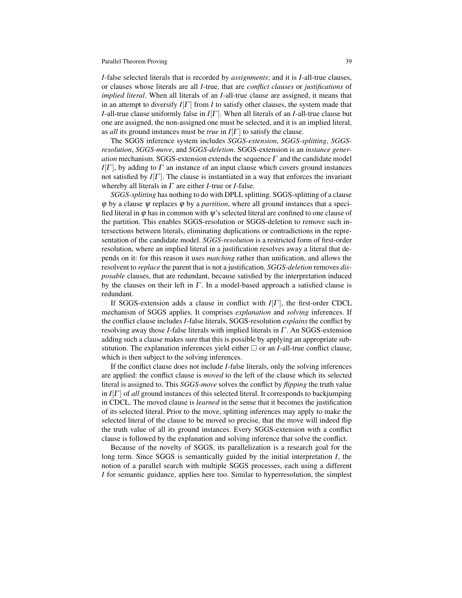*I*-false selected literals that is recorded by *assignments*; and it is *I*-all-true clauses, or clauses whose literals are all *I*-true, that are *conflict clauses* or *justifications* of *implied literal*. When all literals of an *I*-all-true clause are assigned, it means that in an attempt to diversify  $I[\Gamma]$  from *I* to satisfy other clauses, the system made that *I*-all-true clause uniformly false in *I*[Γ ]. When all literals of an *I*-all-true clause but one are assigned, the non-assigned one must be selected, and it is an implied literal, as *all* its ground instances must be *true* in *I*[Γ ] to satisfy the clause.

The SGGS inference system includes *SGGS-extension*, *SGGS-splitting*, *SGGSresolution*, *SGGS-move*, and *SGGS-deletion*. SGGS-extension is an *instance generation* mechanism. SGGS-extension extends the sequence Γ and the candidate model  $I[\Gamma]$ , by adding to  $\Gamma$  an instance of an input clause which covers ground instances not satisfied by  $I[\Gamma]$ . The clause is instantiated in a way that enforces the invariant whereby all literals in Γ are either *I*-true or *I*-false.

*SGGS-splitting* has nothing to do with DPLL splitting. SGGS-splitting of a clause  $\varphi$  by a clause  $\psi$  replaces  $\varphi$  by a *partition*, where all ground instances that a specified literal in  $\varphi$  has in common with  $\psi$ 's selected literal are confined to one clause of the partition. This enables SGGS-resolution or SGGS-deletion to remove such intersections between literals, eliminating duplications or contradictions in the representation of the candidate model. *SGGS-resolution* is a restricted form of first-order resolution, where an implied literal in a justification resolves away a literal that depends on it: for this reason it uses *matching* rather than unification, and allows the resolvent to *replace* the parent that is not a justification. *SGGS-deletion* removes *disposable* clauses, that are redundant, because satisfied by the interpretation induced by the clauses on their left in  $\Gamma$ . In a model-based approach a satisfied clause is redundant.

If SGGS-extension adds a clause in conflict with *I*[Γ ], the first-order CDCL mechanism of SGGS applies. It comprises *explanation* and *solving* inferences. If the conflict clause includes *I*-false literals, SGGS-resolution *explains* the conflict by resolving away those *I*-false literals with implied literals in Γ . An SGGS-extension adding such a clause makes sure that this is possible by applying an appropriate substitution. The explanation inferences yield either  $\Box$  or an *I*-all-true conflict clause, which is then subject to the solving inferences.

If the conflict clause does not include *I*-false literals, only the solving inferences are applied: the conflict clause is *moved* to the left of the clause which its selected literal is assigned to. This *SGGS-move* solves the conflict by *flipping* the truth value in *I*[Γ ] of *all* ground instances of this selected literal. It corresponds to backjumping in CDCL. The moved clause is *learned* in the sense that it becomes the justification of its selected literal. Prior to the move, splitting inferences may apply to make the selected literal of the clause to be moved so precise, that the move will indeed flip the truth value of all its ground instances. Every SGGS-extension with a conflict clause is followed by the explanation and solving inference that solve the conflict.

Because of the novelty of SGGS, its parallelization is a research goal for the long term. Since SGGS is semantically guided by the initial interpretation *I*, the notion of a parallel search with multiple SGGS processes, each using a different *I* for semantic guidance, applies here too. Similar to hyperresolution, the simplest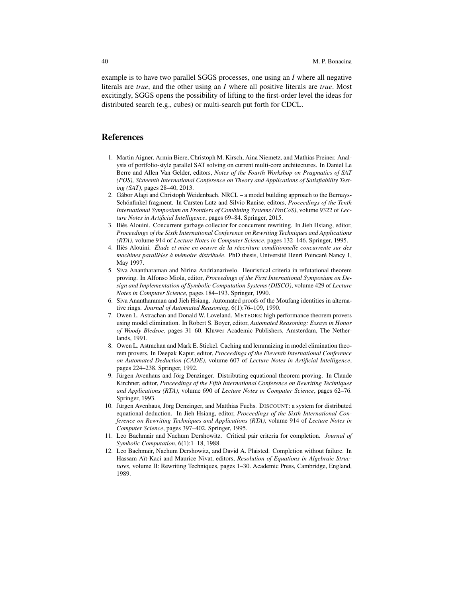example is to have two parallel SGGS processes, one using an *I* where all negative literals are *true*, and the other using an *I* where all positive literals are *true*. Most excitingly, SGGS opens the possibility of lifting to the first-order level the ideas for distributed search (e.g., cubes) or multi-search put forth for CDCL.

# References

- 1. Martin Aigner, Armin Biere, Christoph M. Kirsch, Aina Niemetz, and Mathias Preiner. Analysis of portfolio-style parallel SAT solving on current multi-core architectures. In Daniel Le Berre and Allen Van Gelder, editors, *Notes of the Fourth Workshop on Pragmatics of SAT (POS), Sixteenth International Conference on Theory and Applications of Satisfiability Testing (SAT)*, pages 28–40, 2013.
- 2. Gabor Alagi and Christoph Weidenbach. NRCL a model building approach to the Bernays- ´ Schönfinkel fragment. In Carsten Lutz and Silvio Ranise, editors, *Proceedings of the Tenth International Symposium on Frontiers of Combining Systems (FroCoS)*, volume 9322 of *Lecture Notes in Artificial Intelligence*, pages 69–84. Springer, 2015.
- 3. Ilies Alouini. Concurrent garbage collector for concurrent rewriting. In Jieh Hsiang, editor, ` *Proceedings of the Sixth International Conference on Rewriting Techniques and Applications (RTA)*, volume 914 of *Lecture Notes in Computer Science*, pages 132–146. Springer, 1995.
- 4. Ilies Alouini. ` *Etude et mise en oeuvre de la r ´ eecriture conditionnelle concurrente sur des ´ machines parallèles à mémoire distribuée.* PhD thesis, Université Henri Poincaré Nancy 1, May 1997.
- 5. Siva Anantharaman and Nirina Andrianarivelo. Heuristical criteria in refutational theorem proving. In Alfonso Miola, editor, *Proceedings of the First International Symposium on Design and Implementation of Symbolic Computation Systems (DISCO)*, volume 429 of *Lecture Notes in Computer Science*, pages 184–193. Springer, 1990.
- 6. Siva Anantharaman and Jieh Hsiang. Automated proofs of the Moufang identities in alternative rings. *Journal of Automated Reasoning*, 6(1):76–109, 1990.
- 7. Owen L. Astrachan and Donald W. Loveland. METEORs: high performance theorem provers using model elimination. In Robert S. Boyer, editor, *Automated Reasoning: Essays in Honor of Woody Bledsoe*, pages 31–60. Kluwer Academic Publishers, Amsterdam, The Netherlands, 1991.
- 8. Owen L. Astrachan and Mark E. Stickel. Caching and lemmaizing in model elimination theorem provers. In Deepak Kapur, editor, *Proceedings of the Eleventh International Conference on Automated Deduction (CADE)*, volume 607 of *Lecture Notes in Artificial Intelligence*, pages 224–238. Springer, 1992.
- 9. Jürgen Avenhaus and Jörg Denzinger. Distributing equational theorem proving. In Claude Kirchner, editor, *Proceedings of the Fifth International Conference on Rewriting Techniques and Applications (RTA)*, volume 690 of *Lecture Notes in Computer Science*, pages 62–76. Springer, 1993.
- 10. Jürgen Avenhaus, Jörg Denzinger, and Matthias Fuchs. DISCOUNT: a system for distributed equational deduction. In Jieh Hsiang, editor, *Proceedings of the Sixth International Conference on Rewriting Techniques and Applications (RTA)*, volume 914 of *Lecture Notes in Computer Science*, pages 397–402. Springer, 1995.
- 11. Leo Bachmair and Nachum Dershowitz. Critical pair criteria for completion. *Journal of Symbolic Computation*, 6(1):1–18, 1988.
- 12. Leo Bachmair, Nachum Dershowitz, and David A. Plaisted. Completion without failure. In Hassam Aït-Kaci and Maurice Nivat, editors, *Resolution of Equations in Algebraic Structures*, volume II: Rewriting Techniques, pages 1–30. Academic Press, Cambridge, England, 1989.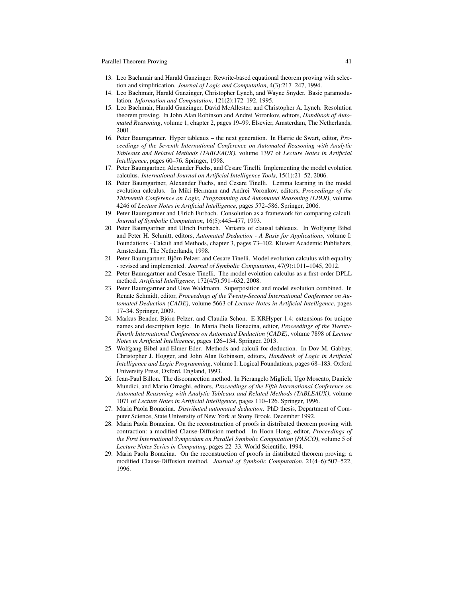- 13. Leo Bachmair and Harald Ganzinger. Rewrite-based equational theorem proving with selection and simplification. *Journal of Logic and Computation*, 4(3):217–247, 1994.
- 14. Leo Bachmair, Harald Ganzinger, Christopher Lynch, and Wayne Snyder. Basic paramodulation. *Information and Computation*, 121(2):172–192, 1995.
- 15. Leo Bachmair, Harald Ganzinger, David McAllester, and Christopher A. Lynch. Resolution theorem proving. In John Alan Robinson and Andrei Voronkov, editors, *Handbook of Automated Reasoning*, volume 1, chapter 2, pages 19–99. Elsevier, Amsterdam, The Netherlands, 2001.
- 16. Peter Baumgartner. Hyper tableaux the next generation. In Harrie de Swart, editor, *Proceedings of the Seventh International Conference on Automated Reasoning with Analytic Tableaux and Related Methods (TABLEAUX)*, volume 1397 of *Lecture Notes in Artificial Intelligence*, pages 60–76. Springer, 1998.
- 17. Peter Baumgartner, Alexander Fuchs, and Cesare Tinelli. Implementing the model evolution calculus. *International Journal on Artificial Intelligence Tools*, 15(1):21–52, 2006.
- 18. Peter Baumgartner, Alexander Fuchs, and Cesare Tinelli. Lemma learning in the model evolution calculus. In Miki Hermann and Andrei Voronkov, editors, *Proceedings of the Thirteenth Conference on Logic, Programming and Automated Reasoning (LPAR)*, volume 4246 of *Lecture Notes in Artificial Intelligence*, pages 572–586. Springer, 2006.
- 19. Peter Baumgartner and Ulrich Furbach. Consolution as a framework for comparing calculi. *Journal of Symbolic Computation*, 16(5):445–477, 1993.
- 20. Peter Baumgartner and Ulrich Furbach. Variants of clausal tableaux. In Wolfgang Bibel and Peter H. Schmitt, editors, *Automated Deduction - A Basis for Applications*, volume I: Foundations - Calculi and Methods, chapter 3, pages 73–102. Kluwer Academic Publishers, Amsterdam, The Netherlands, 1998.
- 21. Peter Baumgartner, Bjorn Pelzer, and Cesare Tinelli. Model evolution calculus with equality ¨ - revised and implemented. *Journal of Symbolic Computation*, 47(9):1011–1045, 2012.
- 22. Peter Baumgartner and Cesare Tinelli. The model evolution calculus as a first-order DPLL method. *Artificial Intelligence*, 172(4/5):591–632, 2008.
- 23. Peter Baumgartner and Uwe Waldmann. Superposition and model evolution combined. In Renate Schmidt, editor, *Proceedings of the Twenty-Second International Conference on Automated Deduction (CADE)*, volume 5663 of *Lecture Notes in Artificial Intelligence*, pages 17–34. Springer, 2009.
- 24. Markus Bender, Björn Pelzer, and Claudia Schon. E-KRHyper 1.4: extensions for unique names and description logic. In Maria Paola Bonacina, editor, *Proceedings of the Twenty-Fourth International Conference on Automated Deduction (CADE)*, volume 7898 of *Lecture Notes in Artificial Intelligence*, pages 126–134. Springer, 2013.
- 25. Wolfgang Bibel and Elmer Eder. Methods and calculi for deduction. In Dov M. Gabbay, Christopher J. Hogger, and John Alan Robinson, editors, *Handbook of Logic in Artificial Intelligence and Logic Programming*, volume I: Logical Foundations, pages 68–183. Oxford University Press, Oxford, England, 1993.
- 26. Jean-Paul Billon. The disconnection method. In Pierangelo Miglioli, Ugo Moscato, Daniele Mundici, and Mario Ornaghi, editors, *Proceedings of the Fifth International Conference on Automated Reasoning with Analytic Tableaux and Related Methods (TABLEAUX)*, volume 1071 of *Lecture Notes in Artificial Intelligence*, pages 110–126. Springer, 1996.
- 27. Maria Paola Bonacina. *Distributed automated deduction*. PhD thesis, Department of Computer Science, State University of New York at Stony Brook, December 1992.
- 28. Maria Paola Bonacina. On the reconstruction of proofs in distributed theorem proving with contraction: a modified Clause-Diffusion method. In Hoon Hong, editor, *Proceedings of the First International Symposium on Parallel Symbolic Computation (PASCO)*, volume 5 of *Lecture Notes Series in Computing*, pages 22–33. World Scientific, 1994.
- 29. Maria Paola Bonacina. On the reconstruction of proofs in distributed theorem proving: a modified Clause-Diffusion method. *Journal of Symbolic Computation*, 21(4–6):507–522, 1996.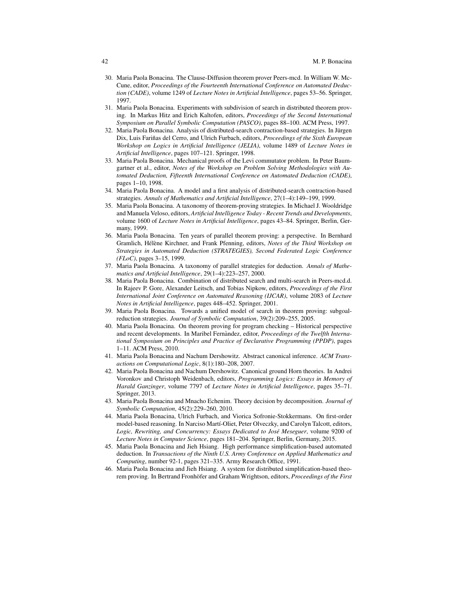- 30. Maria Paola Bonacina. The Clause-Diffusion theorem prover Peers-mcd. In William W. Mc-Cune, editor, *Proceedings of the Fourteenth International Conference on Automated Deduction (CADE)*, volume 1249 of *Lecture Notes in Artificial Intelligence*, pages 53–56. Springer, 1997.
- 31. Maria Paola Bonacina. Experiments with subdivision of search in distributed theorem proving. In Markus Hitz and Erich Kaltofen, editors, *Proceedings of the Second International Symposium on Parallel Symbolic Computation (PASCO)*, pages 88–100. ACM Press, 1997.
- 32. Maria Paola Bonacina. Analysis of distributed-search contraction-based strategies. In Jürgen Dix, Luis Fariñas del Cerro, and Ulrich Furbach, editors, Proceedings of the Sixth European *Workshop on Logics in Artificial Intelligence (JELIA)*, volume 1489 of *Lecture Notes in Artificial Intelligence*, pages 107–121. Springer, 1998.
- 33. Maria Paola Bonacina. Mechanical proofs of the Levi commutator problem. In Peter Baumgartner et al., editor, *Notes of the Workshop on Problem Solving Methodologies with Automated Deduction, Fifteenth International Conference on Automated Deduction (CADE)*, pages 1–10, 1998.
- 34. Maria Paola Bonacina. A model and a first analysis of distributed-search contraction-based strategies. *Annals of Mathematics and Artificial Intelligence*, 27(1–4):149–199, 1999.
- 35. Maria Paola Bonacina. A taxonomy of theorem-proving strategies. In Michael J. Wooldridge and Manuela Veloso, editors, *Artificial Intelligence Today - Recent Trends and Developments*, volume 1600 of *Lecture Notes in Artificial Intelligence*, pages 43–84. Springer, Berlin, Germany, 1999.
- 36. Maria Paola Bonacina. Ten years of parallel theorem proving: a perspective. In Bernhard Gramlich, Hélène Kirchner, and Frank Pfenning, editors, *Notes of the Third Workshop on Strategies in Automated Deduction (STRATEGIES), Second Federated Logic Conference (FLoC)*, pages 3–15, 1999.
- 37. Maria Paola Bonacina. A taxonomy of parallel strategies for deduction. *Annals of Mathematics and Artificial Intelligence*, 29(1–4):223–257, 2000.
- 38. Maria Paola Bonacina. Combination of distributed search and multi-search in Peers-mcd.d. In Rajeev P. Gore, Alexander Leitsch, and Tobias Nipkow, editors, *Proceedings of the First International Joint Conference on Automated Reasoning (IJCAR)*, volume 2083 of *Lecture Notes in Artificial Intelligence*, pages 448–452. Springer, 2001.
- 39. Maria Paola Bonacina. Towards a unified model of search in theorem proving: subgoalreduction strategies. *Journal of Symbolic Computation*, 39(2):209–255, 2005.
- 40. Maria Paola Bonacina. On theorem proving for program checking Historical perspective and recent developments. In Maribel Fernandez, editor, Proceedings of the Twelfth Interna*tional Symposium on Principles and Practice of Declarative Programming (PPDP)*, pages 1–11. ACM Press, 2010.
- 41. Maria Paola Bonacina and Nachum Dershowitz. Abstract canonical inference. *ACM Transactions on Computational Logic*, 8(1):180–208, 2007.
- 42. Maria Paola Bonacina and Nachum Dershowitz. Canonical ground Horn theories. In Andrei Voronkov and Christoph Weidenbach, editors, *Programming Logics: Essays in Memory of Harald Ganzinger*, volume 7797 of *Lecture Notes in Artificial Intelligence*, pages 35–71. Springer, 2013.
- 43. Maria Paola Bonacina and Mnacho Echenim. Theory decision by decomposition. *Journal of Symbolic Computation*, 45(2):229–260, 2010.
- 44. Maria Paola Bonacina, Ulrich Furbach, and Viorica Sofronie-Stokkermans. On first-order model-based reasoning. In Narciso Martí-Oliet, Peter Olveczky, and Carolyn Talcott, editors, Logic, Rewriting, and Concurrency: Essays Dedicated to José Meseguer, volume 9200 of *Lecture Notes in Computer Science*, pages 181–204. Springer, Berlin, Germany, 2015.
- 45. Maria Paola Bonacina and Jieh Hsiang. High performance simplification-based automated deduction. In *Transactions of the Ninth U.S. Army Conference on Applied Mathematics and Computing*, number 92-1, pages 321–335. Army Research Office, 1991.
- 46. Maria Paola Bonacina and Jieh Hsiang. A system for distributed simplification-based theorem proving. In Bertrand Fronhöfer and Graham Wrightson, editors, Proceedings of the First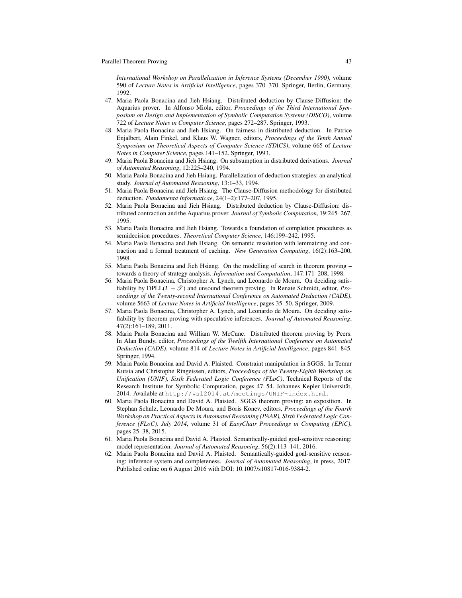*International Workshop on Parallelization in Inference Systems (December 1990)*, volume 590 of *Lecture Notes in Artificial Intelligence*, pages 370–370. Springer, Berlin, Germany, 1992.

- 47. Maria Paola Bonacina and Jieh Hsiang. Distributed deduction by Clause-Diffusion: the Aquarius prover. In Alfonso Miola, editor, *Proceedings of the Third International Symposium on Design and Implementation of Symbolic Computation Systems (DISCO)*, volume 722 of *Lecture Notes in Computer Science*, pages 272–287. Springer, 1993.
- 48. Maria Paola Bonacina and Jieh Hsiang. On fairness in distributed deduction. In Patrice Enjalbert, Alain Finkel, and Klaus W. Wagner, editors, *Proceedings of the Tenth Annual Symposium on Theoretical Aspects of Computer Science (STACS)*, volume 665 of *Lecture Notes in Computer Science*, pages 141–152. Springer, 1993.
- 49. Maria Paola Bonacina and Jieh Hsiang. On subsumption in distributed derivations. *Journal of Automated Reasoning*, 12:225–240, 1994.
- 50. Maria Paola Bonacina and Jieh Hsiang. Parallelization of deduction strategies: an analytical study. *Journal of Automated Reasoning*, 13:1–33, 1994.
- 51. Maria Paola Bonacina and Jieh Hsiang. The Clause-Diffusion methodology for distributed deduction. *Fundamenta Informaticae*, 24(1–2):177–207, 1995.
- 52. Maria Paola Bonacina and Jieh Hsiang. Distributed deduction by Clause-Diffusion: distributed contraction and the Aquarius prover. *Journal of Symbolic Computation*, 19:245–267, 1995.
- 53. Maria Paola Bonacina and Jieh Hsiang. Towards a foundation of completion procedures as semidecision procedures. *Theoretical Computer Science*, 146:199–242, 1995.
- 54. Maria Paola Bonacina and Jieh Hsiang. On semantic resolution with lemmaizing and contraction and a formal treatment of caching. *New Generation Computing*, 16(2):163–200, 1998.
- 55. Maria Paola Bonacina and Jieh Hsiang. On the modelling of search in theorem proving towards a theory of strategy analysis. *Information and Computation*, 147:171–208, 1998.
- 56. Maria Paola Bonacina, Christopher A. Lynch, and Leonardo de Moura. On deciding satisfiability by  $DPLL(\Gamma + \mathcal{T})$  and unsound theorem proving. In Renate Schmidt, editor, *Proceedings of the Twenty-second International Conference on Automated Deduction (CADE)*, volume 5663 of *Lecture Notes in Artificial Intelligence*, pages 35–50. Springer, 2009.
- 57. Maria Paola Bonacina, Christopher A. Lynch, and Leonardo de Moura. On deciding satisfiability by theorem proving with speculative inferences. *Journal of Automated Reasoning*, 47(2):161–189, 2011.
- 58. Maria Paola Bonacina and William W. McCune. Distributed theorem proving by Peers. In Alan Bundy, editor, *Proceedings of the Twelfth International Conference on Automated Deduction (CADE)*, volume 814 of *Lecture Notes in Artificial Intelligence*, pages 841–845. Springer, 1994.
- 59. Maria Paola Bonacina and David A. Plaisted. Constraint manipulation in SGGS. In Temur Kutsia and Christophe Ringeissen, editors, *Proceedings of the Twenty-Eighth Workshop on Unification (UNIF), Sixth Federated Logic Conference (FLoC)*, Technical Reports of the Research Institute for Symbolic Computation, pages 47–54. Johannes Kepler Universität, 2014. Available at http://vsl2014.at/meetings/UNIF-index.html.
- 60. Maria Paola Bonacina and David A. Plaisted. SGGS theorem proving: an exposition. In Stephan Schulz, Leonardo De Moura, and Boris Konev, editors, *Proceedings of the Fourth Workshop on Practical Aspects in Automated Reasoning (PAAR), Sixth Federated Logic Conference (FLoC), July 2014*, volume 31 of *EasyChair Proceedings in Computing (EPiC)*, pages 25–38, 2015.
- 61. Maria Paola Bonacina and David A. Plaisted. Semantically-guided goal-sensitive reasoning: model representation. *Journal of Automated Reasoning*, 56(2):113–141, 2016.
- 62. Maria Paola Bonacina and David A. Plaisted. Semantically-guided goal-sensitive reasoning: inference system and completeness. *Journal of Automated Reasoning*, in press, 2017. Published online on 6 August 2016 with DOI: 10.1007/s10817-016-9384-2.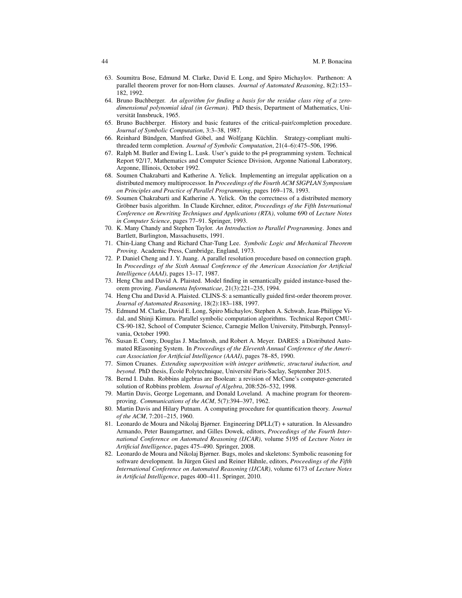- 63. Soumitra Bose, Edmund M. Clarke, David E. Long, and Spiro Michaylov. Parthenon: A parallel theorem prover for non-Horn clauses. *Journal of Automated Reasoning*, 8(2):153– 182, 1992.
- 64. Bruno Buchberger. *An algorithm for finding a basis for the residue class ring of a zerodimensional polynomial ideal (in German)*. PhD thesis, Department of Mathematics, Universität Innsbruck, 1965.
- 65. Bruno Buchberger. History and basic features of the critical-pair/completion procedure. *Journal of Symbolic Computation*, 3:3–38, 1987.
- 66. Reinhard Bündgen, Manfred Göbel, and Wolfgang Küchlin. Strategy-compliant multithreaded term completion. *Journal of Symbolic Computation*, 21(4–6):475–506, 1996.
- 67. Ralph M. Butler and Ewing L. Lusk. User's guide to the p4 programming system. Technical Report 92/17, Mathematics and Computer Science Division, Argonne National Laboratory, Argonne, Illinois, October 1992.
- 68. Soumen Chakrabarti and Katherine A. Yelick. Implementing an irregular application on a distributed memory multiprocessor. In *Proceedings of the Fourth ACM SIGPLAN Symposium on Principles and Practice of Parallel Programming*, pages 169–178, 1993.
- 69. Soumen Chakrabarti and Katherine A. Yelick. On the correctness of a distributed memory Gröbner basis algorithm. In Claude Kirchner, editor, Proceedings of the Fifth International *Conference on Rewriting Techniques and Applications (RTA)*, volume 690 of *Lecture Notes in Computer Science*, pages 77–91. Springer, 1993.
- 70. K. Many Chandy and Stephen Taylor. *An Introduction to Parallel Programming*. Jones and Bartlett, Burlington, Massachusetts, 1991.
- 71. Chin-Liang Chang and Richard Char-Tung Lee. *Symbolic Logic and Mechanical Theorem Proving*. Academic Press, Cambridge, England, 1973.
- 72. P. Daniel Cheng and J. Y. Juang. A parallel resolution procedure based on connection graph. In *Proceedings of the Sixth Annual Conference of the American Association for Artificial Intelligence (AAAI)*, pages 13–17, 1987.
- 73. Heng Chu and David A. Plaisted. Model finding in semantically guided instance-based theorem proving. *Fundamenta Informaticae*, 21(3):221–235, 1994.
- 74. Heng Chu and David A. Plaisted. CLINS-S: a semantically guided first-order theorem prover. *Journal of Automated Reasoning*, 18(2):183–188, 1997.
- 75. Edmund M. Clarke, David E. Long, Spiro Michaylov, Stephen A. Schwab, Jean-Philippe Vidal, and Shinji Kimura. Parallel symbolic computation algorithms. Technical Report CMU-CS-90-182, School of Computer Science, Carnegie Mellon University, Pittsburgh, Pennsylvania, October 1990.
- 76. Susan E. Conry, Douglas J. MacIntosh, and Robert A. Meyer. DARES: a Distributed Automated REasoning System. In *Proceedings of the Eleventh Annual Conference of the American Association for Artificial Intelligence (AAAI)*, pages 78–85, 1990.
- 77. Simon Cruanes. *Extending superposition with integer arithmetic, structural induction, and beyond*. PhD thesis, École Polytechnique, Université Paris-Saclay, September 2015.
- 78. Bernd I. Dahn. Robbins algebras are Boolean: a revision of McCune's computer-generated solution of Robbins problem. *Journal of Algebra*, 208:526–532, 1998.
- 79. Martin Davis, George Logemann, and Donald Loveland. A machine program for theoremproving. *Communications of the ACM*, 5(7):394–397, 1962.
- 80. Martin Davis and Hilary Putnam. A computing procedure for quantification theory. *Journal of the ACM*, 7:201–215, 1960.
- 81. Leonardo de Moura and Nikolaj Bjørner. Engineering DPLL(T) + saturation. In Alessandro Armando, Peter Baumgartner, and Gilles Dowek, editors, *Proceedings of the Fourth International Conference on Automated Reasoning (IJCAR)*, volume 5195 of *Lecture Notes in Artificial Intelligence*, pages 475–490. Springer, 2008.
- 82. Leonardo de Moura and Nikolaj Bjørner. Bugs, moles and skeletons: Symbolic reasoning for software development. In Jürgen Giesl and Reiner Hähnle, editors, Proceedings of the Fifth *International Conference on Automated Reasoning (IJCAR)*, volume 6173 of *Lecture Notes in Artificial Intelligence*, pages 400–411. Springer, 2010.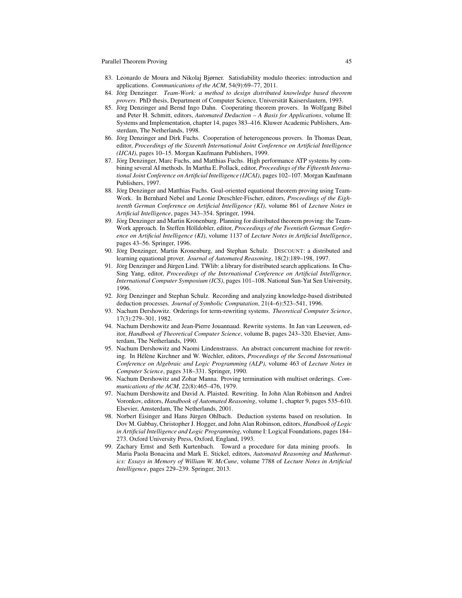- 83. Leonardo de Moura and Nikolaj Bjørner. Satisfiability modulo theories: introduction and applications. *Communications of the ACM*, 54(9):69–77, 2011.
- 84. Jörg Denzinger. *Team-Work: a method to design distributed knowledge based theorem provers*. PhD thesis, Department of Computer Science, Universität Kaiserslautern, 1993.
- 85. Jörg Denzinger and Bernd Ingo Dahn. Cooperating theorem provers. In Wolfgang Bibel and Peter H. Schmitt, editors, *Automated Deduction – A Basis for Applications*, volume II: Systems and Implementation, chapter 14, pages 383–416. Kluwer Academic Publishers, Amsterdam, The Netherlands, 1998.
- 86. Jörg Denzinger and Dirk Fuchs. Cooperation of heterogeneous provers. In Thomas Dean, editor, *Proceedings of the Sixeenth International Joint Conference on Artificial Intelligence (IJCAI)*, pages 10–15. Morgan Kaufmann Publishers, 1999.
- 87. Jörg Denzinger, Marc Fuchs, and Matthias Fuchs. High performance ATP systems by combining several AI methods. In Martha E. Pollack, editor, *Proceedings of the Fifteenth International Joint Conference on Artificial Intelligence (IJCAI)*, pages 102–107. Morgan Kaufmann Publishers, 1997.
- 88. Jörg Denzinger and Matthias Fuchs. Goal-oriented equational theorem proving using Team-Work. In Bernhard Nebel and Leonie Dreschler-Fischer, editors, *Proceedings of the Eighteenth German Conference on Artificial Intelligence (KI)*, volume 861 of *Lecture Notes in Artificial Intelligence*, pages 343–354. Springer, 1994.
- 89. Jörg Denzinger and Martin Kronenburg. Planning for distributed theorem proving: the Team-Work approach. In Steffen Hölldobler, editor, Proceedings of the Twentieth German Confer*ence on Artificial Intelligence (KI)*, volume 1137 of *Lecture Notes in Artificial Intelligence*, pages 43–56. Springer, 1996.
- 90. Jörg Denzinger, Martin Kronenburg, and Stephan Schulz. DISCOUNT: a distributed and learning equational prover. *Journal of Automated Reasoning*, 18(2):189–198, 1997.
- 91. Jörg Denzinger and Jürgen Lind. TWlib: a library for distributed search applications. In Chu-Sing Yang, editor, *Proceedings of the International Conference on Artificial Intelligence, International Computer Symposium (ICS)*, pages 101–108. National Sun-Yat Sen University, 1996.
- 92. Jörg Denzinger and Stephan Schulz. Recording and analyzing knowledge-based distributed deduction processes. *Journal of Symbolic Computation*, 21(4–6):523–541, 1996.
- 93. Nachum Dershowitz. Orderings for term-rewriting systems. *Theoretical Computer Science*, 17(3):279–301, 1982.
- 94. Nachum Dershowitz and Jean-Pierre Jouannaud. Rewrite systems. In Jan van Leeuwen, editor, *Handbook of Theoretical Computer Science*, volume B, pages 243–320. Elsevier, Amsterdam, The Netherlands, 1990.
- 95. Nachum Dershowitz and Naomi Lindenstrauss. An abstract concurrent machine for rewriting. In Hélène Kirchner and W. Wechler, editors, Proceedings of the Second International *Conference on Algebraic and Logic Programming (ALP)*, volume 463 of *Lecture Notes in Computer Science*, pages 318–331. Springer, 1990.
- 96. Nachum Dershowitz and Zohar Manna. Proving termination with multiset orderings. *Communications of the ACM*, 22(8):465–476, 1979.
- 97. Nachum Dershowitz and David A. Plaisted. Rewriting. In John Alan Robinson and Andrei Voronkov, editors, *Handbook of Automated Reasoning*, volume 1, chapter 9, pages 535–610. Elsevier, Amsterdam, The Netherlands, 2001.
- 98. Norbert Eisinger and Hans Jürgen Ohlbach. Deduction systems based on resolution. In Dov M. Gabbay, Christopher J. Hogger, and John Alan Robinson, editors, *Handbook of Logic in Artificial Intelligence and Logic Programming*, volume I: Logical Foundations, pages 184– 273. Oxford University Press, Oxford, England, 1993.
- 99. Zachary Ernst and Seth Kurtenbach. Toward a procedure for data mining proofs. In Maria Paola Bonacina and Mark E. Stickel, editors, *Automated Reasoning and Mathematics: Essays in Memory of William W. McCune*, volume 7788 of *Lecture Notes in Artificial Intelligence*, pages 229–239. Springer, 2013.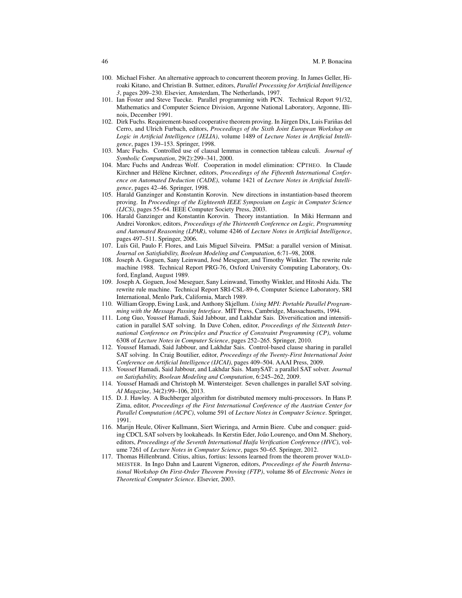- 100. Michael Fisher. An alternative approach to concurrent theorem proving. In James Geller, Hiroaki Kitano, and Christian B. Suttner, editors, *Parallel Processing for Artificial Intelligence 3*, pages 209–230. Elsevier, Amsterdam, The Netherlands, 1997.
- 101. Ian Foster and Steve Tuecke. Parallel programming with PCN. Technical Report 91/32, Mathematics and Computer Science Division, Argonne National Laboratory, Argonne, Illinois, December 1991.
- 102. Dirk Fuchs. Requirement-based cooperative theorem proving. In Jürgen Dix, Luis Fariñas del Cerro, and Ulrich Furbach, editors, *Proceedings of the Sixth Joint European Workshop on Logic in Artificial Intelligence (JELIA)*, volume 1489 of *Lecture Notes in Artificial Intelligence*, pages 139–153. Springer, 1998.
- 103. Marc Fuchs. Controlled use of clausal lemmas in connection tableau calculi. *Journal of Symbolic Computation*, 29(2):299–341, 2000.
- 104. Marc Fuchs and Andreas Wolf. Cooperation in model elimination: CPTHEO. In Claude Kirchner and Hélène Kirchner, editors, Proceedings of the Fifteenth International Confer*ence on Automated Deduction (CADE)*, volume 1421 of *Lecture Notes in Artificial Intelligence*, pages 42–46. Springer, 1998.
- 105. Harald Ganzinger and Konstantin Korovin. New directions in instantiation-based theorem proving. In *Proceedings of the Eighteenth IEEE Symposium on Logic in Computer Science (LICS)*, pages 55–64. IEEE Computer Society Press, 2003.
- 106. Harald Ganzinger and Konstantin Korovin. Theory instantiation. In Miki Hermann and Andrei Voronkov, editors, *Proceedings of the Thirteenth Conference on Logic, Programming and Automated Reasoning (LPAR)*, volume 4246 of *Lecture Notes in Artificial Intelligence*, pages 497–511. Springer, 2006.
- 107. Luís Gil, Paulo F. Flores, and Luis Miguel Silveira. PMSat: a parallel version of Minisat. *Journal on Satisfiability, Boolean Modeling and Computation*, 6:71–98, 2008.
- 108. Joseph A. Goguen, Sany Leinwand, Jose Meseguer, and Timothy Winkler. The rewrite rule ´ machine 1988. Technical Report PRG-76, Oxford University Computing Laboratory, Oxford, England, August 1989.
- 109. Joseph A. Goguen, Jose Meseguer, Sany Leinwand, Timothy Winkler, and Hitoshi Aida. The ´ rewrite rule machine. Technical Report SRI-CSL-89-6, Computer Science Laboratory, SRI International, Menlo Park, California, March 1989.
- 110. William Gropp, Ewing Lusk, and Anthony Skjellum. *Using MPI: Portable Parallel Programming with the Message Passing Interface*. MIT Press, Cambridge, Massachusetts, 1994.
- 111. Long Guo, Youssef Hamadi, Said Jabbour, and Lakhdar Sais. Diversification and intensification in parallel SAT solving. In Dave Cohen, editor, *Proceedings of the Sixteenth International Conference on Principles and Practice of Constraint Programming (CP)*, volume 6308 of *Lecture Notes in Computer Science*, pages 252–265. Springer, 2010.
- 112. Youssef Hamadi, Said Jabbour, and Lakhdar Sais. Control-based clause sharing in parallel SAT solving. In Craig Boutilier, editor, *Proceedings of the Twenty-First International Joint Conference on Artificial Intelligence (IJCAI)*, pages 409–504. AAAI Press, 2009.
- 113. Youssef Hamadi, Said Jabbour, and Lakhdar Sais. ManySAT: a parallel SAT solver. *Journal on Satisfiability, Boolean Modeling and Computation*, 6:245–262, 2009.
- 114. Youssef Hamadi and Christoph M. Wintersteiger. Seven challenges in parallel SAT solving. *AI Magazine*, 34(2):99–106, 2013.
- 115. D. J. Hawley. A Buchberger algorithm for distributed memory multi-processors. In Hans P. Zima, editor, *Proceedings of the First International Conference of the Austrian Center for Parallel Computation (ACPC)*, volume 591 of *Lecture Notes in Computer Science*. Springer, 1991.
- 116. Marijn Heule, Oliver Kullmann, Siert Wieringa, and Armin Biere. Cube and conquer: guiding CDCL SAT solvers by lookaheads. In Kerstin Eder, João Lourenco, and Onn M. Shehory, editors, *Proceedings of the Seventh International Haifa Verification Conference (HVC)*, volume 7261 of *Lecture Notes in Computer Science*, pages 50–65. Springer, 2012.
- 117. Thomas Hillenbrand. Citius, altius, fortius: lessons learned from the theorem prover WALD-MEISTER. In Ingo Dahn and Laurent Vigneron, editors, *Proceedings of the Fourth International Workshop On First-Order Theorem Proving (FTP)*, volume 86 of *Electronic Notes in Theoretical Computer Science*. Elsevier, 2003.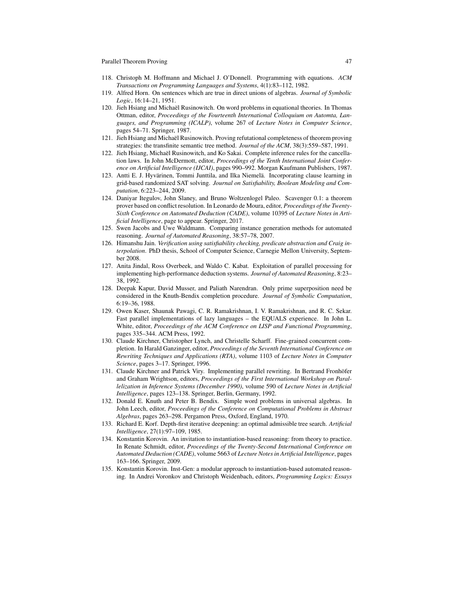- 118. Christoph M. Hoffmann and Michael J. O'Donnell. Programming with equations. *ACM Transactions on Programming Languages and Systems*, 4(1):83–112, 1982.
- 119. Alfred Horn. On sentences which are true in direct unions of algebras. *Journal of Symbolic Logic*, 16:14–21, 1951.
- 120. Jieh Hsiang and Michaël Rusinowitch. On word problems in equational theories. In Thomas Ottman, editor, *Proceedings of the Fourteenth International Colloquium on Automta, Languages, and Programming (ICALP)*, volume 267 of *Lecture Notes in Computer Science*, pages 54–71. Springer, 1987.
- 121. Jieh Hsiang and Michael Rusinowitch. Proving refutational completeness of theorem proving ¨ strategies: the transfinite semantic tree method. *Journal of the ACM*, 38(3):559–587, 1991.
- 122. Jieh Hsiang, Michaël Rusinowitch, and Ko Sakai. Complete inference rules for the cancellation laws. In John McDermott, editor, *Proceedings of the Tenth International Joint Conference on Artificial Intelligence (IJCAI)*, pages 990–992. Morgan Kaufmann Publishers, 1987.
- 123. Antti E. J. Hyvärinen, Tommi Junttila, and Ilka Niemelä. Incorporating clause learning in grid-based randomized SAT solving. *Journal on Satisfiability, Boolean Modeling and Computation*, 6:223–244, 2009.
- 124. Daniyar Itegulov, John Slaney, and Bruno Woltzenlogel Paleo. Scavenger 0.1: a theorem prover based on conflict resolution. In Leonardo de Moura, editor, *Proceedings of the Twenty-Sixth Conference on Automated Deduction (CADE)*, volume 10395 of *Lecture Notes in Artificial Intelligence*, page to appear. Springer, 2017.
- 125. Swen Jacobs and Uwe Waldmann. Comparing instance generation methods for automated reasoning. *Journal of Automated Reasoning*, 38:57–78, 2007.
- 126. Himanshu Jain. *Verification using satisfiability checking, predicate abstraction and Craig interpolation*. PhD thesis, School of Computer Science, Carnegie Mellon University, September 2008.
- 127. Anita Jindal, Ross Overbeek, and Waldo C. Kabat. Exploitation of parallel processing for implementing high-performance deduction systems. *Journal of Automated Reasoning*, 8:23– 38, 1992.
- 128. Deepak Kapur, David Musser, and Paliath Narendran. Only prime superposition need be considered in the Knuth-Bendix completion procedure. *Journal of Symbolic Computation*, 6:19–36, 1988.
- 129. Owen Kaser, Shaunak Pawagi, C. R. Ramakrishnan, I. V. Ramakrishnan, and R. C. Sekar. Fast parallel implementations of lazy languages – the EQUALS experience. In John L. White, editor, *Proceedings of the ACM Conference on LISP and Functional Programming*, pages 335–344. ACM Press, 1992.
- 130. Claude Kirchner, Christopher Lynch, and Christelle Scharff. Fine-grained concurrent completion. In Harald Ganzinger, editor, *Proceedings of the Seventh International Conference on Rewriting Techniques and Applications (RTA)*, volume 1103 of *Lecture Notes in Computer Science*, pages 3–17. Springer, 1996.
- 131. Claude Kirchner and Patrick Viry. Implementing parallel rewriting. In Bertrand Fronhofer ¨ and Graham Wrightson, editors, *Proceedings of the First International Workshop on Parallelization in Inference Systems (December 1990)*, volume 590 of *Lecture Notes in Artificial Intelligence*, pages 123–138. Springer, Berlin, Germany, 1992.
- 132. Donald E. Knuth and Peter B. Bendix. Simple word problems in universal algebras. In John Leech, editor, *Proceedings of the Conference on Computational Problems in Abstract Algebras*, pages 263–298. Pergamon Press, Oxford, England, 1970.
- 133. Richard E. Korf. Depth-first iterative deepening: an optimal admissible tree search. *Artificial Intelligence*, 27(1):97–109, 1985.
- 134. Konstantin Korovin. An invitation to instantiation-based reasoning: from theory to practice. In Renate Schmidt, editor, *Proceedings of the Twenty-Second International Conference on Automated Deduction (CADE)*, volume 5663 of *Lecture Notes in Artificial Intelligence*, pages 163–166. Springer, 2009.
- 135. Konstantin Korovin. Inst-Gen: a modular approach to instantiation-based automated reasoning. In Andrei Voronkov and Christoph Weidenbach, editors, *Programming Logics: Essays*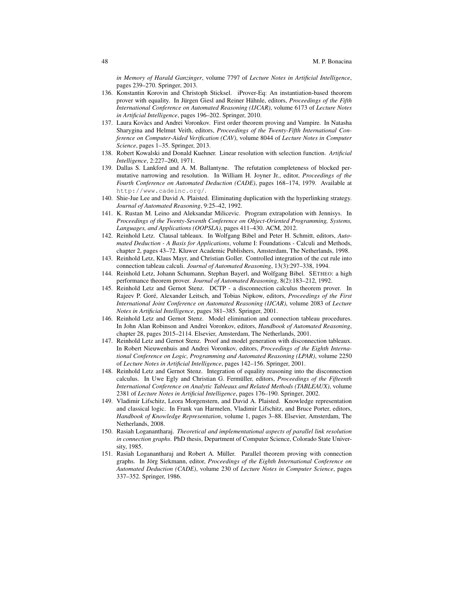*in Memory of Harald Ganzinger*, volume 7797 of *Lecture Notes in Artificial Intelligence*, pages 239–270. Springer, 2013.

- 136. Konstantin Korovin and Christoph Sticksel. iProver-Eq: An instantiation-based theorem prover with equality. In Jürgen Giesl and Reiner Hähnle, editors, *Proceedings of the Fifth International Conference on Automated Reasoning (IJCAR)*, volume 6173 of *Lecture Notes in Artificial Intelligence*, pages 196–202. Springer, 2010.
- 137. Laura Kovacs and Andrei Voronkov. First order theorem proving and Vampire. In Natasha ` Sharygina and Helmut Veith, editors, *Proceedings of the Twenty-Fifth International Conference on Computer-Aided Verification (CAV)*, volume 8044 of *Lecture Notes in Computer Science*, pages 1–35. Springer, 2013.
- 138. Robert Kowalski and Donald Kuehner. Linear resolution with selection function. *Artificial Intelligence*, 2:227–260, 1971.
- 139. Dallas S. Lankford and A. M. Ballantyne. The refutation completeness of blocked permutative narrowing and resolution. In William H. Joyner Jr., editor, *Proceedings of the Fourth Conference on Automated Deduction (CADE)*, pages 168–174, 1979. Available at http://www.cadeinc.org/.
- 140. Shie-Jue Lee and David A. Plaisted. Eliminating duplication with the hyperlinking strategy. *Journal of Automated Reasoning*, 9:25–42, 1992.
- 141. K. Rustan M. Leino and Aleksandar Milicevic. Program extrapolation with Jennisys. In *Proceedings of the Twenty-Seventh Conference on Object-Oriented Programming, Systems, Languages, and Applications (OOPSLA)*, pages 411–430. ACM, 2012.
- 142. Reinhold Letz. Clausal tableaux. In Wolfgang Bibel and Peter H. Schmitt, editors, *Automated Deduction - A Basis for Applications*, volume I: Foundations - Calculi and Methods, chapter 2, pages 43–72. Kluwer Academic Publishers, Amsterdam, The Netherlands, 1998.
- 143. Reinhold Letz, Klaus Mayr, and Christian Goller. Controlled integration of the cut rule into connection tableau calculi. *Journal of Automated Reasoning*, 13(3):297–338, 1994.
- 144. Reinhold Letz, Johann Schumann, Stephan Bayerl, and Wolfgang Bibel. SETHEO: a high performance theorem prover. *Journal of Automated Reasoning*, 8(2):183–212, 1992.
- 145. Reinhold Letz and Gernot Stenz. DCTP a disconnection calculus theorem prover. In Rajeev P. Gore, Alexander Leitsch, and Tobias Nipkow, editors, ´ *Proceedings of the First International Joint Conference on Automated Reasoning (IJCAR)*, volume 2083 of *Lecture Notes in Artificial Intelligence*, pages 381–385. Springer, 2001.
- 146. Reinhold Letz and Gernot Stenz. Model elimination and connection tableau procedures. In John Alan Robinson and Andrei Voronkov, editors, *Handbook of Automated Reasoning*, chapter 28, pages 2015–2114. Elsevier, Amsterdam, The Netherlands, 2001.
- 147. Reinhold Letz and Gernot Stenz. Proof and model generation with disconnection tableaux. In Robert Nieuwenhuis and Andrei Voronkov, editors, *Proceedings of the Eighth International Conference on Logic, Programming and Automated Reasoning (LPAR)*, volume 2250 of *Lecture Notes in Artificial Intelligence*, pages 142–156. Springer, 2001.
- 148. Reinhold Letz and Gernot Stenz. Integration of equality reasoning into the disconnection calculus. In Uwe Egly and Christian G. Fermüller, editors, Proceedings of the Fifteenth *International Conference on Analytic Tableaux and Related Methods (TABLEAUX)*, volume 2381 of *Lecture Notes in Artificial Intelligence*, pages 176–190. Springer, 2002.
- 149. Vladimir Lifschitz, Leora Morgenstern, and David A. Plaisted. Knowledge representation and classical logic. In Frank van Harmelen, Vladimir Lifschitz, and Bruce Porter, editors, *Handbook of Knowledge Representation*, volume 1, pages 3–88. Elsevier, Amsterdam, The Netherlands, 2008.
- 150. Rasiah Loganantharaj. *Theoretical and implementational aspects of parallel link resolution in connection graphs*. PhD thesis, Department of Computer Science, Colorado State University, 1985.
- 151. Rasiah Loganantharaj and Robert A. Muller. Parallel theorem proving with connection ¨ graphs. In Jörg Siekmann, editor, Proceedings of the Eighth International Conference on *Automated Deduction (CADE)*, volume 230 of *Lecture Notes in Computer Science*, pages 337–352. Springer, 1986.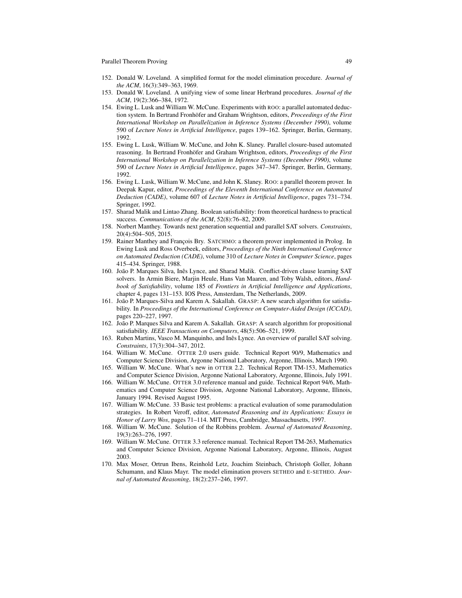- 152. Donald W. Loveland. A simplified format for the model elimination procedure. *Journal of the ACM*, 16(3):349–363, 1969.
- 153. Donald W. Loveland. A unifying view of some linear Herbrand procedures. *Journal of the ACM*, 19(2):366–384, 1972.
- 154. Ewing L. Lusk and William W. McCune. Experiments with ROO: a parallel automated deduction system. In Bertrand Fronhöfer and Graham Wrightson, editors, Proceedings of the First *International Workshop on Parallelization in Inference Systems (December 1990)*, volume 590 of *Lecture Notes in Artificial Intelligence*, pages 139–162. Springer, Berlin, Germany, 1992.
- 155. Ewing L. Lusk, William W. McCune, and John K. Slaney. Parallel closure-based automated reasoning. In Bertrand Fronhöfer and Graham Wrightson, editors, Proceedings of the First *International Workshop on Parallelization in Inference Systems (December 1990)*, volume 590 of *Lecture Notes in Artificial Intelligence*, pages 347–347. Springer, Berlin, Germany, 1992.
- 156. Ewing L. Lusk, William W. McCune, and John K. Slaney. ROO: a parallel theorem prover. In Deepak Kapur, editor, *Proceedings of the Eleventh International Conference on Automated Deduction (CADE)*, volume 607 of *Lecture Notes in Artificial Intelligence*, pages 731–734. Springer, 1992.
- 157. Sharad Malik and Lintao Zhang. Boolean satisfiability: from theoretical hardness to practical success. *Communications of the ACM*, 52(8):76–82, 2009.
- 158. Norbert Manthey. Towards next generation sequential and parallel SAT solvers. *Constraints*, 20(4):504–505, 2015.
- 159. Rainer Manthey and François Bry. SATCHMO: a theorem prover implemented in Prolog. In Ewing Lusk and Ross Overbeek, editors, *Proceedings of the Ninth International Conference on Automated Deduction (CADE)*, volume 310 of *Lecture Notes in Computer Science*, pages 415–434. Springer, 1988.
- 160. João P. Marques Silva, Inês Lynce, and Sharad Malik. Conflict-driven clause learning SAT solvers. In Armin Biere, Marjin Heule, Hans Van Maaren, and Toby Walsh, editors, *Handbook of Satisfiability*, volume 185 of *Frontiers in Artificial Intelligence and Applications*, chapter 4, pages 131–153. IOS Press, Amsterdam, The Netherlands, 2009.
- 161. João P. Marques-Silva and Karem A. Sakallah. GRASP: A new search algorithm for satisfiability. In *Proceedings of the International Conference on Computer-Aided Design (ICCAD)*, pages 220–227, 1997.
- 162. João P. Marques Silva and Karem A. Sakallah. GRASP: A search algorithm for propositional satisfiability. *IEEE Transactions on Computers*, 48(5):506–521, 1999.
- 163. Ruben Martins, Vasco M. Manquinho, and Inês Lynce. An overview of parallel SAT solving. *Constraints*, 17(3):304–347, 2012.
- 164. William W. McCune. OTTER 2.0 users guide. Technical Report 90/9, Mathematics and Computer Science Division, Argonne National Laboratory, Argonne, Illinois, March 1990.
- 165. William W. McCune. What's new in OTTER 2.2. Technical Report TM-153, Mathematics and Computer Science Division, Argonne National Laboratory, Argonne, Illinois, July 1991.
- 166. William W. McCune. OTTER 3.0 reference manual and guide. Technical Report 94/6, Mathematics and Computer Science Division, Argonne National Laboratory, Argonne, Illinois, January 1994. Revised August 1995.
- 167. William W. McCune. 33 Basic test problems: a practical evaluation of some paramodulation strategies. In Robert Veroff, editor, *Automated Reasoning and its Applications: Essays in Honor of Larry Wos*, pages 71–114. MIT Press, Cambridge, Massachusetts, 1997.
- 168. William W. McCune. Solution of the Robbins problem. *Journal of Automated Reasoning*, 19(3):263–276, 1997.
- 169. William W. McCune. OTTER 3.3 reference manual. Technical Report TM-263, Mathematics and Computer Science Division, Argonne National Laboratory, Argonne, Illinois, August 2003.
- 170. Max Moser, Ortrun Ibens, Reinhold Letz, Joachim Steinbach, Christoph Goller, Johann Schumann, and Klaus Mayr. The model elimination provers SETHEO and E-SETHEO. *Journal of Automated Reasoning*, 18(2):237–246, 1997.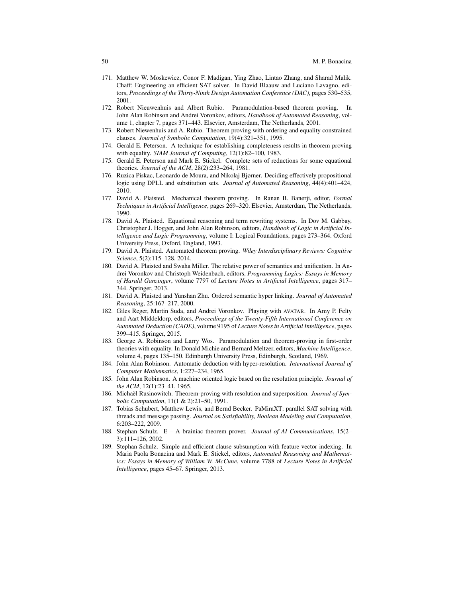- 171. Matthew W. Moskewicz, Conor F. Madigan, Ying Zhao, Lintao Zhang, and Sharad Malik. Chaff: Engineering an efficient SAT solver. In David Blaauw and Luciano Lavagno, editors, *Proceedings of the Thirty-Ninth Design Automation Conference (DAC)*, pages 530–535, 2001.
- 172. Robert Nieuwenhuis and Albert Rubio. Paramodulation-based theorem proving. In John Alan Robinson and Andrei Voronkov, editors, *Handbook of Automated Reasoning*, volume 1, chapter 7, pages 371–443. Elsevier, Amsterdam, The Netherlands, 2001.
- 173. Robert Niewenhuis and A. Rubio. Theorem proving with ordering and equality constrained clauses. *Journal of Symbolic Computation*, 19(4):321–351, 1995.
- 174. Gerald E. Peterson. A technique for establishing completeness results in theorem proving with equality. *SIAM Journal of Computing*, 12(1):82–100, 1983.
- 175. Gerald E. Peterson and Mark E. Stickel. Complete sets of reductions for some equational theories. *Journal of the ACM*, 28(2):233–264, 1981.
- 176. Ruzica Piskac, Leonardo de Moura, and Nikolaj Bjørner. Deciding effectively propositional logic using DPLL and substitution sets. *Journal of Automated Reasoning*, 44(4):401–424, 2010.
- 177. David A. Plaisted. Mechanical theorem proving. In Ranan B. Banerji, editor, *Formal Techniques in Artificial Intelligence*, pages 269–320. Elsevier, Amsterdam, The Netherlands, 1990.
- 178. David A. Plaisted. Equational reasoning and term rewriting systems. In Dov M. Gabbay, Christopher J. Hogger, and John Alan Robinson, editors, *Handbook of Logic in Artificial Intelligence and Logic Programming*, volume I: Logical Foundations, pages 273–364. Oxford University Press, Oxford, England, 1993.
- 179. David A. Plaisted. Automated theorem proving. *Wiley Interdisciplinary Reviews: Cognitive Science*, 5(2):115–128, 2014.
- 180. David A. Plaisted and Swaha Miller. The relative power of semantics and unification. In Andrei Voronkov and Christoph Weidenbach, editors, *Programming Logics: Essays in Memory of Harald Ganzinger*, volume 7797 of *Lecture Notes in Artificial Intelligence*, pages 317– 344. Springer, 2013.
- 181. David A. Plaisted and Yunshan Zhu. Ordered semantic hyper linking. *Journal of Automated Reasoning*, 25:167–217, 2000.
- 182. Giles Reger, Martin Suda, and Andrei Voronkov. Playing with AVATAR. In Amy P. Felty and Aart Middeldorp, editors, *Proceedings of the Twenty-Fifth International Conference on Automated Deduction (CADE)*, volume 9195 of *Lecture Notes in Artificial Intelligence*, pages 399–415. Springer, 2015.
- 183. George A. Robinson and Larry Wos. Paramodulation and theorem-proving in first-order theories with equality. In Donald Michie and Bernard Meltzer, editors, *Machine Intelligence*, volume 4, pages 135–150. Edinburgh University Press, Edinburgh, Scotland, 1969.
- 184. John Alan Robinson. Automatic deduction with hyper-resolution. *International Journal of Computer Mathematics*, 1:227–234, 1965.
- 185. John Alan Robinson. A machine oriented logic based on the resolution principle. *Journal of the ACM*, 12(1):23–41, 1965.
- 186. Michaël Rusinowitch. Theorem-proving with resolution and superposition. *Journal of Symbolic Computation*, 11(1 & 2):21–50, 1991.
- 187. Tobias Schubert, Matthew Lewis, and Bernd Becker. PaMiraXT: parallel SAT solving with threads and message passing. *Journal on Satisfiability, Boolean Modeling and Computation*, 6:203–222, 2009.
- 188. Stephan Schulz. E A brainiac theorem prover. *Journal of AI Communications*, 15(2– 3):111–126, 2002.
- 189. Stephan Schulz. Simple and efficient clause subsumption with feature vector indexing. In Maria Paola Bonacina and Mark E. Stickel, editors, *Automated Reasoning and Mathematics: Essays in Memory of William W. McCune*, volume 7788 of *Lecture Notes in Artificial Intelligence*, pages 45–67. Springer, 2013.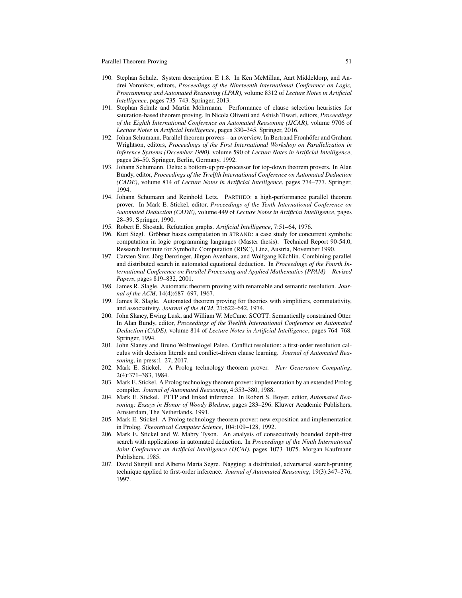- 190. Stephan Schulz. System description: E 1.8. In Ken McMillan, Aart Middeldorp, and Andrei Voronkov, editors, *Proceedings of the Nineteenth International Conference on Logic, Programming and Automated Reasoning (LPAR)*, volume 8312 of *Lecture Notes in Artificial Intelligence*, pages 735–743. Springer, 2013.
- 191. Stephan Schulz and Martin Möhrmann. Performance of clause selection heuristics for saturation-based theorem proving. In Nicola Olivetti and Ashish Tiwari, editors, *Proceedings of the Eighth International Conference on Automated Reasoning (IJCAR)*, volume 9706 of *Lecture Notes in Artificial Intelligence*, pages 330–345. Springer, 2016.
- 192. Johan Schumann. Parallel theorem provers an overview. In Bertrand Fronhofer and Graham ¨ Wrightson, editors, *Proceedings of the First International Workshop on Parallelization in Inference Systems (December 1990)*, volume 590 of *Lecture Notes in Artificial Intelligence*, pages 26–50. Springer, Berlin, Germany, 1992.
- 193. Johann Schumann. Delta: a bottom-up pre-processor for top-down theorem provers. In Alan Bundy, editor, *Proceedings of the Twelfth International Conference on Automated Deduction (CADE)*, volume 814 of *Lecture Notes in Artificial Intelligence*, pages 774–777. Springer, 1994.
- 194. Johann Schumann and Reinhold Letz. PARTHEO: a high-performance parallel theorem prover. In Mark E. Stickel, editor, *Proceedings of the Tenth International Conference on Automated Deduction (CADE)*, volume 449 of *Lecture Notes in Artificial Intelligence*, pages 28–39. Springer, 1990.
- 195. Robert E. Shostak. Refutation graphs. *Artificial Intelligence*, 7:51–64, 1976.
- 196. Kurt Siegl. Gröbner bases computation in STRAND: a case study for concurrent symbolic computation in logic programming languages (Master thesis). Technical Report 90-54.0, Research Institute for Symbolic Computation (RISC), Linz, Austria, November 1990.
- 197. Carsten Sinz, Jörg Denzinger, Jürgen Avenhaus, and Wolfgang Küchlin. Combining parallel and distributed search in automated equational deduction. In *Proceedings of the Fourth International Conference on Parallel Processing and Applied Mathematics (PPAM) – Revised Papers*, pages 819–832, 2001.
- 198. James R. Slagle. Automatic theorem proving with renamable and semantic resolution. *Journal of the ACM*, 14(4):687–697, 1967.
- 199. James R. Slagle. Automated theorem proving for theories with simplifiers, commutativity, and associativity. *Journal of the ACM*, 21:622–642, 1974.
- 200. John Slaney, Ewing Lusk, and William W. McCune. SCOTT: Semantically constrained Otter. In Alan Bundy, editor, *Proceedings of the Twelfth International Conference on Automated Deduction (CADE)*, volume 814 of *Lecture Notes in Artificial Intelligence*, pages 764–768. Springer, 1994.
- 201. John Slaney and Bruno Woltzenlogel Paleo. Conflict resolution: a first-order resolution calculus with decision literals and conflict-driven clause learning. *Journal of Automated Reasoning*, in press:1–27, 2017.
- 202. Mark E. Stickel. A Prolog technology theorem prover. *New Generation Computing*, 2(4):371–383, 1984.
- 203. Mark E. Stickel. A Prolog technology theorem prover: implementation by an extended Prolog compiler. *Journal of Automated Reasoning*, 4:353–380, 1988.
- 204. Mark E. Stickel. PTTP and linked inference. In Robert S. Boyer, editor, *Automated Reasoning: Essays in Honor of Woody Bledsoe*, pages 283–296. Kluwer Academic Publishers, Amsterdam, The Netherlands, 1991.
- 205. Mark E. Stickel. A Prolog technology theorem prover: new exposition and implementation in Prolog. *Theoretical Computer Science*, 104:109–128, 1992.
- 206. Mark E. Stickel and W. Mabry Tyson. An analysis of consecutively bounded depth-first search with applications in automated deduction. In *Proceedings of the Ninth International Joint Conference on Artificial Intelligence (IJCAI)*, pages 1073–1075. Morgan Kaufmann Publishers, 1985.
- 207. David Sturgill and Alberto Maria Segre. Nagging: a distributed, adversarial search-pruning technique applied to first-order inference. *Journal of Automated Reasoning*, 19(3):347–376, 1997.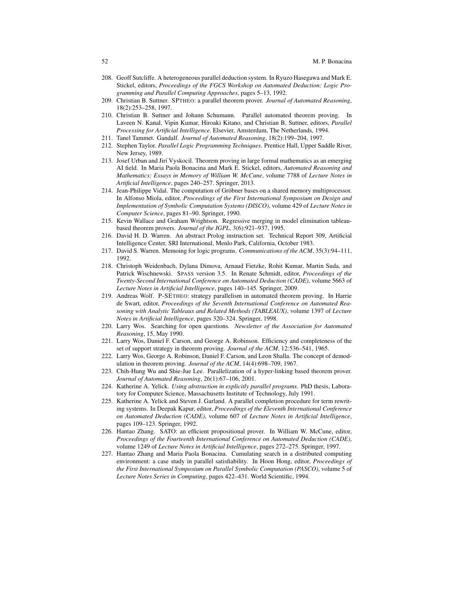- 208. Geoff Sutcliffe. A heterogeneous parallel deduction system. In Ryuzo Hasegawa and Mark E. Stickel, editors, *Proceedings of the FGCS Workshop on Automated Deduction: Logic Programming and Parallel Computing Approaches*, pages 5–13, 1992.
- 209. Christian B. Suttner. SPTHEO: a parallel theorem prover. *Journal of Automated Reasoning*, 18(2):253–258, 1997.
- 210. Christian B. Suttner and Johann Schumann. Parallel automated theorem proving. In Laveen N. Kanal, Vipin Kumar, Hiroaki Kitano, and Christian B. Suttner, editors, *Parallel Processing for Artificial Intelligence*. Elsevier, Amsterdam, The Netherlands, 1994.
- 211. Tanel Tammet. Gandalf. *Journal of Automated Reasoning*, 18(2):199–204, 1997.
- 212. Stephen Taylor. *Parallel Logic Programming Techniques*. Prentice Hall, Upper Saddle River, New Jersey, 1989.
- 213. Josef Urban and Jir´ı Vyskocil. Theorem proving in large formal mathematics as an emerging AI field. In Maria Paola Bonacina and Mark E. Stickel, editors, *Automated Reasoning and Mathematics: Essays in Memory of William W. McCune*, volume 7788 of *Lecture Notes in Artificial Intelligence*, pages 240–257. Springer, 2013.
- 214. Jean-Philippe Vidal. The computation of Grobner bases on a shared memory multiprocessor. ¨ In Alfonso Miola, editor, *Proceedings of the First International Symposium on Design and Implementation of Symbolic Computation Systems (DISCO)*, volume 429 of *Lecture Notes in Computer Science*, pages 81–90. Springer, 1990.
- 215. Kevin Wallace and Graham Wrightson. Regressive merging in model elimination tableaubased theorem provers. *Journal of the IGPL*, 3(6):921–937, 1995.
- 216. David H. D. Warren. An abstract Prolog instruction set. Technical Report 309, Artificial Intelligence Center, SRI International, Menlo Park, California, October 1983.
- 217. David S. Warren. Memoing for logic programs. *Communications of the ACM*, 35(3):94–111, 1992.
- 218. Christoph Weidenbach, Dylana Dimova, Arnaud Fietzke, Rohit Kumar, Martin Suda, and Patrick Wischnewski. SPASS version 3.5. In Renate Schmidt, editor, *Proceedings of the Twenty-Second International Conference on Automated Deduction (CADE)*, volume 5663 of *Lecture Notes in Artificial Intelligence*, pages 140–145. Springer, 2009.
- 219. Andreas Wolf. P-SETHEO: strategy parallelism in automated theorem proving. In Harrie de Swart, editor, *Proceedings of the Seventh International Conference on Automated Reasoning with Analytic Tableaux and Related Methods (TABLEAUX)*, volume 1397 of *Lecture Notes in Artificial Intelligence*, pages 320–324. Springer, 1998.
- 220. Larry Wos. Searching for open questions. *Newsletter of the Association for Automated Reasoning*, 15, May 1990.
- 221. Larry Wos, Daniel F. Carson, and George A. Robinson. Efficiency and completeness of the set of support strategy in theorem proving. *Journal of the ACM*, 12:536–541, 1965.
- 222. Larry Wos, George A. Robinson, Daniel F. Carson, and Leon Shalla. The concept of demodulation in theorem proving. *Journal of the ACM*, 14(4):698–709, 1967.
- 223. Chih-Hung Wu and Shie-Jue Lee. Parallelization of a hyper-linking based theorem prover. *Journal of Automated Reasoning*, 26(1):67–106, 2001.
- 224. Katherine A. Yelick. *Using abstraction in explicitly parallel programs*. PhD thesis, Laboratory for Computer Science, Massachusetts Institute of Technology, July 1991.
- 225. Katherine A. Yelick and Steven J. Garland. A parallel completion procedure for term rewriting systems. In Deepak Kapur, editor, *Proceedings of the Eleventh International Conference on Automated Deduction (CADE)*, volume 607 of *Lecture Notes in Artificial Intelligence*, pages 109–123. Springer, 1992.
- 226. Hantao Zhang. SATO: an efficient propositional prover. In William W. McCune, editor, *Proceedings of the Fourteenth International Conference on Automated Deduction (CADE)*, volume 1249 of *Lecture Notes in Artificial Intelligence*, pages 272–275. Springer, 1997.
- 227. Hantao Zhang and Maria Paola Bonacina. Cumulating search in a distributed computing environment: a case study in parallel satisfiability. In Hoon Hong, editor, *Proceedings of the First International Symposium on Parallel Symbolic Computation (PASCO)*, volume 5 of *Lecture Notes Series in Computing*, pages 422–431. World Scientific, 1994.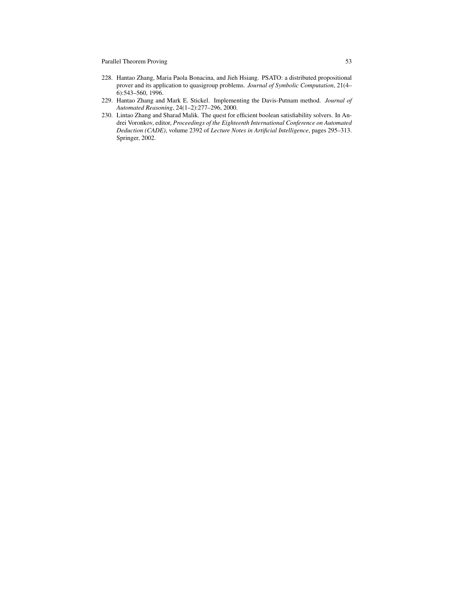- 228. Hantao Zhang, Maria Paola Bonacina, and Jieh Hsiang. PSATO: a distributed propositional prover and its application to quasigroup problems. *Journal of Symbolic Computation*, 21(4– 6):543–560, 1996.
- 229. Hantao Zhang and Mark E. Stickel. Implementing the Davis-Putnam method. *Journal of Automated Reasoning*, 24(1–2):277–296, 2000.
- 230. Lintao Zhang and Sharad Malik. The quest for efficient boolean satisfiability solvers. In Andrei Voronkov, editor, *Proceedings of the Eighteenth International Conference on Automated Deduction (CADE)*, volume 2392 of *Lecture Notes in Artificial Intelligence*, pages 295–313. Springer, 2002.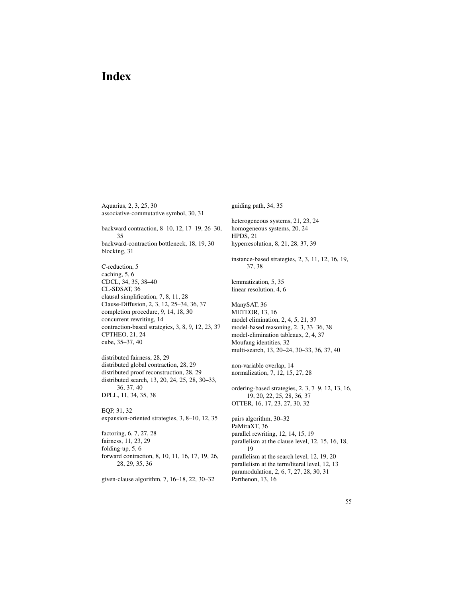# Index

Aquarius, 2, 3, 25, 30 associative-commutative symbol, 30, 31

backward contraction, 8–10, 12, 17–19, 26–30, 35 backward-contraction bottleneck, 18, 19, 30 blocking, 31

C-reduction, 5 caching, 5, 6 CDCL, 34, 35, 38–40 CL-SDSAT, 36 clausal simplification, 7, 8, 11, 28 Clause-Diffusion, 2, 3, 12, 25–34, 36, 37 completion procedure, 9, 14, 18, 30 concurrent rewriting, 14 contraction-based strategies, 3, 8, 9, 12, 23, 37 CPTHEO, 21, 24 cube, 35–37, 40

distributed fairness, 28, 29 distributed global contraction, 28, 29 distributed proof reconstruction, 28, 29 distributed search, 13, 20, 24, 25, 28, 30–33, 36, 37, 40 DPLL, 11, 34, 35, 38

EQP, 31, 32 expansion-oriented strategies, 3, 8–10, 12, 35

factoring, 6, 7, 27, 28 fairness, 11, 23, 29 folding-up, 5, 6 forward contraction, 8, 10, 11, 16, 17, 19, 26, 28, 29, 35, 36

given-clause algorithm, 7, 16–18, 22, 30–32

guiding path, 34, 35

heterogeneous systems, 21, 23, 24 homogeneous systems, 20, 24 HPDS, 21 hyperresolution, 8, 21, 28, 37, 39 instance-based strategies, 2, 3, 11, 12, 16, 19, 37, 38 lemmatization, 5, 35 linear resolution, 4, 6 ManySAT, 36 METEOR, 13, 16 model elimination, 2, 4, 5, 21, 37 model-based reasoning, 2, 3, 33–36, 38 model-elimination tableaux, 2, 4, 37 Moufang identities, 32 multi-search, 13, 20–24, 30–33, 36, 37, 40

non-variable overlap, 14 normalization, 7, 12, 15, 27, 28

ordering-based strategies, 2, 3, 7–9, 12, 13, 16, 19, 20, 22, 25, 28, 36, 37 OTTER, 16, 17, 23, 27, 30, 32

pairs algorithm, 30–32 PaMiraXT, 36 parallel rewriting, 12, 14, 15, 19 parallelism at the clause level, 12, 15, 16, 18, 19 parallelism at the search level, 12, 19, 20 parallelism at the term/literal level, 12, 13 paramodulation, 2, 6, 7, 27, 28, 30, 31 Parthenon, 13, 16